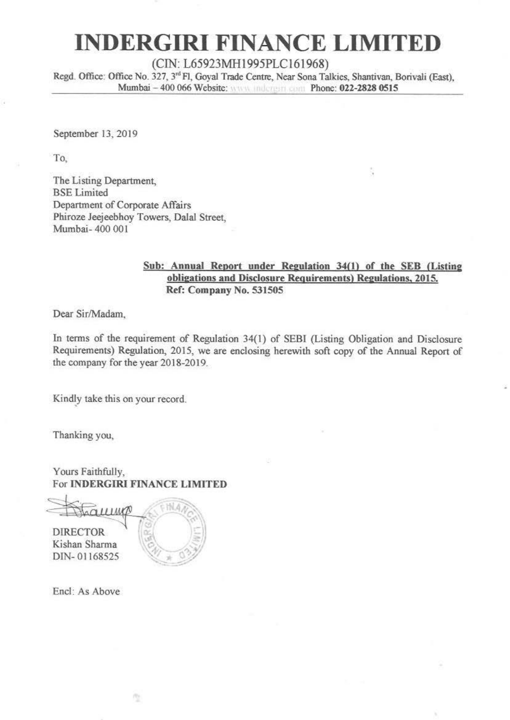## **INDERGIRI FINANCE LIMITED**

### (CIN: L65923MHl995PLC161968)

Regd. Office: Office No. 327, 3<sup>rd</sup> Fl, Goval Trade Centre, Near Sona Talkies, Shantivan, Borivali (East). Mumbai - 400 066 Website: WWW Inderest Com Phone: 022-2828 0515

September 13. 2019

To,

The Listing Department, BSELimited Department of Corporate Affairs Phiroze Jeejeebhoy Towers, Dalal Street, Mumbai-400 001

### Sub: Annual Report under Regulation 34(1) of the SEB (Listing obligations and Disclosure Requirements) Regulations, 2015. Ref: Company No. 531505

Dear Sir/Madam,

In terms of the requirement of Regulation 34(1) of SEBf (Listing Obligation and Disclosure Requirements) Regulation, 2015, we are enclosing herewith soft copy of the Annual Report of the company for the year 2018-2019.

Kindly take this on your record.

Thanking you,

Yours Faithfully, For INDERGIRI FINANCE LIMITED

Yours Faithfully,<br>For **INDERGIRI FINANCE LIMITE**<br>STRALLUMP<br>DIRECTOR<br>Kishan Sharma Kishan Sharma DIN- 01168525

ō

Encl: As Above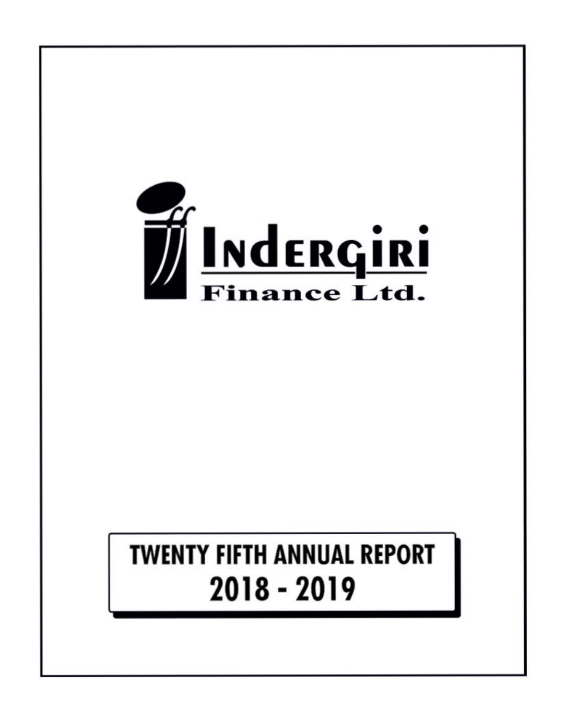

# TWENTY FIFTH ANNUAL REPORT 2018 - 2019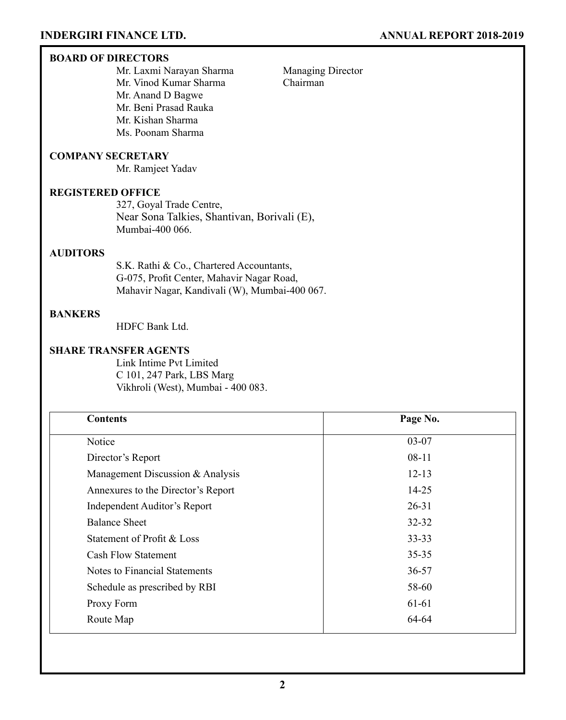### **BOARD OF DIRECTORS**

Mr. Laxmi Narayan Sharma Managing Director Mr. Vinod Kumar Sharma Chairman Mr. Anand D Bagwe Mr. Beni Prasad Rauka Mr. Kishan Sharma Ms. Poonam Sharma

**Company Secretary**

Mr. Ramjeet Yadav

### **REGISTERED OFFICE**

327, Goyal Trade Centre, Near Sona Talkies, Shantivan, Borivali (E), Mumbai-400 066.

### **AUDITORS**

S.K. Rathi & Co., Chartered Accountants, G-075, Profit Center, Mahavir Nagar Road, Mahavir Nagar, Kandivali (W), Mumbai-400 067.

### **BANKERS**

HDFC Bank Ltd.

### **SHARE TRANSFER AGENTS**

Link Intime Pvt Limited C 101, 247 Park, LBS Marg Vikhroli (West), Mumbai - 400 083.

| <b>Contents</b>                    | Page No.  |
|------------------------------------|-----------|
| Notice                             | $03 - 07$ |
| Director's Report                  | 08-11     |
| Management Discussion & Analysis   | $12 - 13$ |
| Annexures to the Director's Report | 14-25     |
| Independent Auditor's Report       | $26 - 31$ |
| <b>Balance Sheet</b>               | $32 - 32$ |
| Statement of Profit & Loss         | $33 - 33$ |
| <b>Cash Flow Statement</b>         | $35 - 35$ |
| Notes to Financial Statements      | $36 - 57$ |
| Schedule as prescribed by RBI      | 58-60     |
| Proxy Form                         | 61-61     |
| Route Map                          | 64-64     |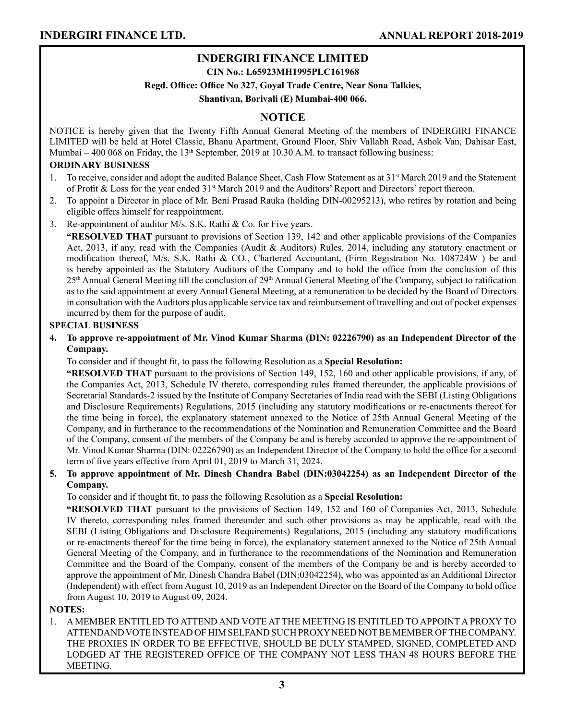### **INDERGIRI FINANCE LIMITED**

### **CIN No.: L65923MH1995PLC161968**

**Regd. Office: Office No 327, Goyal Trade Centre, Near Sona Talkies,** 

**Shantivan, Borivali (E) Mumbai-400 066.**

### **NOTICE**

NOTICE is hereby given that the Twenty Fifth Annual General Meeting of the members of INDERGIRI FINANCE LIMITED will be held at Hotel Classic, Bhanu Apartment, Ground Floor, Shiv Vallabh Road, Ashok Van, Dahisar East, Mumbai – 400 068 on Friday, the  $13<sup>th</sup>$  September, 2019 at 10.30 A.M. to transact following business:

### **ORDINARY BUSINESS**

- 1. To receive, consider and adopt the audited Balance Sheet, Cash Flow Statement as at 31st March 2019 and the Statement of Profit & Loss for the year ended 31<sup>st</sup> March 2019 and the Auditors' Report and Directors' report thereon.
- 2. To appoint a Director in place of Mr. Beni Prasad Rauka (holding DIN-00295213), who retires by rotation and being eligible offers himself for reappointment.
- 3. Re-appointment of auditor M/s. S.K. Rathi & Co. for Five years.

**"RESOLVED THAT** pursuant to provisions of Section 139, 142 and other applicable provisions of the Companies Act, 2013, if any, read with the Companies (Audit & Auditors) Rules, 2014, including any statutory enactment or modification thereof, M/s. S.K. Rathi & CO., Chartered Accountant, (Firm Registration No. 108724W ) be and is hereby appointed as the Statutory Auditors of the Company and to hold the office from the conclusion of this 25th Annual General Meeting till the conclusion of 29th Annual General Meeting of the Company, subject to ratification as to the said appointment at every Annual General Meeting, at a remuneration to be decided by the Board of Directors in consultation with the Auditors plus applicable service tax and reimbursement of travelling and out of pocket expenses incurred by them for the purpose of audit.

### **SPECIAL BUSINESS**

**4. To approve re-appointment of Mr. Vinod Kumar Sharma (DIN: 02226790) as an Independent Director of the Company.**

 To consider and if thought fit, to pass the following Resolution as a **Special Resolution:**

**"RESOLVED THAT** pursuant to the provisions of Section 149, 152, 160 and other applicable provisions, if any, of the Companies Act, 2013, Schedule IV thereto, corresponding rules framed thereunder, the applicable provisions of Secretarial Standards-2 issued by the Institute of Company Secretaries of India read with the SEBI (Listing Obligations and Disclosure Requirements) Regulations, 2015 (including any statutory modifications or re-enactments thereof for the time being in force), the explanatory statement annexed to the Notice of 25th Annual General Meeting of the Company, and in furtherance to the recommendations of the Nomination and Remuneration Committee and the Board of the Company, consent of the members of the Company be and is hereby accorded to approve the re-appointment of Mr. Vinod Kumar Sharma (DIN: 02226790) as an Independent Director of the Company to hold the office for a second term of five years effective from April 01, 2019 to March 31, 2024.

### **5. To approve appointment of Mr. Dinesh Chandra Babel (DIN:03042254) as an Independent Director of the Company.**

 To consider and if thought fit, to pass the following Resolution as a **Special Resolution:**

**"RESOLVED THAT** pursuant to the provisions of Section 149, 152 and 160 of Companies Act, 2013, Schedule IV thereto, corresponding rules framed thereunder and such other provisions as may be applicable, read with the SEBI (Listing Obligations and Disclosure Requirements) Regulations, 2015 (including any statutory modifications or re-enactments thereof for the time being in force), the explanatory statement annexed to the Notice of 25th Annual General Meeting of the Company, and in furtherance to the recommendations of the Nomination and Remuneration Committee and the Board of the Company, consent of the members of the Company be and is hereby accorded to approve the appointment of Mr. Dinesh Chandra Babel (DIN:03042254), who was appointed as an Additional Director (Independent) with effect from August 10, 2019 as an Independent Director on the Board of the Company to hold office from August 10, 2019 to August 09, 2024.

#### **NOTES:**

1. A MEMBER ENTITLED TO ATTEND AND VOTE AT THE MEETING IS ENTITLED TO APPOINT A PROXY TO ATTENDAND VOTE INSTEAD OF HIM SELFAND SUCH PROXY NEED NOT BE MEMBER OF THE COMPANY. THE PROXIES IN ORDER TO BE EFFECTIVE, SHOULD BE DULY STAMPED, SIGNED, COMPLETED AND LODGED AT THE REGISTERED OFFICE OF THE COMPANY NOT LESS THAN 48 HOURS BEFORE THE **MEETING**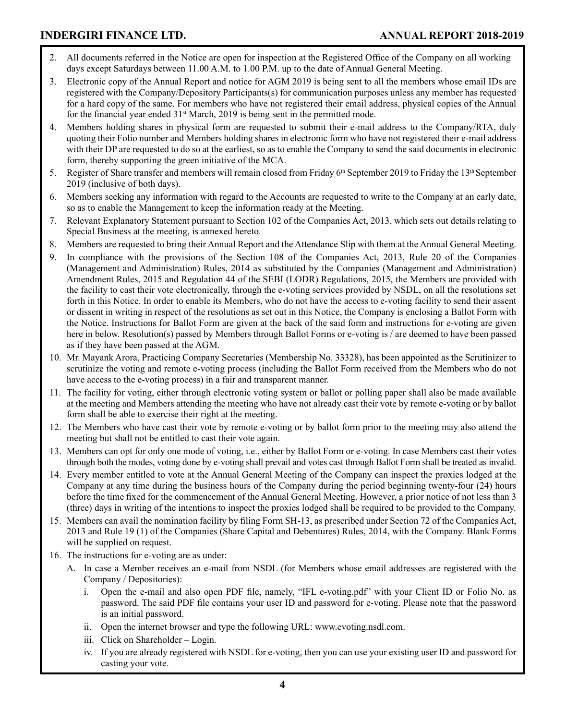- 2. All documents referred in the Notice are open for inspection at the Registered Office of the Company on all working days except Saturdays between 11.00 A.M. to 1.00 P.M. up to the date of Annual General Meeting.
- 3. Electronic copy of the Annual Report and notice for AGM 2019 is being sent to all the members whose email IDs are registered with the Company/Depository Participants(s) for communication purposes unless any member has requested for a hard copy of the same. For members who have not registered their email address, physical copies of the Annual for the financial year ended  $31<sup>st</sup>$  March, 2019 is being sent in the permitted mode.
- 4. Members holding shares in physical form are requested to submit their e-mail address to the Company/RTA, duly quoting their Folio number and Members holding shares in electronic form who have not registered their e-mail address with their DP are requested to do so at the earliest, so as to enable the Company to send the said documents in electronic form, thereby supporting the green initiative of the MCA.
- 5. Register of Share transfer and members will remain closed from Friday 6<sup>th</sup> September 2019 to Friday the 13<sup>th</sup> September 2019 (inclusive of both days).
- 6. Members seeking any information with regard to the Accounts are requested to write to the Company at an early date, so as to enable the Management to keep the information ready at the Meeting.
- 7. Relevant Explanatory Statement pursuant to Section 102 of the Companies Act, 2013, which sets out details relating to Special Business at the meeting, is annexed hereto.
- 8. Members are requested to bring their Annual Report and the Attendance Slip with them at the Annual General Meeting.
- 9. In compliance with the provisions of the Section 108 of the Companies Act, 2013, Rule 20 of the Companies (Management and Administration) Rules, 2014 as substituted by the Companies (Management and Administration) Amendment Rules, 2015 and Regulation 44 of the SEBI (LODR) Regulations, 2015, the Members are provided with the facility to cast their vote electronically, through the e-voting services provided by NSDL, on all the resolutions set forth in this Notice. In order to enable its Members, who do not have the access to e-voting facility to send their assent or dissent in writing in respect of the resolutions as set out in this Notice, the Company is enclosing a Ballot Form with the Notice. Instructions for Ballot Form are given at the back of the said form and instructions for e-voting are given here in below. Resolution(s) passed by Members through Ballot Forms or e-voting is / are deemed to have been passed as if they have been passed at the AGM.
- 10. Mr. Mayank Arora, Practicing Company Secretaries (Membership No. 33328), has been appointed as the Scrutinizer to scrutinize the voting and remote e-voting process (including the Ballot Form received from the Members who do not have access to the e-voting process) in a fair and transparent manner.
- 11. The facility for voting, either through electronic voting system or ballot or polling paper shall also be made available at the meeting and Members attending the meeting who have not already cast their vote by remote e-voting or by ballot form shall be able to exercise their right at the meeting.
- 12. The Members who have cast their vote by remote e-voting or by ballot form prior to the meeting may also attend the meeting but shall not be entitled to cast their vote again.
- 13. Members can opt for only one mode of voting, i.e., either by Ballot Form or e-voting. In case Members cast their votes through both the modes, voting done by e-voting shall prevail and votes cast through Ballot Form shall be treated as invalid.
- 14. Every member entitled to vote at the Annual General Meeting of the Company can inspect the proxies lodged at the Company at any time during the business hours of the Company during the period beginning twenty-four (24) hours before the time fixed for the commencement of the Annual General Meeting. However, a prior notice of not less than 3 (three) days in writing of the intentions to inspect the proxies lodged shall be required to be provided to the Company.
- 15. Members can avail the nomination facility by filing Form SH-13, as prescribed under Section 72 of the Companies Act, 2013 and Rule 19 (1) of the Companies (Share Capital and Debentures) Rules, 2014, with the Company. Blank Forms will be supplied on request.
- 16. The instructions for e-voting are as under:
	- A. In case a Member receives an e-mail from NSDL (for Members whose email addresses are registered with the Company / Depositories):
		- i. Open the e-mail and also open PDF file, namely, "IFL e-voting.pdf" with your Client ID or Folio No. as password. The said PDF file contains your user ID and password for e-voting. Please note that the password is an initial password.
		- ii. Open the internet browser and type the following URL: www.evoting.nsdl.com.
		- iii. Click on Shareholder Login.
		- iv. If you are already registered with NSDL for e-voting, then you can use your existing user ID and password for casting your vote.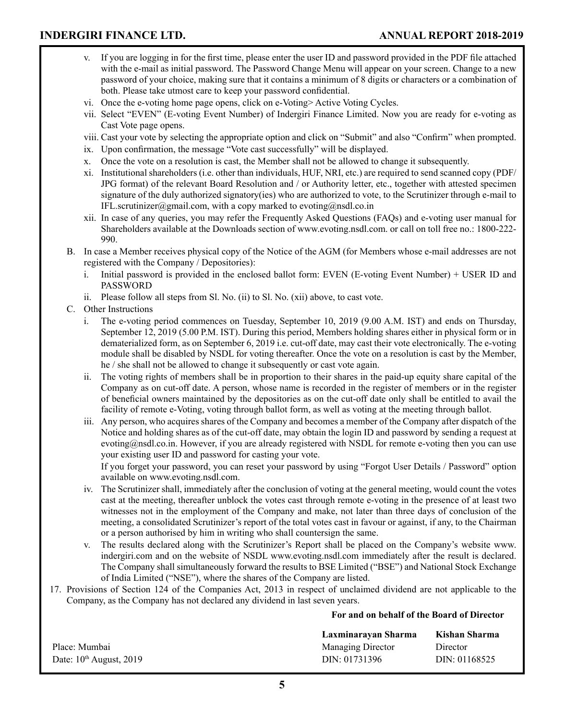- v. If you are logging in for the first time, please enter the user ID and password provided in the PDF file attached with the e-mail as initial password. The Password Change Menu will appear on your screen. Change to a new password of your choice, making sure that it contains a minimum of 8 digits or characters or a combination of both. Please take utmost care to keep your password confidential.
- vi. Once the e-voting home page opens, click on e-Voting> Active Voting Cycles.
- vii. Select "EVEN" (E-voting Event Number) of Indergiri Finance Limited. Now you are ready for e-voting as Cast Vote page opens.
- viii. Cast your vote by selecting the appropriate option and click on "Submit" and also "Confirm" when prompted.
- ix. Upon confirmation, the message "Vote cast successfully" will be displayed.
- x. Once the vote on a resolution is cast, the Member shall not be allowed to change it subsequently.
- xi. Institutional shareholders (i.e. other than individuals, HUF, NRI, etc.) are required to send scanned copy (PDF/ JPG format) of the relevant Board Resolution and / or Authority letter, etc., together with attested specimen signature of the duly authorized signatory(ies) who are authorized to vote, to the Scrutinizer through e-mail to IFL.scrutinizer@gmail.com, with a copy marked to evoting@nsdl.co.in
- xii. In case of any queries, you may refer the Frequently Asked Questions (FAQs) and e-voting user manual for Shareholders available at the Downloads section of www.evoting.nsdl.com. or call on toll free no.: 1800-222- 990.
- B. In case a Member receives physical copy of the Notice of the AGM (for Members whose e-mail addresses are not registered with the Company / Depositories):
	- i. Initial password is provided in the enclosed ballot form: EVEN (E-voting Event Number) + USER ID and PASSWORD
	- ii. Please follow all steps from Sl. No. (ii) to Sl. No. (xii) above, to cast vote.
- C. Other Instructions
	- i. The e-voting period commences on Tuesday, September 10, 2019 (9.00 A.M. IST) and ends on Thursday, September 12, 2019 (5.00 P.M. IST). During this period, Members holding shares either in physical form or in dematerialized form, as on September 6, 2019 i.e. cut-off date, may cast their vote electronically. The e-voting module shall be disabled by NSDL for voting thereafter. Once the vote on a resolution is cast by the Member, he / she shall not be allowed to change it subsequently or cast vote again.
	- ii. The voting rights of members shall be in proportion to their shares in the paid-up equity share capital of the Company as on cut-off date. A person, whose name is recorded in the register of members or in the register of beneficial owners maintained by the depositories as on the cut-off date only shall be entitled to avail the facility of remote e-Voting, voting through ballot form, as well as voting at the meeting through ballot.
	- iii. Any person, who acquires shares of the Company and becomes a member of the Company after dispatch of the Notice and holding shares as of the cut-off date, may obtain the login ID and password by sending a request at evoting@nsdl.co.in. However, if you are already registered with NSDL for remote e-voting then you can use your existing user ID and password for casting your vote.

 If you forget your password, you can reset your password by using "Forgot User Details / Password" option available on www.evoting.nsdl.com.

- iv. The Scrutinizer shall, immediately after the conclusion of voting at the general meeting, would count the votes cast at the meeting, thereafter unblock the votes cast through remote e-voting in the presence of at least two witnesses not in the employment of the Company and make, not later than three days of conclusion of the meeting, a consolidated Scrutinizer's report of the total votes cast in favour or against, if any, to the Chairman or a person authorised by him in writing who shall countersign the same.
- v. The results declared along with the Scrutinizer's Report shall be placed on the Company's website www. indergiri.com and on the website of NSDL www.evoting.nsdl.com immediately after the result is declared. The Company shall simultaneously forward the results to BSE Limited ("BSE") and National Stock Exchange of India Limited ("NSE"), where the shares of the Company are listed.
- 17. Provisions of Section 124 of the Companies Act, 2013 in respect of unclaimed dividend are not applicable to the Company, as the Company has not declared any dividend in last seven years.

#### **For and on behalf of the Board of Director**

|                           | Laxminarayan Sharma      | Kishan Sharma |
|---------------------------|--------------------------|---------------|
| Place: Mumbai             | <b>Managing Director</b> | Director      |
| Date: $10th$ August, 2019 | DIN: 01731396            | DIN: 01168525 |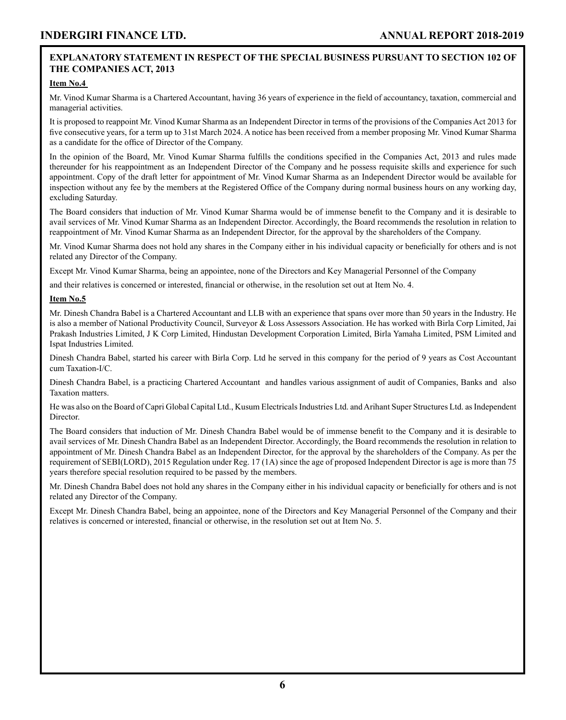### **EXPLANATORY STATEMENT IN RESPECT OF THE SPECIAL BUSINESS PURSUANT TO SECTION 102 OF THE COMPANIES ACT, 2013**

### **Item No.4**

Mr. Vinod Kumar Sharma is a Chartered Accountant, having 36 years of experience in the field of accountancy, taxation, commercial and managerial activities.

It is proposed to reappoint Mr. Vinod Kumar Sharma as an Independent Director in terms of the provisions of the Companies Act 2013 for five consecutive years, for a term up to 31st March 2024. A notice has been received from a member proposing Mr. Vinod Kumar Sharma as a candidate for the office of Director of the Company.

In the opinion of the Board, Mr. Vinod Kumar Sharma fulfills the conditions specified in the Companies Act, 2013 and rules made thereunder for his reappointment as an Independent Director of the Company and he possess requisite skills and experience for such appointment. Copy of the draft letter for appointment of Mr. Vinod Kumar Sharma as an Independent Director would be available for inspection without any fee by the members at the Registered Office of the Company during normal business hours on any working day, excluding Saturday.

The Board considers that induction of Mr. Vinod Kumar Sharma would be of immense benefit to the Company and it is desirable to avail services of Mr. Vinod Kumar Sharma as an Independent Director. Accordingly, the Board recommends the resolution in relation to reappointment of Mr. Vinod Kumar Sharma as an Independent Director, for the approval by the shareholders of the Company.

Mr. Vinod Kumar Sharma does not hold any shares in the Company either in his individual capacity or beneficially for others and is not related any Director of the Company.

Except Mr. Vinod Kumar Sharma, being an appointee, none of the Directors and Key Managerial Personnel of the Company

and their relatives is concerned or interested, financial or otherwise, in the resolution set out at Item No. 4.

#### **Item No.5**

Mr. Dinesh Chandra Babel is a Chartered Accountant and LLB with an experience that spans over more than 50 years in the Industry. He is also a member of National Productivity Council, Surveyor & Loss Assessors Association. He has worked with Birla Corp Limited, Jai Prakash Industries Limited, J K Corp Limited, Hindustan Development Corporation Limited, Birla Yamaha Limited, PSM Limited and Ispat Industries Limited.

Dinesh Chandra Babel, started his career with Birla Corp. Ltd he served in this company for the period of 9 years as Cost Accountant cum Taxation-I/C.

Dinesh Chandra Babel, is a practicing Chartered Accountant and handles various assignment of audit of Companies, Banks and also Taxation matters.

He was also on the Board of Capri Global Capital Ltd., Kusum Electricals Industries Ltd. and Arihant Super Structures Ltd. as Independent **Director** 

The Board considers that induction of Mr. Dinesh Chandra Babel would be of immense benefit to the Company and it is desirable to avail services of Mr. Dinesh Chandra Babel as an Independent Director. Accordingly, the Board recommends the resolution in relation to appointment of Mr. Dinesh Chandra Babel as an Independent Director, for the approval by the shareholders of the Company. As per the requirement of SEBI(LORD), 2015 Regulation under Reg. 17 (1A) since the age of proposed Independent Director is age is more than 75 years therefore special resolution required to be passed by the members.

Mr. Dinesh Chandra Babel does not hold any shares in the Company either in his individual capacity or beneficially for others and is not related any Director of the Company.

Except Mr. Dinesh Chandra Babel, being an appointee, none of the Directors and Key Managerial Personnel of the Company and their relatives is concerned or interested, financial or otherwise, in the resolution set out at Item No. 5.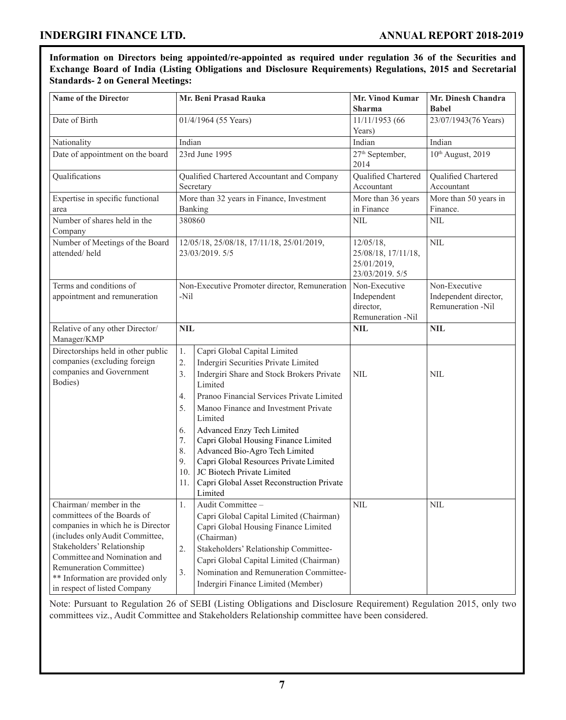**Information on Directors being appointed/re-appointed as required under regulation 36 of the Securities and Exchange Board of India (Listing Obligations and Disclosure Requirements) Regulations, 2015 and Secretarial Standards- 2 on General Meetings:**

| Name of the Director                                                                                                                                                                                                                                                                        | Mr. Beni Prasad Rauka                                                                                                                                                                                                                                                                                                                                                                                                                                                                                                                      | Mr. Vinod Kumar<br>Sharma                                            | Mr. Dinesh Chandra<br><b>Babel</b>                          |  |  |
|---------------------------------------------------------------------------------------------------------------------------------------------------------------------------------------------------------------------------------------------------------------------------------------------|--------------------------------------------------------------------------------------------------------------------------------------------------------------------------------------------------------------------------------------------------------------------------------------------------------------------------------------------------------------------------------------------------------------------------------------------------------------------------------------------------------------------------------------------|----------------------------------------------------------------------|-------------------------------------------------------------|--|--|
| Date of Birth                                                                                                                                                                                                                                                                               | 01/4/1964 (55 Years)                                                                                                                                                                                                                                                                                                                                                                                                                                                                                                                       | 11/11/1953 (66<br>Years)                                             | 23/07/1943(76 Years)                                        |  |  |
| Nationality                                                                                                                                                                                                                                                                                 | Indian                                                                                                                                                                                                                                                                                                                                                                                                                                                                                                                                     | Indian                                                               | Indian                                                      |  |  |
| Date of appointment on the board                                                                                                                                                                                                                                                            | 23rd June 1995                                                                                                                                                                                                                                                                                                                                                                                                                                                                                                                             | 27 <sup>th</sup> September,<br>2014                                  | 10 <sup>th</sup> August, 2019                               |  |  |
| Qualifications                                                                                                                                                                                                                                                                              | Qualified Chartered Accountant and Company<br>Secretary                                                                                                                                                                                                                                                                                                                                                                                                                                                                                    | Qualified Chartered<br>Accountant                                    | Qualified Chartered<br>Accountant                           |  |  |
| Expertise in specific functional<br>area                                                                                                                                                                                                                                                    | More than 32 years in Finance, Investment<br>Banking                                                                                                                                                                                                                                                                                                                                                                                                                                                                                       | More than 36 years<br>in Finance                                     | More than 50 years in<br>Finance.                           |  |  |
| Number of shares held in the<br>Company                                                                                                                                                                                                                                                     | 380860                                                                                                                                                                                                                                                                                                                                                                                                                                                                                                                                     | <b>NIL</b>                                                           | <b>NIL</b>                                                  |  |  |
| Number of Meetings of the Board<br>attended/held                                                                                                                                                                                                                                            | 12/05/18, 25/08/18, 17/11/18, 25/01/2019,<br>23/03/2019.5/5                                                                                                                                                                                                                                                                                                                                                                                                                                                                                | $12/05/18$ ,<br>25/08/18, 17/11/18,<br>25/01/2019,<br>23/03/2019.5/5 | <b>NIL</b>                                                  |  |  |
| Terms and conditions of<br>appointment and remuneration                                                                                                                                                                                                                                     | Non-Executive Promoter director, Remuneration<br>-Nil                                                                                                                                                                                                                                                                                                                                                                                                                                                                                      | Non-Executive<br>Independent<br>director,<br>Remuneration -Nil       | Non-Executive<br>Independent director,<br>Remuneration -Nil |  |  |
| Relative of any other Director/<br>Manager/KMP                                                                                                                                                                                                                                              | <b>NIL</b>                                                                                                                                                                                                                                                                                                                                                                                                                                                                                                                                 | <b>NIL</b>                                                           | <b>NIL</b>                                                  |  |  |
| Directorships held in other public<br>companies (excluding foreign<br>companies and Government<br>Bodies)                                                                                                                                                                                   | $1.$<br>Capri Global Capital Limited<br>2.<br>Indergiri Securities Private Limited<br>3.<br>Indergiri Share and Stock Brokers Private<br>Limited<br>Pranoo Financial Services Private Limited<br>4.<br>5.<br>Manoo Finance and Investment Private<br>Limited<br>Advanced Enzy Tech Limited<br>6.<br>Capri Global Housing Finance Limited<br>7.<br>Advanced Bio-Agro Tech Limited<br>8.<br>Capri Global Resources Private Limited<br>9.<br>JC Biotech Private Limited<br>10.<br>Capri Global Asset Reconstruction Private<br>11.<br>Limited | <b>NIL</b>                                                           | <b>NIL</b>                                                  |  |  |
| Chairman/ member in the<br>committees of the Boards of<br>companies in which he is Director<br>(includes only Audit Committee,<br>Stakeholders' Relationship<br>Committee and Nomination and<br>Remuneration Committee)<br>** Information are provided only<br>in respect of listed Company | Audit Committee -<br>1.<br>Capri Global Capital Limited (Chairman)<br>Capri Global Housing Finance Limited<br>(Chairman)<br>2.<br>Stakeholders' Relationship Committee-<br>Capri Global Capital Limited (Chairman)<br>Nomination and Remuneration Committee-<br>3.<br>Indergiri Finance Limited (Member)                                                                                                                                                                                                                                   | <b>NIL</b>                                                           | <b>NIL</b>                                                  |  |  |

Note: Pursuant to Regulation 26 of SEBI (Listing Obligations and Disclosure Requirement) Regulation 2015, only two committees viz., Audit Committee and Stakeholders Relationship committee have been considered.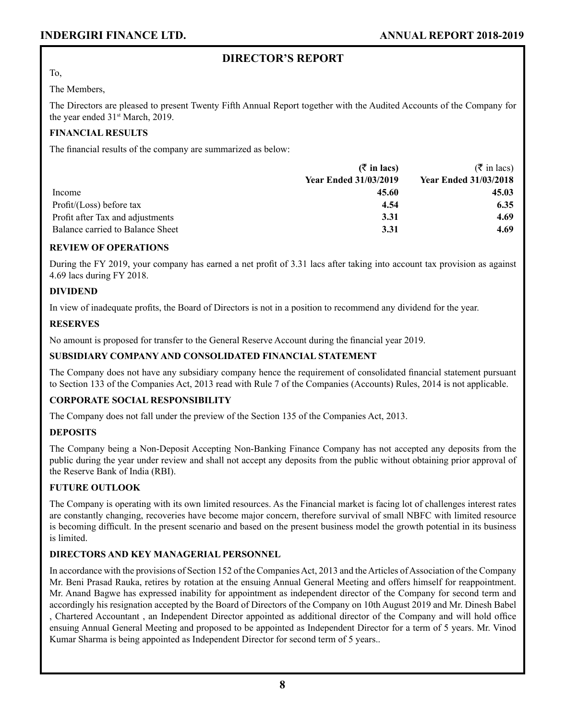### **DIRECTOR'S REPORT**

### To,

The Members,

The Directors are pleased to present Twenty Fifth Annual Report together with the Audited Accounts of the Company for the year ended 31st March, 2019.

### **FINANCIAL RESULTS**

The financial results of the company are summarized as below:

|                                  | $(\bar{\bar{\zeta}}$ in lacs) | $(\bar{\tau}$ in lacs)       |
|----------------------------------|-------------------------------|------------------------------|
|                                  | <b>Year Ended 31/03/2019</b>  | <b>Year Ended 31/03/2018</b> |
| Income                           | 45.60                         | 45.03                        |
| Profit / (Loss) before tax       | 4.54                          | 6.35                         |
| Profit after Tax and adjustments | 3.31                          | 4.69                         |
| Balance carried to Balance Sheet | 3.31                          | 4.69                         |

### **REVIEW OF OPERATIONS**

During the FY 2019, your company has earned a net profit of 3.31 lacs after taking into account tax provision as against 4.69 lacs during FY 2018.

### **DIVIDEND**

In view of inadequate profits, the Board of Directors is not in a position to recommend any dividend for the year.

### **RESERVES**

No amount is proposed for transfer to the General Reserve Account during the financial year 2019.

### **SUBSIDIARY COMPANY AND CONSOLIDATED FINANCIAL STATEMENT**

The Company does not have any subsidiary company hence the requirement of consolidated financial statement pursuant to Section 133 of the Companies Act, 2013 read with Rule 7 of the Companies (Accounts) Rules, 2014 is not applicable.

### **CORPORATE SOCIAL RESPONSIBILITY**

The Company does not fall under the preview of the Section 135 of the Companies Act, 2013.

### **DEPOSITS**

The Company being a Non-Deposit Accepting Non-Banking Finance Company has not accepted any deposits from the public during the year under review and shall not accept any deposits from the public without obtaining prior approval of the Reserve Bank of India (RBI).

### **FUTURE OUTLOOK**

The Company is operating with its own limited resources. As the Financial market is facing lot of challenges interest rates are constantly changing, recoveries have become major concern, therefore survival of small NBFC with limited resource is becoming difficult. In the present scenario and based on the present business model the growth potential in its business is limited.

### **DIRECTORS AND KEY MANAGERIAL PERSONNEL**

In accordance with the provisions of Section 152 of the Companies Act, 2013 and the Articles of Association of the Company Mr. Beni Prasad Rauka, retires by rotation at the ensuing Annual General Meeting and offers himself for reappointment. Mr. Anand Bagwe has expressed inability for appointment as independent director of the Company for second term and accordingly his resignation accepted by the Board of Directors of the Company on 10th August 2019 and Mr. Dinesh Babel , Chartered Accountant , an Independent Director appointed as additional director of the Company and will hold office ensuing Annual General Meeting and proposed to be appointed as Independent Director for a term of 5 years. Mr. Vinod Kumar Sharma is being appointed as Independent Director for second term of 5 years..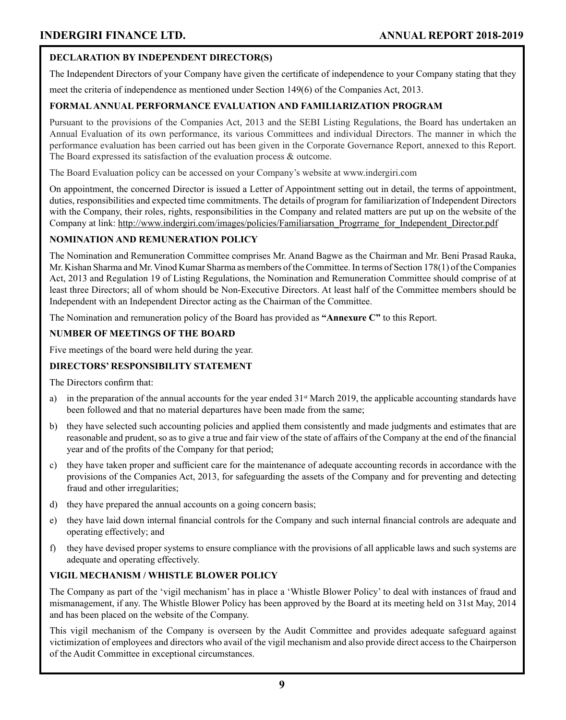### **DECLARATION BY INDEPENDENT DIRECTOR(S)**

The Independent Directors of your Company have given the certificate of independence to your Company stating that they

meet the criteria of independence as mentioned under Section 149(6) of the Companies Act, 2013.

### **FORMAL ANNUAL PERFORMANCE EVALUATION AND FAMILIARIZATION PROGRAM**

Pursuant to the provisions of the Companies Act, 2013 and the SEBI Listing Regulations, the Board has undertaken an Annual Evaluation of its own performance, its various Committees and individual Directors. The manner in which the performance evaluation has been carried out has been given in the Corporate Governance Report, annexed to this Report. The Board expressed its satisfaction of the evaluation process & outcome.

The Board Evaluation policy can be accessed on your Company's website at www.indergiri.com

On appointment, the concerned Director is issued a Letter of Appointment setting out in detail, the terms of appointment, duties, responsibilities and expected time commitments. The details of program for familiarization of Independent Directors with the Company, their roles, rights, responsibilities in the Company and related matters are put up on the website of the Company at link: http://www.indergiri.com/images/policies/Familiarsation\_Progrrame\_for\_Independent\_Director.pdf

### **NOMINATION AND REMUNERATION POLICY**

The Nomination and Remuneration Committee comprises Mr. Anand Bagwe as the Chairman and Mr. Beni Prasad Rauka, Mr. Kishan Sharma and Mr. Vinod Kumar Sharma as members of the Committee. In terms of Section 178(1) of the Companies Act, 2013 and Regulation 19 of Listing Regulations, the Nomination and Remuneration Committee should comprise of at least three Directors; all of whom should be Non-Executive Directors. At least half of the Committee members should be Independent with an Independent Director acting as the Chairman of the Committee.

The Nomination and remuneration policy of the Board has provided as **"Annexure C"** to this Report.

### **NUMBER OF MEETINGS OF THE BOARD**

Five meetings of the board were held during the year.

### **DIRECTORS' RESPONSIBILITY STATEMENT**

The Directors confirm that:

- a) in the preparation of the annual accounts for the year ended  $31<sup>st</sup>$  March 2019, the applicable accounting standards have been followed and that no material departures have been made from the same;
- b) they have selected such accounting policies and applied them consistently and made judgments and estimates that are reasonable and prudent, so as to give a true and fair view of the state of affairs of the Company at the end of the financial year and of the profits of the Company for that period;
- c) they have taken proper and sufficient care for the maintenance of adequate accounting records in accordance with the provisions of the Companies Act, 2013, for safeguarding the assets of the Company and for preventing and detecting fraud and other irregularities;
- d) they have prepared the annual accounts on a going concern basis;
- e) they have laid down internal financial controls for the Company and such internal financial controls are adequate and operating effectively; and
- f) they have devised proper systems to ensure compliance with the provisions of all applicable laws and such systems are adequate and operating effectively.

### **VIGIL MECHANISM / WHISTLE BLOWER POLICY**

The Company as part of the 'vigil mechanism' has in place a 'Whistle Blower Policy' to deal with instances of fraud and mismanagement, if any. The Whistle Blower Policy has been approved by the Board at its meeting held on 31st May, 2014 and has been placed on the website of the Company.

This vigil mechanism of the Company is overseen by the Audit Committee and provides adequate safeguard against victimization of employees and directors who avail of the vigil mechanism and also provide direct access to the Chairperson of the Audit Committee in exceptional circumstances.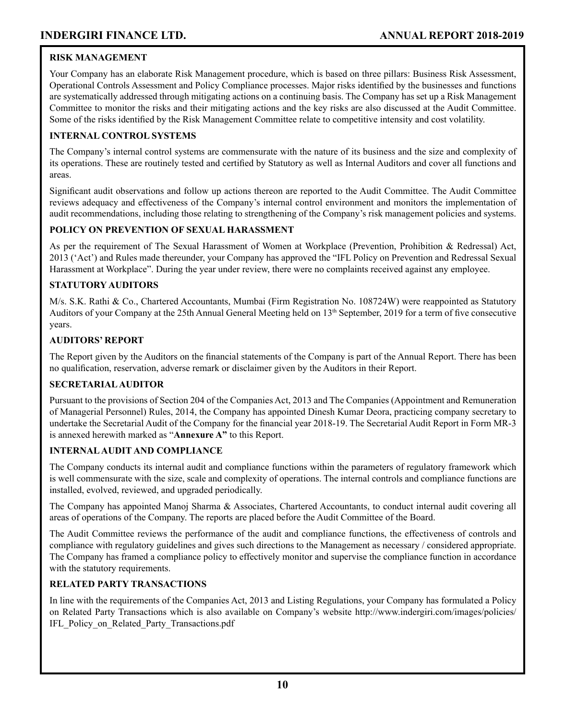### **RISK MANAGEMENT**

Your Company has an elaborate Risk Management procedure, which is based on three pillars: Business Risk Assessment, Operational Controls Assessment and Policy Compliance processes. Major risks identified by the businesses and functions are systematically addressed through mitigating actions on a continuing basis. The Company has set up a Risk Management Committee to monitor the risks and their mitigating actions and the key risks are also discussed at the Audit Committee. Some of the risks identified by the Risk Management Committee relate to competitive intensity and cost volatility.

### **INTERNAL CONTROL SYSTEMS**

The Company's internal control systems are commensurate with the nature of its business and the size and complexity of its operations. These are routinely tested and certified by Statutory as well as Internal Auditors and cover all functions and areas.

Significant audit observations and follow up actions thereon are reported to the Audit Committee. The Audit Committee reviews adequacy and effectiveness of the Company's internal control environment and monitors the implementation of audit recommendations, including those relating to strengthening of the Company's risk management policies and systems.

### **POLICY ON PREVENTION OF SEXUAL HARASSMENT**

As per the requirement of The Sexual Harassment of Women at Workplace (Prevention, Prohibition & Redressal) Act, 2013 ('Act') and Rules made thereunder, your Company has approved the "IFL Policy on Prevention and Redressal Sexual Harassment at Workplace". During the year under review, there were no complaints received against any employee.

### **STATUTORY AUDITORS**

M/s. S.K. Rathi & Co., Chartered Accountants, Mumbai (Firm Registration No. 108724W) were reappointed as Statutory Auditors of your Company at the 25th Annual General Meeting held on 13<sup>th</sup> September, 2019 for a term of five consecutive years.

### **AUDITORS' REPORT**

The Report given by the Auditors on the financial statements of the Company is part of the Annual Report. There has been no qualification, reservation, adverse remark or disclaimer given by the Auditors in their Report.

### **SECRETARIAL AUDITOR**

Pursuant to the provisions of Section 204 of the Companies Act, 2013 and The Companies (Appointment and Remuneration of Managerial Personnel) Rules, 2014, the Company has appointed Dinesh Kumar Deora, practicing company secretary to undertake the Secretarial Audit of the Company for the financial year 2018-19. The Secretarial Audit Report in Form MR-3 is annexed herewith marked as "**Annexure A"** to this Report.

### **INTERNAL AUDIT AND COMPLIANCE**

The Company conducts its internal audit and compliance functions within the parameters of regulatory framework which is well commensurate with the size, scale and complexity of operations. The internal controls and compliance functions are installed, evolved, reviewed, and upgraded periodically.

The Company has appointed Manoj Sharma & Associates, Chartered Accountants, to conduct internal audit covering all areas of operations of the Company. The reports are placed before the Audit Committee of the Board.

The Audit Committee reviews the performance of the audit and compliance functions, the effectiveness of controls and compliance with regulatory guidelines and gives such directions to the Management as necessary / considered appropriate. The Company has framed a compliance policy to effectively monitor and supervise the compliance function in accordance with the statutory requirements.

### **RELATED PARTY TRANSACTIONS**

In line with the requirements of the Companies Act, 2013 and Listing Regulations, your Company has formulated a Policy on Related Party Transactions which is also available on Company's website http://www.indergiri.com/images/policies/ IFL\_Policy\_on\_Related\_Party\_Transactions.pdf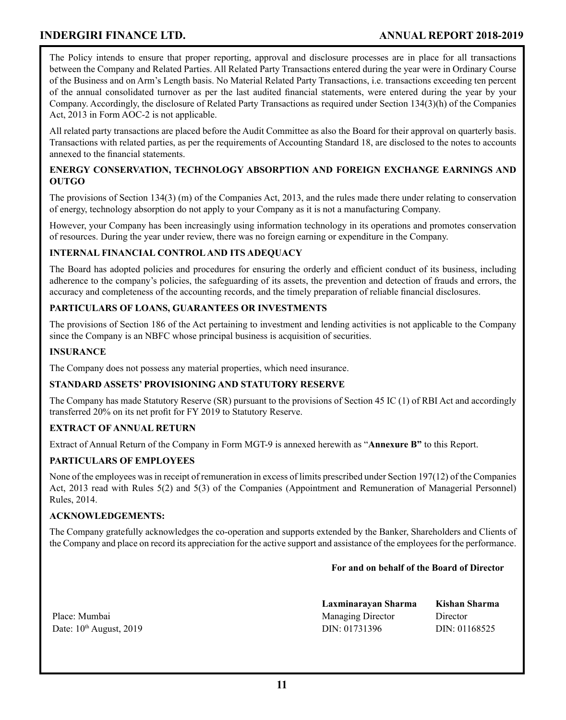### **ANNUAL REPORT 2018-2019**

The Policy intends to ensure that proper reporting, approval and disclosure processes are in place for all transactions between the Company and Related Parties. All Related Party Transactions entered during the year were in Ordinary Course of the Business and on Arm's Length basis. No Material Related Party Transactions, i.e. transactions exceeding ten percent of the annual consolidated turnover as per the last audited financial statements, were entered during the year by your Company. Accordingly, the disclosure of Related Party Transactions as required under Section 134(3)(h) of the Companies Act, 2013 in Form AOC-2 is not applicable.

All related party transactions are placed before the Audit Committee as also the Board for their approval on quarterly basis. Transactions with related parties, as per the requirements of Accounting Standard 18, are disclosed to the notes to accounts annexed to the financial statements.

### **ENERGY CONSERVATION, TECHNOLOGY ABSORPTION AND FOREIGN EXCHANGE EARNINGS AND OUTGO**

The provisions of Section 134(3) (m) of the Companies Act, 2013, and the rules made there under relating to conservation of energy, technology absorption do not apply to your Company as it is not a manufacturing Company.

However, your Company has been increasingly using information technology in its operations and promotes conservation of resources. During the year under review, there was no foreign earning or expenditure in the Company.

### **INTERNAL FINANCIAL CONTROL AND ITS ADEQUACY**

The Board has adopted policies and procedures for ensuring the orderly and efficient conduct of its business, including adherence to the company's policies, the safeguarding of its assets, the prevention and detection of frauds and errors, the accuracy and completeness of the accounting records, and the timely preparation of reliable financial disclosures.

### **PARTICULARS OF LOANS, GUARANTEES OR INVESTMENTS**

The provisions of Section 186 of the Act pertaining to investment and lending activities is not applicable to the Company since the Company is an NBFC whose principal business is acquisition of securities.

### **INSURANCE**

The Company does not possess any material properties, which need insurance.

### **STANDARD ASSETS' PROVISIONING AND STATUTORY RESERVE**

The Company has made Statutory Reserve (SR) pursuant to the provisions of Section 45 IC (1) of RBI Act and accordingly transferred 20% on its net profit for FY 2019 to Statutory Reserve.

### **EXTRACT OF ANNUAL RETURN**

Extract of Annual Return of the Company in Form MGT-9 is annexed herewith as "**Annexure B"** to this Report.

### **PARTICULARS OF EMPLOYEES**

None of the employees was in receipt of remuneration in excess of limits prescribed under Section 197(12) of the Companies Act, 2013 read with Rules 5(2) and 5(3) of the Companies (Appointment and Remuneration of Managerial Personnel) Rules, 2014.

### **ACKNOWLEDGEMENTS:**

The Company gratefully acknowledges the co-operation and supports extended by the Banker, Shareholders and Clients of the Company and place on record its appreciation for the active support and assistance of the employees for the performance.

### **For and on behalf of the Board of Director**

Place: Mumbai Date: 10<sup>th</sup> August, 2019 **Laxminarayan Sharma** Managing Director DIN: 01731396

**Kishan Sharma Director** DIN: 01168525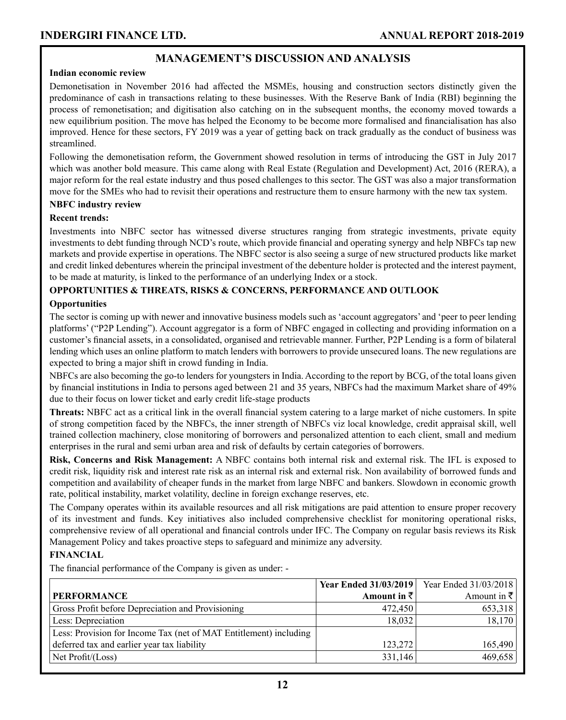### **MANAGEMENT'S DISCUSSION AND ANALYSIS**

### **Indian economic review**

Demonetisation in November 2016 had affected the MSMEs, housing and construction sectors distinctly given the predominance of cash in transactions relating to these businesses. With the Reserve Bank of India (RBI) beginning the process of remonetisation; and digitisation also catching on in the subsequent months, the economy moved towards a new equilibrium position. The move has helped the Economy to be become more formalised and financialisation has also improved. Hence for these sectors, FY 2019 was a year of getting back on track gradually as the conduct of business was streamlined.

Following the demonetisation reform, the Government showed resolution in terms of introducing the GST in July 2017 which was another bold measure. This came along with Real Estate (Regulation and Development) Act, 2016 (RERA), a major reform for the real estate industry and thus posed challenges to this sector. The GST was also a major transformation move for the SMEs who had to revisit their operations and restructure them to ensure harmony with the new tax system.

### **NBFC industry review**

### **Recent trends:**

Investments into NBFC sector has witnessed diverse structures ranging from strategic investments, private equity investments to debt funding through NCD's route, which provide financial and operating synergy and help NBFCs tap new markets and provide expertise in operations. The NBFC sector is also seeing a surge of new structured products like market and credit linked debentures wherein the principal investment of the debenture holder is protected and the interest payment, to be made at maturity, is linked to the performance of an underlying Index or a stock.

### **OPPORTUNITIES & THREATS, RISKS & CONCERNS, PERFORMANCE AND OUTLOOK**

### **Opportunities**

The sector is coming up with newer and innovative business models such as 'account aggregators' and 'peer to peer lending platforms' ("P2P Lending"). Account aggregator is a form of NBFC engaged in collecting and providing information on a customer's financial assets, in a consolidated, organised and retrievable manner. Further, P2P Lending is a form of bilateral lending which uses an online platform to match lenders with borrowers to provide unsecured loans. The new regulations are expected to bring a major shift in crowd funding in India.

NBFCs are also becoming the go-to lenders for youngsters in India. According to the report by BCG, of the total loans given by financial institutions in India to persons aged between 21 and 35 years, NBFCs had the maximum Market share of 49% due to their focus on lower ticket and early credit life-stage products

**Threats:** NBFC act as a critical link in the overall financial system catering to a large market of niche customers. In spite of strong competition faced by the NBFCs, the inner strength of NBFCs viz local knowledge, credit appraisal skill, well trained collection machinery, close monitoring of borrowers and personalized attention to each client, small and medium enterprises in the rural and semi urban area and risk of defaults by certain categories of borrowers.

**Risk, Concerns and Risk Management:** A NBFC contains both internal risk and external risk. The IFL is exposed to credit risk, liquidity risk and interest rate risk as an internal risk and external risk. Non availability of borrowed funds and competition and availability of cheaper funds in the market from large NBFC and bankers. Slowdown in economic growth rate, political instability, market volatility, decline in foreign exchange reserves, etc.

The Company operates within its available resources and all risk mitigations are paid attention to ensure proper recovery of its investment and funds. Key initiatives also included comprehensive checklist for monitoring operational risks, comprehensive review of all operational and financial controls under IFC. The Company on regular basis reviews its Risk Management Policy and takes proactive steps to safeguard and minimize any adversity.

### **FINANCIAL**

The financial performance of the Company is given as under: -

|                                                                   |                     | <b>Year Ended 31/03/2019</b> Year Ended 31/03/2018 |
|-------------------------------------------------------------------|---------------------|----------------------------------------------------|
| <b>PERFORMANCE</b>                                                | Amount in $\bar{z}$ | Amount in $\bar{z}$                                |
| Gross Profit before Depreciation and Provisioning                 | 472,450             | 653,318                                            |
| Less: Depreciation                                                | 18,032              | 18,170                                             |
| Less: Provision for Income Tax (net of MAT Entitlement) including |                     |                                                    |
| deferred tax and earlier year tax liability                       | 123,272             | 165,490                                            |
| Net Profit / (Loss)                                               | 331,146             | 469,658                                            |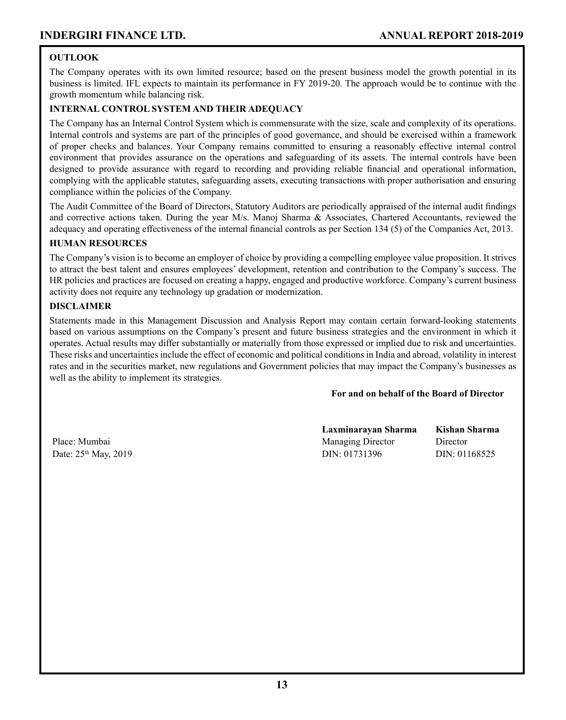### **OUTLOOK**

The Company operates with its own limited resource; based on the present business model the growth potential in its business is limited. IFL expects to maintain its performance in FY 2019-20. The approach would be to continue with the growth momentum while balancing risk.

### **INTERNAL CONTROL SYSTEM AND THEIR ADEQUACY**

The Company has an Internal Control System which is commensurate with the size, scale and complexity of its operations. Internal controls and systems are part of the principles of good governance, and should be exercised within a framework of proper checks and balances. Your Company remains committed to ensuring a reasonably effective internal control environment that provides assurance on the operations and safeguarding of its assets. The internal controls have been designed to provide assurance with regard to recording and providing reliable financial and operational information, complying with the applicable statutes, safeguarding assets, executing transactions with proper authorisation and ensuring compliance within the policies of the Company.

The Audit Committee of the Board of Directors, Statutory Auditors are periodically appraised of the internal audit findings and corrective actions taken. During the year M/s. Manoj Sharma & Associates, Chartered Accountants, reviewed the adequacy and operating effectiveness of the internal financial controls as per Section 134 (5) of the Companies Act, 2013.

### **HUMAN RESOURCES**

The Company's vision is to become an employer of choice by providing a compelling employee value proposition. It strives to attract the best talent and ensures employees' development, retention and contribution to the Company's success. The HR policies and practices are focused on creating a happy, engaged and productive workforce. Company's current business activity does not require any technology up gradation or modernization.

### **DISCLAIMER**

Statements made in this Management Discussion and Analysis Report may contain certain forward-looking statements based on various assumptions on the Company's present and future business strategies and the environment in which it operates. Actual results may differ substantially or materially from those expressed or implied due to risk and uncertainties. These risks and uncertainties include the effect of economic and political conditions in India and abroad, volatility in interest rates and in the securities market, new regulations and Government policies that may impact the Company's businesses as well as the ability to implement its strategies.

#### **For and on behalf of the Board of Director**

| Place: Mumbai        |
|----------------------|
| Date: 25th May, 2019 |

| Laxminarayan Sharma      | Kishan Sharma |
|--------------------------|---------------|
| <b>Managing Director</b> | Director      |
| DIN: 01731396            | DIN: 01168525 |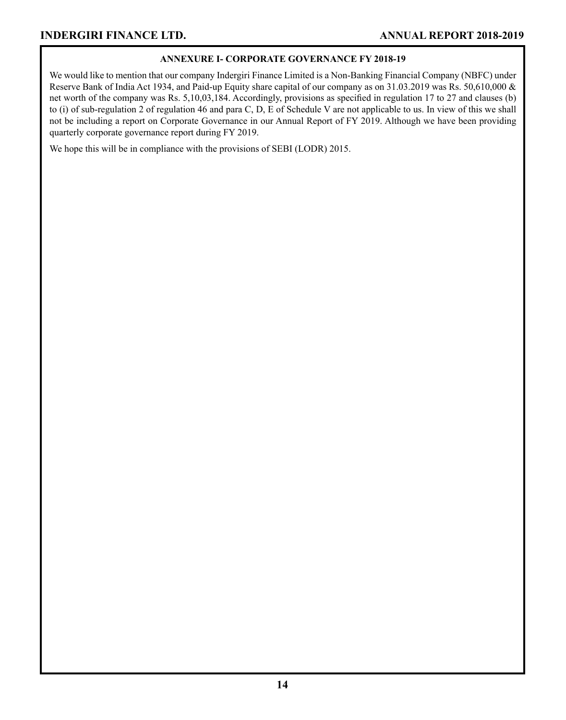### **ANNEXURE I- CORPORATE GOVERNANCE FY 2018-19**

We would like to mention that our company Indergiri Finance Limited is a Non-Banking Financial Company (NBFC) under Reserve Bank of India Act 1934, and Paid-up Equity share capital of our company as on 31.03.2019 was Rs. 50,610,000 & net worth of the company was Rs. 5,10,03,184. Accordingly, provisions as specified in regulation 17 to 27 and clauses (b) to (i) of sub-regulation 2 of regulation 46 and para C, D, E of Schedule V are not applicable to us. In view of this we shall not be including a report on Corporate Governance in our Annual Report of FY 2019. Although we have been providing quarterly corporate governance report during FY 2019.

We hope this will be in compliance with the provisions of SEBI (LODR) 2015.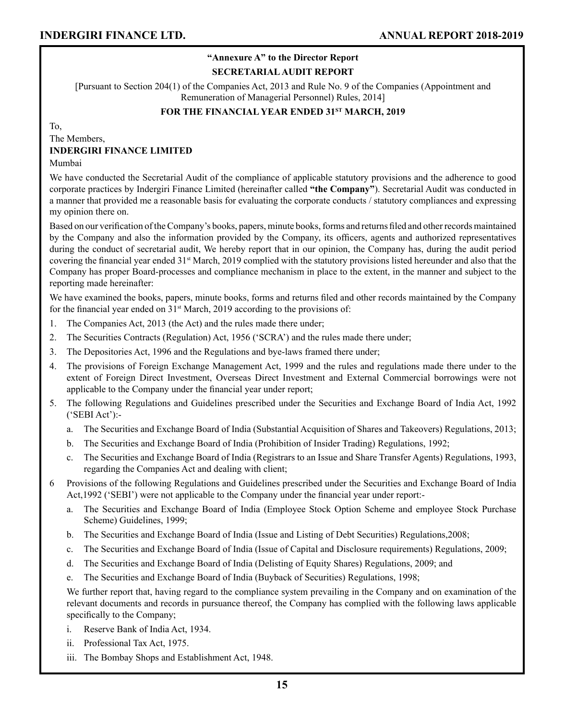### **"Annexure A" to the Director Report SECRETARIAL AUDIT REPORT**

[Pursuant to Section 204(1) of the Companies Act, 2013 and Rule No. 9 of the Companies (Appointment and Remuneration of Managerial Personnel) Rules, 2014]

### **FOR THE FINANCIAL YEAR ENDED 31ST MARCH, 2019**

To,

The Members,

### **INDERGIRI FINANCE LIMITED**

Mumbai

We have conducted the Secretarial Audit of the compliance of applicable statutory provisions and the adherence to good corporate practices by Indergiri Finance Limited (hereinafter called **"the Company"**). Secretarial Audit was conducted in a manner that provided me a reasonable basis for evaluating the corporate conducts / statutory compliances and expressing my opinion there on.

Based on our verification of the Company's books, papers, minute books, forms and returns filed and other records maintained by the Company and also the information provided by the Company, its officers, agents and authorized representatives during the conduct of secretarial audit, We hereby report that in our opinion, the Company has, during the audit period covering the financial year ended 31st March, 2019 complied with the statutory provisions listed hereunder and also that the Company has proper Board-processes and compliance mechanism in place to the extent, in the manner and subject to the reporting made hereinafter:

We have examined the books, papers, minute books, forms and returns filed and other records maintained by the Company for the financial year ended on  $31<sup>st</sup>$  March, 2019 according to the provisions of:

- 1. The Companies Act, 2013 (the Act) and the rules made there under;
- 2. The Securities Contracts (Regulation) Act, 1956 ('SCRA') and the rules made there under;
- 3. The Depositories Act, 1996 and the Regulations and bye-laws framed there under;
- 4. The provisions of Foreign Exchange Management Act, 1999 and the rules and regulations made there under to the extent of Foreign Direct Investment, Overseas Direct Investment and External Commercial borrowings were not applicable to the Company under the financial year under report;
- 5. The following Regulations and Guidelines prescribed under the Securities and Exchange Board of India Act, 1992 ('SEBI Act'):
	- a. The Securities and Exchange Board of India (Substantial Acquisition of Shares and Takeovers) Regulations, 2013;
	- b. The Securities and Exchange Board of India (Prohibition of Insider Trading) Regulations, 1992;
	- c. The Securities and Exchange Board of India (Registrars to an Issue and Share Transfer Agents) Regulations, 1993, regarding the Companies Act and dealing with client;
- 6 Provisions of the following Regulations and Guidelines prescribed under the Securities and Exchange Board of India Act,1992 ('SEBI') were not applicable to the Company under the financial year under report:
	- a. The Securities and Exchange Board of India (Employee Stock Option Scheme and employee Stock Purchase Scheme) Guidelines, 1999;
	- b. The Securities and Exchange Board of India (Issue and Listing of Debt Securities) Regulations,2008;
	- c. The Securities and Exchange Board of India (Issue of Capital and Disclosure requirements) Regulations, 2009;
	- d. The Securities and Exchange Board of India (Delisting of Equity Shares) Regulations, 2009; and
	- e. The Securities and Exchange Board of India (Buyback of Securities) Regulations, 1998;

We further report that, having regard to the compliance system prevailing in the Company and on examination of the relevant documents and records in pursuance thereof, the Company has complied with the following laws applicable specifically to the Company;

- i. Reserve Bank of India Act, 1934.
- ii. Professional Tax Act, 1975.
- iii. The Bombay Shops and Establishment Act, 1948.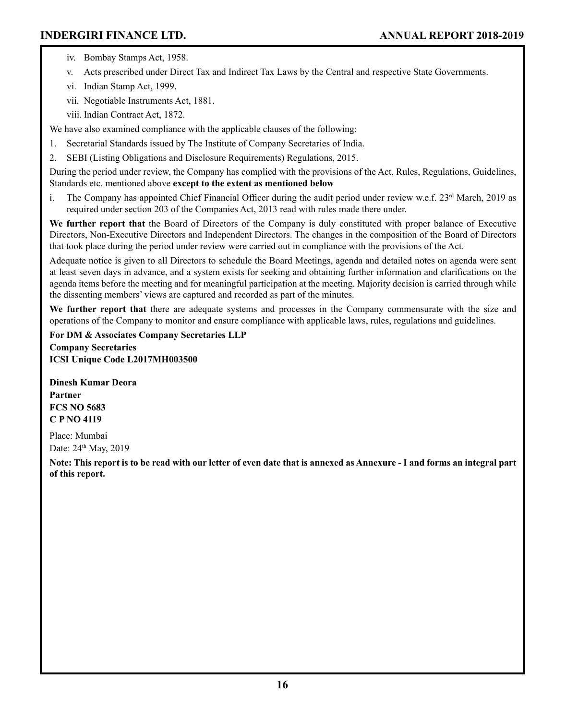- iv. Bombay Stamps Act, 1958.
- v. Acts prescribed under Direct Tax and Indirect Tax Laws by the Central and respective State Governments.
- vi. Indian Stamp Act, 1999.
- vii. Negotiable Instruments Act, 1881.
- viii. Indian Contract Act, 1872.

We have also examined compliance with the applicable clauses of the following:

- 1. Secretarial Standards issued by The Institute of Company Secretaries of India.
- 2. SEBI (Listing Obligations and Disclosure Requirements) Regulations, 2015.

During the period under review, the Company has complied with the provisions of the Act, Rules, Regulations, Guidelines, Standards etc. mentioned above **except to the extent as mentioned below**

i. The Company has appointed Chief Financial Officer during the audit period under review w.e.f.  $23<sup>rd</sup>$  March, 2019 as required under section 203 of the Companies Act, 2013 read with rules made there under.

**We further report that** the Board of Directors of the Company is duly constituted with proper balance of Executive Directors, Non-Executive Directors and Independent Directors. The changes in the composition of the Board of Directors that took place during the period under review were carried out in compliance with the provisions of the Act.

Adequate notice is given to all Directors to schedule the Board Meetings, agenda and detailed notes on agenda were sent at least seven days in advance, and a system exists for seeking and obtaining further information and clarifications on the agenda items before the meeting and for meaningful participation at the meeting. Majority decision is carried through while the dissenting members' views are captured and recorded as part of the minutes.

**We further report that** there are adequate systems and processes in the Company commensurate with the size and operations of the Company to monitor and ensure compliance with applicable laws, rules, regulations and guidelines.

**For DM & Associates Company Secretaries LLP Company Secretaries ICSI Unique Code L2017MH003500**

**Dinesh Kumar Deora Partner FCS NO 5683 C P NO 4119**

Place: Mumbai Date: 24<sup>th</sup> May, 2019

**Note: This report is to be read with our letter of even date that is annexed as Annexure - I and forms an integral part of this report.**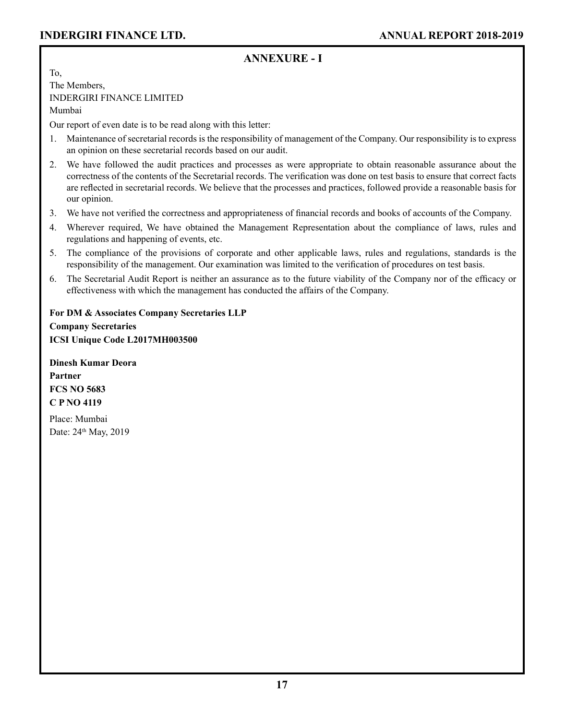### **ANNEXURE - I**

To, The Members, INDERGIRI FINANCE LIMITED Mumbai

Our report of even date is to be read along with this letter:

- 1. Maintenance of secretarial records is the responsibility of management of the Company. Our responsibility is to express an opinion on these secretarial records based on our audit.
- 2. We have followed the audit practices and processes as were appropriate to obtain reasonable assurance about the correctness of the contents of the Secretarial records. The verification was done on test basis to ensure that correct facts are reflected in secretarial records. We believe that the processes and practices, followed provide a reasonable basis for our opinion.
- 3. We have not verified the correctness and appropriateness of financial records and books of accounts of the Company.
- 4. Wherever required, We have obtained the Management Representation about the compliance of laws, rules and regulations and happening of events, etc.
- 5. The compliance of the provisions of corporate and other applicable laws, rules and regulations, standards is the responsibility of the management. Our examination was limited to the verification of procedures on test basis.
- 6. The Secretarial Audit Report is neither an assurance as to the future viability of the Company nor of the efficacy or effectiveness with which the management has conducted the affairs of the Company.

**For DM & Associates Company Secretaries LLP Company Secretaries ICSI Unique Code L2017MH003500**

**Dinesh Kumar Deora Partner FCS NO 5683 C P NO 4119**

Place: Mumbai Date: 24<sup>th</sup> May, 2019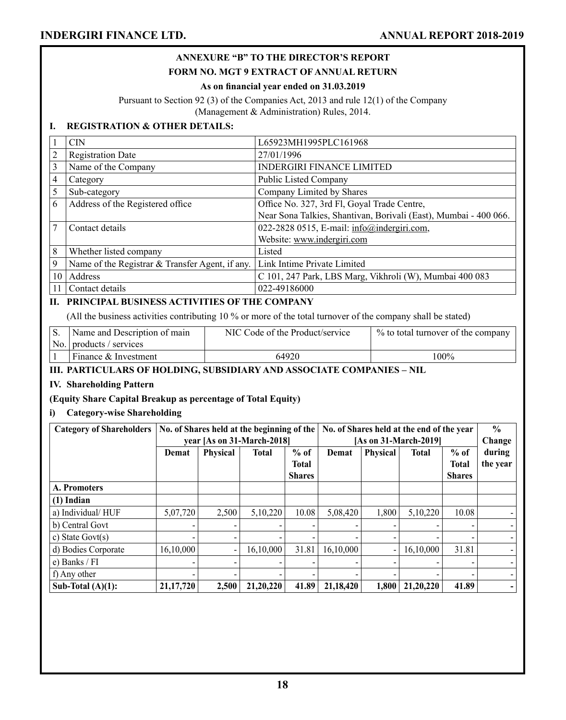### **ANNEXURE "B" TO THE DIRECTOR'S REPORT FORM NO. MGT 9 EXTRACT OF ANNUAL RETURN**

### **As on financial year ended on 31.03.2019**

Pursuant to Section 92 (3) of the Companies Act, 2013 and rule 12(1) of the Company (Management & Administration) Rules, 2014.

### **I. REGISTRATION & OTHER DETAILS:**

|    | <b>CIN</b>                                      | L65923MH1995PLC161968                                            |
|----|-------------------------------------------------|------------------------------------------------------------------|
| 2  | <b>Registration Date</b>                        | 27/01/1996                                                       |
| 3  | Name of the Company                             | <b>INDERGIRI FINANCE LIMITED</b>                                 |
| 4  | Category                                        | <b>Public Listed Company</b>                                     |
| 5  | Sub-category                                    | Company Limited by Shares                                        |
| 6  | Address of the Registered office                | Office No. 327, 3rd Fl, Goyal Trade Centre,                      |
|    |                                                 | Near Sona Talkies, Shantivan, Borivali (East), Mumbai - 400 066. |
| 7  | Contact details                                 | 022-2828 0515, E-mail: info@indergiri.com,                       |
|    |                                                 | Website: www.indergiri.com                                       |
| 8  | Whether listed company                          | Listed                                                           |
| 9  | Name of the Registrar & Transfer Agent, if any. | Link Intime Private Limited                                      |
| 10 | Address                                         | C 101, 247 Park, LBS Marg, Vikhroli (W), Mumbai 400 083          |
|    | Contact details                                 | 022-49186000                                                     |

### **II. PRINCIPAL BUSINESS ACTIVITIES OF THE COMPANY**

(All the business activities contributing 10 % or more of the total turnover of the company shall be stated)

| Name and Description of main | NIC Code of the Product/service | % to total turnover of the company |
|------------------------------|---------------------------------|------------------------------------|
| No. products / services      |                                 |                                    |
| Finance & Investment         | 64920                           | $100\%$                            |

### **III. PARTICULARS OF HOLDING, SUBSIDIARY AND ASSOCIATE COMPANIES – NIL**

### **IV. Shareholding Pattern**

### **(Equity Share Capital Breakup as percentage of Total Equity)**

### **i) Category-wise Shareholding**

| <b>Category of Shareholders</b> |             |                 | No. of Shares held at the beginning of the<br>year [As on 31-March-2018] |                                         | No. of Shares held at the end of the year<br>[As on 31-March-2019] | $\frac{6}{9}$<br>Change |           |                                         |                    |
|---------------------------------|-------------|-----------------|--------------------------------------------------------------------------|-----------------------------------------|--------------------------------------------------------------------|-------------------------|-----------|-----------------------------------------|--------------------|
|                                 | Demat       | <b>Physical</b> | <b>Total</b>                                                             | $%$ of<br><b>Total</b><br><b>Shares</b> | Demat                                                              | <b>Physical</b>         | Total     | $%$ of<br><b>Total</b><br><b>Shares</b> | during<br>the year |
| A. Promoters                    |             |                 |                                                                          |                                         |                                                                    |                         |           |                                         |                    |
| $(1)$ Indian                    |             |                 |                                                                          |                                         |                                                                    |                         |           |                                         |                    |
| a) Individual/HUF               | 5,07,720    | 2,500           | 5,10,220                                                                 | 10.08                                   | 5,08,420                                                           | 1,800                   | 5,10,220  | 10.08                                   |                    |
| b) Central Govt                 |             |                 |                                                                          |                                         |                                                                    |                         |           |                                         |                    |
| c) State Govt $(s)$             |             |                 |                                                                          |                                         |                                                                    |                         |           |                                         |                    |
| d) Bodies Corporate             | 16,10,000   |                 | 16,10,000                                                                | 31.81                                   | 16,10,000                                                          |                         | 16,10,000 | 31.81                                   |                    |
| e) Banks / FI                   |             |                 |                                                                          |                                         |                                                                    |                         |           |                                         |                    |
| f) Any other                    |             |                 |                                                                          |                                         |                                                                    |                         |           |                                         |                    |
| Sub-Total $(A)(1)$ :            | 21, 17, 720 | 2,500           | 21,20,220                                                                | 41.89                                   | 21,18,420                                                          | 1,800                   | 21,20,220 | 41.89                                   |                    |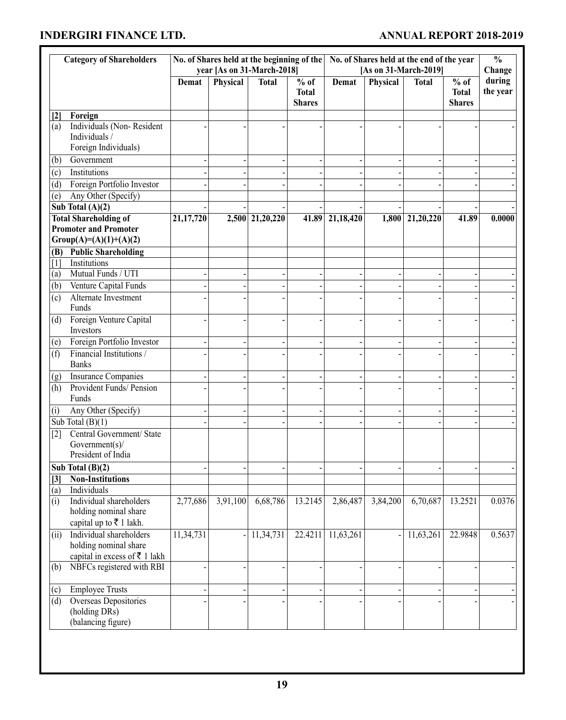### **ANNUAL REPORT 2018-2019**

| <b>Category of Shareholders</b> |                                                                                   |           |          | No. of Shares held at the beginning of the<br>year [As on 31-March-2018] |                                                              | No. of Shares held at the end of the year<br>[As on 31-March-2019] |          |              |                                       | $\overline{\frac{0}{0}}$<br>Change |
|---------------------------------|-----------------------------------------------------------------------------------|-----------|----------|--------------------------------------------------------------------------|--------------------------------------------------------------|--------------------------------------------------------------------|----------|--------------|---------------------------------------|------------------------------------|
|                                 |                                                                                   | Demat     | Physical | <b>Total</b>                                                             | $\overline{\frac{9}{6}}$ of<br><b>Total</b><br><b>Shares</b> | <b>Demat</b>                                                       | Physical | <b>Total</b> | % of<br><b>Total</b><br><b>Shares</b> | during<br>the year                 |
| $[2]$                           | Foreign                                                                           |           |          |                                                                          |                                                              |                                                                    |          |              |                                       |                                    |
| (a)                             | Individuals (Non-Resident<br>Individuals /<br>Foreign Individuals)                |           |          |                                                                          |                                                              |                                                                    |          |              |                                       |                                    |
| (b)                             | Government                                                                        |           |          |                                                                          |                                                              |                                                                    |          |              |                                       |                                    |
| (c)                             | Institutions                                                                      |           |          |                                                                          |                                                              |                                                                    |          |              |                                       |                                    |
| (d)                             | Foreign Portfolio Investor                                                        |           |          |                                                                          |                                                              |                                                                    |          |              |                                       |                                    |
| (e)                             | Any Other (Specify)                                                               |           |          |                                                                          |                                                              |                                                                    |          |              |                                       |                                    |
|                                 | Sub Total (A)(2)                                                                  |           |          |                                                                          |                                                              |                                                                    |          |              |                                       |                                    |
|                                 | <b>Total Shareholding of</b>                                                      | 21,17,720 |          | 2,500 21,20,220                                                          | 41.89                                                        | 21,18,420                                                          | 1,800    | 21,20,220    | 41.89                                 | 0.0000                             |
|                                 | <b>Promoter and Promoter</b><br>Group(A)=(A)(1)+(A)(2)                            |           |          |                                                                          |                                                              |                                                                    |          |              |                                       |                                    |
| (B)                             | <b>Public Shareholding</b>                                                        |           |          |                                                                          |                                                              |                                                                    |          |              |                                       |                                    |
| [1]                             | Institutions                                                                      |           |          |                                                                          |                                                              |                                                                    |          |              |                                       |                                    |
| (a)                             | Mutual Funds / UTI                                                                |           |          |                                                                          |                                                              |                                                                    |          |              |                                       |                                    |
| (b)                             | Venture Capital Funds                                                             |           |          |                                                                          |                                                              |                                                                    |          |              |                                       |                                    |
| (c)                             | Alternate Investment<br>Funds                                                     |           |          |                                                                          |                                                              |                                                                    |          |              |                                       |                                    |
| (d)                             | Foreign Venture Capital<br>Investors                                              |           |          |                                                                          |                                                              |                                                                    |          |              |                                       |                                    |
| (e)                             | Foreign Portfolio Investor                                                        |           |          |                                                                          |                                                              |                                                                    |          |              |                                       |                                    |
| (f)                             | Financial Institutions /<br><b>Banks</b>                                          |           |          |                                                                          |                                                              |                                                                    |          |              |                                       |                                    |
| (g)                             | <b>Insurance Companies</b>                                                        |           |          |                                                                          |                                                              |                                                                    |          |              |                                       |                                    |
| (h)                             | Provident Funds/ Pension<br>Funds                                                 |           |          |                                                                          |                                                              |                                                                    |          |              |                                       |                                    |
| (i)                             | Any Other (Specify)                                                               |           |          |                                                                          |                                                              |                                                                    |          |              |                                       |                                    |
|                                 | Sub Total $(B)(1)$                                                                |           |          |                                                                          |                                                              |                                                                    |          |              |                                       |                                    |
| $\lceil 2 \rceil$               | Central Government/ State<br>Government(s)/<br>President of India                 |           |          |                                                                          |                                                              |                                                                    |          |              |                                       |                                    |
|                                 | $\overline{\text{Sub Total (B)}}(2)$                                              |           |          |                                                                          |                                                              |                                                                    |          |              |                                       |                                    |
|                                 | [3] Non-Institutions                                                              |           |          |                                                                          |                                                              |                                                                    |          |              |                                       |                                    |
| (a)                             | Individuals                                                                       |           |          |                                                                          |                                                              |                                                                    |          |              |                                       |                                    |
| (i)                             | Individual shareholders<br>holding nominal share<br>capital up to ₹ 1 lakh.       | 2,77,686  | 3,91,100 | 6,68,786                                                                 | 13.2145                                                      | 2,86,487                                                           | 3,84,200 | 6,70,687     | 13.2521                               | 0.0376                             |
| (ii)                            | Individual shareholders<br>holding nominal share<br>capital in excess of ₹ 1 lakh | 11,34,731 |          | 11,34,731                                                                | 22.4211                                                      | 11,63,261                                                          |          | 11,63,261    | 22.9848                               | 0.5637                             |
| (b)                             | NBFCs registered with RBI                                                         |           |          |                                                                          |                                                              |                                                                    |          |              |                                       |                                    |
| (c)                             | <b>Employee Trusts</b>                                                            |           |          |                                                                          |                                                              |                                                                    |          |              |                                       |                                    |
| (d)                             | <b>Overseas Depositories</b><br>(holding DRs)<br>(balancing figure)               |           |          |                                                                          |                                                              |                                                                    |          |              |                                       |                                    |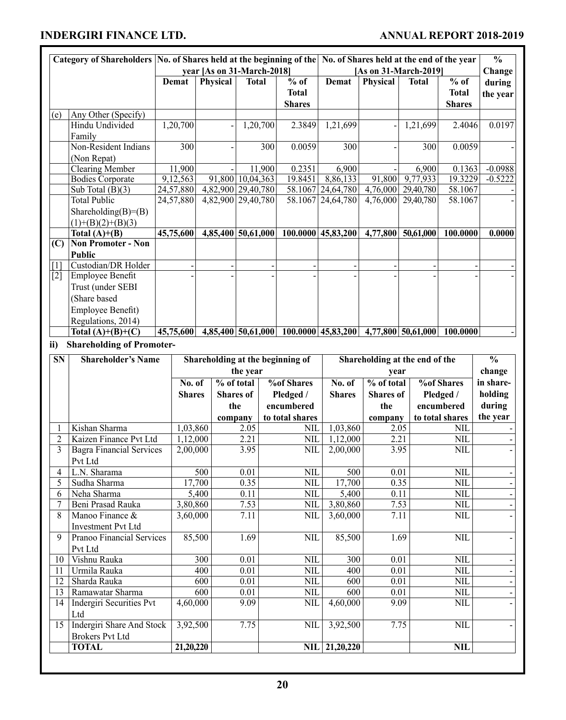|                         |                                  | Category of Shareholders No. of Shares held at the beginning of the No. of Shares held at the end of the year |               |                            |              |            |                                  |                                   | $\overline{\frac{0}{0}}$       |                                 |                             |                          |
|-------------------------|----------------------------------|---------------------------------------------------------------------------------------------------------------|---------------|----------------------------|--------------|------------|----------------------------------|-----------------------------------|--------------------------------|---------------------------------|-----------------------------|--------------------------|
|                         |                                  |                                                                                                               |               | year [As on 31-March-2018] |              |            |                                  |                                   | [As on 31-March-2019]          |                                 |                             | Change                   |
|                         |                                  | <b>Demat</b>                                                                                                  |               | Physical                   | <b>Total</b> |            | $%$ of                           | Demat                             | Physical                       | <b>Total</b>                    | $\overline{\frac{9}{6}}$ of | during                   |
|                         |                                  |                                                                                                               |               |                            |              |            | <b>Total</b>                     |                                   |                                |                                 | <b>Total</b>                | the year                 |
|                         |                                  |                                                                                                               |               |                            |              |            | <b>Shares</b>                    |                                   |                                |                                 | <b>Shares</b>               |                          |
| (e)                     | Any Other (Specify)              |                                                                                                               |               |                            |              |            |                                  |                                   |                                |                                 |                             |                          |
|                         | Hindu Undivided                  | 1,20,700                                                                                                      |               |                            | 1,20,700     |            | 2.3849                           | 1,21,699                          |                                | 1,21,699                        | 2.4046                      | 0.0197                   |
|                         | Family                           |                                                                                                               |               |                            |              |            |                                  |                                   |                                |                                 |                             |                          |
|                         | Non-Resident Indians             | 300                                                                                                           |               |                            |              | 300        | 0.0059                           | 300                               |                                | 300                             | 0.0059                      |                          |
|                         | (Non Repat)                      |                                                                                                               |               |                            |              |            |                                  |                                   |                                |                                 |                             |                          |
|                         | <b>Clearing Member</b>           | 11,900                                                                                                        |               |                            |              | 11,900     | 0.2351                           | 6,900                             |                                | 6,900                           | 0.1363                      | $-0.0988$                |
|                         | <b>Bodies Corporate</b>          | 9,12,563                                                                                                      |               | 91,800 10,04,363           |              |            | 19.8451                          | 8,86,133                          | 91,800                         | 9,77,933                        | 19.3229                     | $-0.5222$                |
|                         | Sub Total $(B)(3)$               | 24,57,880                                                                                                     |               | 4,82,900 29,40,780         |              |            |                                  | 58.1067 24,64,780                 | 4,76,000                       | 29,40,780                       | 58.1067                     |                          |
|                         | <b>Total Public</b>              | 24,57,880                                                                                                     |               | 4,82,900 29,40,780         |              |            |                                  | 58.1067 24,64,780                 | 4,76,000                       | 29,40,780                       | 58.1067                     |                          |
|                         | Shareholding $(B)= (B)$          |                                                                                                               |               |                            |              |            |                                  |                                   |                                |                                 |                             |                          |
|                         | $(1)+(B)(2)+(B)(3)$              |                                                                                                               |               |                            |              |            |                                  |                                   |                                |                                 |                             |                          |
|                         | Total $(A)+(B)$                  | 45,75,600                                                                                                     |               | $4,85,400$ 50,61,000       |              |            |                                  | $100.0000$ 45,83,200              |                                | $\overline{4,77,800}$ 50,61,000 | 100.0000                    | 0.0000                   |
| (C)                     | Non Promoter - Non               |                                                                                                               |               |                            |              |            |                                  |                                   |                                |                                 |                             |                          |
|                         | Public                           |                                                                                                               |               |                            |              |            |                                  |                                   |                                |                                 |                             |                          |
| [1]                     | Custodian/DR Holder              |                                                                                                               |               |                            |              |            |                                  |                                   |                                |                                 |                             |                          |
| $[2]$                   | Employee Benefit                 |                                                                                                               |               |                            |              |            |                                  |                                   |                                |                                 |                             |                          |
|                         | Trust (under SEBI                |                                                                                                               |               |                            |              |            |                                  |                                   |                                |                                 |                             |                          |
|                         | (Share based                     |                                                                                                               |               |                            |              |            |                                  |                                   |                                |                                 |                             |                          |
|                         |                                  |                                                                                                               |               |                            |              |            |                                  |                                   |                                |                                 |                             |                          |
|                         | Employee Benefit)                |                                                                                                               |               |                            |              |            |                                  |                                   |                                |                                 |                             |                          |
|                         | Regulations, 2014)               |                                                                                                               |               |                            |              |            |                                  |                                   |                                |                                 |                             |                          |
|                         | Total $(A)+(B)+(C)$              | 45,75,600                                                                                                     |               | $4,85,400$ 50,61,000       |              |            |                                  | $100.0000$ 45,83,200              |                                | $4,77,800$ 50,61,000            | 100.0000                    |                          |
| ii)                     | <b>Shareholding of Promoter-</b> |                                                                                                               |               |                            |              |            |                                  |                                   |                                |                                 |                             |                          |
| <b>SN</b>               | <b>Shareholder's Name</b>        |                                                                                                               |               |                            |              |            | Shareholding at the beginning of |                                   | Shareholding at the end of the |                                 |                             | $\frac{0}{0}$            |
|                         |                                  |                                                                                                               |               |                            | the year     |            |                                  |                                   | year                           |                                 |                             | change                   |
|                         |                                  |                                                                                                               | No. of        | % of total                 |              |            | <b>%of Shares</b>                | No. of                            | % of total                     |                                 | <b>%of Shares</b>           | in share-                |
|                         |                                  |                                                                                                               | <b>Shares</b> | <b>Shares</b> of           |              |            | Pledged /                        | <b>Shares</b><br><b>Shares</b> of |                                |                                 | Pledged /                   | holding                  |
|                         |                                  |                                                                                                               |               | the                        |              |            | encumbered                       |                                   | the                            |                                 | encumbered                  | during                   |
|                         |                                  |                                                                                                               |               | company                    |              |            | to total shares                  | company                           |                                |                                 | to total shares             | the year                 |
| 1                       | Kishan Sharma                    |                                                                                                               | 1,03,860      |                            | 2.05         | NIL        |                                  | $1,\overline{03,860}$             | 2.05                           |                                 | <b>NIL</b>                  |                          |
| $\overline{2}$          | Kaizen Finance Pvt Ltd           |                                                                                                               | 1,12,000      |                            | 2.21         | <b>NIL</b> |                                  | $1,\overline{12,000}$             | 2.21                           |                                 | <b>NIL</b>                  |                          |
| $\overline{\mathbf{3}}$ | <b>Bagra Financial Services</b>  |                                                                                                               | 2,00,000      |                            | 3.95         | <b>NIL</b> |                                  | 2,00,000                          | 3.95                           |                                 | <b>NIL</b>                  |                          |
|                         | Pvt Ltd                          |                                                                                                               |               |                            |              |            |                                  |                                   |                                |                                 |                             |                          |
| $\overline{4}$          | L.N. Sharama                     |                                                                                                               | 500           |                            | 0.01         | <b>NIL</b> |                                  |                                   | 500<br>0.01                    |                                 | <b>NIL</b>                  |                          |
| 5                       | Sudha Sharma                     |                                                                                                               | 17,700        |                            | 0.35         | <b>NIL</b> |                                  | 17,700                            |                                | 0.35                            |                             |                          |
| 6                       | Neha Sharma                      |                                                                                                               | 5,400         |                            | 0.11         |            | <b>NIL</b>                       | 5,400                             | 0.11                           |                                 | NIL<br><b>NIL</b>           | $\overline{\phantom{a}}$ |
| 7                       | Beni Prasad Rauka                |                                                                                                               | 3,80,860      |                            | 7.53         |            | <b>NIL</b>                       | 3,80,860                          |                                | 7.53                            | NIL                         |                          |
| $\overline{8}$          | Manoo Finance &                  |                                                                                                               | 3,60,000      |                            | 7.11         |            | <b>NIL</b>                       | 3,60,000                          |                                | 7.11                            | <b>NIL</b>                  |                          |
|                         | Investment Pvt Ltd               |                                                                                                               |               |                            |              |            |                                  |                                   |                                |                                 |                             |                          |
| 9                       | Pranoo Financial Services        |                                                                                                               | 85,500        |                            | 1.69         |            | <b>NIL</b>                       | 85,500                            |                                | 1.69                            | <b>NIL</b>                  |                          |
|                         |                                  |                                                                                                               |               |                            |              |            |                                  |                                   |                                |                                 |                             | -                        |
|                         | Pvt Ltd                          |                                                                                                               |               |                            |              |            |                                  |                                   |                                |                                 |                             |                          |
| 10                      | Vishnu Rauka                     |                                                                                                               | 300           |                            | 0.01         |            | $\text{NIL}$                     | 300                               | 0.01                           |                                 | <b>NIL</b>                  |                          |
| 11                      | Urmila Rauka                     |                                                                                                               | 400           |                            | 0.01         |            | <b>NIL</b>                       | 400                               | 0.01                           |                                 | <b>NIL</b>                  |                          |
| 12                      | Sharda Rauka                     |                                                                                                               | 600           |                            | 0.01         |            | <b>NIL</b>                       | 600                               | 0.01                           |                                 | <b>NIL</b>                  |                          |
| 13                      | Ramawatar Sharma                 |                                                                                                               | 600           |                            | 0.01         |            | <b>NIL</b>                       | 600                               | 0.01                           |                                 | <b>NIL</b>                  |                          |
| 14                      | Indergiri Securities Pvt         |                                                                                                               | 4,60,000      |                            | 9.09         |            | <b>NIL</b>                       | 4,60,000                          | 9.09                           |                                 | <b>NIL</b>                  |                          |
|                         | Ltd                              |                                                                                                               |               |                            |              |            |                                  |                                   |                                |                                 |                             |                          |
| 15                      | Indergiri Share And Stock        |                                                                                                               | 3,92,500      |                            | 7.75         |            | <b>NIL</b>                       | 3,92,500                          | 7.75                           |                                 | <b>NIL</b>                  | $\frac{1}{2}$            |
|                         | <b>Brokers Pvt Ltd</b>           |                                                                                                               |               |                            |              |            |                                  |                                   |                                |                                 |                             |                          |
|                         | <b>TOTAL</b>                     |                                                                                                               | 21,20,220     |                            |              |            |                                  | NIL 21,20,220                     |                                |                                 | $\overline{\text{NIL}}$     |                          |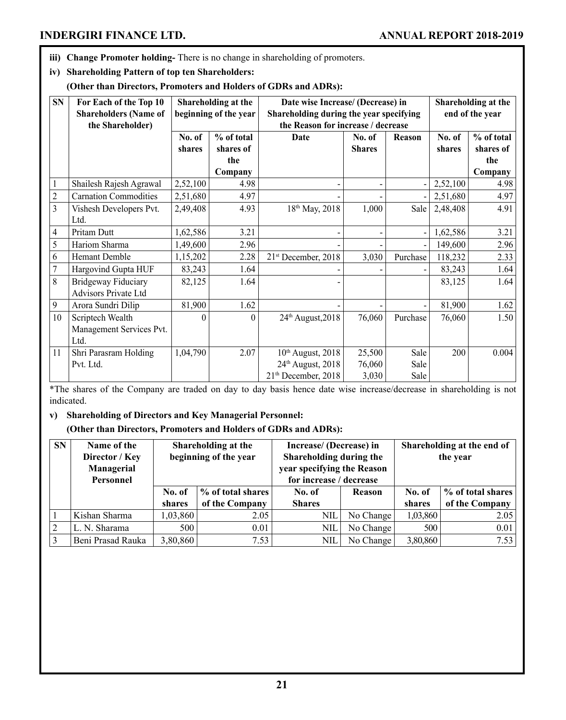- **iii) Change Promoter holding-** There is no change in shareholding of promoters.
- **iv) Shareholding Pattern of top ten Shareholders:**
	- **(Other than Directors, Promoters and Holders of GDRs and ADRs):**

| SN             | For Each of the Top 10<br><b>Shareholders (Name of</b><br>the Shareholder) |                  | Shareholding at the<br>beginning of the year | Date wise Increase/ (Decrease) in<br>Shareholding during the year specifying<br>the Reason for increase / decrease | Shareholding at the<br>end of the year |                      |                  |                                |
|----------------|----------------------------------------------------------------------------|------------------|----------------------------------------------|--------------------------------------------------------------------------------------------------------------------|----------------------------------------|----------------------|------------------|--------------------------------|
|                |                                                                            | No. of<br>shares | % of total<br>shares of<br>the               | Date                                                                                                               | No. of<br><b>Shares</b>                | <b>Reason</b>        | No. of<br>shares | % of total<br>shares of<br>the |
|                |                                                                            |                  | Company                                      |                                                                                                                    |                                        |                      |                  | Company                        |
| 1              | Shailesh Rajesh Agrawal                                                    | 2,52,100         | 4.98                                         |                                                                                                                    |                                        |                      | 2,52,100         | 4.98                           |
| $\overline{c}$ | <b>Carnation Commodities</b>                                               | 2,51,680         | 4.97                                         |                                                                                                                    |                                        |                      | 2,51,680         | 4.97                           |
| $\overline{3}$ | Vishesh Developers Pvt.<br>Ltd.                                            | 2,49,408         | 4.93                                         | 18 <sup>th</sup> May, 2018                                                                                         | 1,000                                  | Sale                 | 2,48,408         | 4.91                           |
| 4              | Pritam Dutt                                                                | 1,62,586         | 3.21                                         |                                                                                                                    |                                        |                      | 1,62,586         | 3.21                           |
| 5              | Hariom Sharma                                                              | 1,49,600         | 2.96                                         |                                                                                                                    |                                        |                      | 149,600          | 2.96                           |
| 6              | Hemant Demble                                                              | 1,15,202         | 2.28                                         | 21st December, 2018                                                                                                | 3,030                                  | Purchase             | 118,232          | 2.33                           |
| 7              | Hargovind Gupta HUF                                                        | 83,243           | 1.64                                         |                                                                                                                    |                                        |                      | 83,243           | 1.64                           |
| 8              | Bridgeway Fiduciary<br><b>Advisors Private Ltd</b>                         | 82,125           | 1.64                                         |                                                                                                                    |                                        |                      | 83,125           | 1.64                           |
| 9              | Arora Sundri Dilip                                                         | 81,900           | 1.62                                         |                                                                                                                    |                                        |                      | 81,900           | 1.62                           |
| 10             | Scriptech Wealth<br>Management Services Pvt.<br>Ltd.                       | 0                | $\theta$                                     | 24th August, 2018                                                                                                  | 76,060                                 | Purchase             | 76,060           | 1.50                           |
| 11             | Shri Parasram Holding<br>Pvt. Ltd.                                         | 1,04,790         | 2.07                                         | $10th$ August, 2018<br>24 <sup>th</sup> August, 2018<br>21 <sup>th</sup> December, 2018                            | 25,500<br>76,060<br>3,030              | Sale<br>Sale<br>Sale | 200              | 0.004                          |

\*The shares of the Company are traded on day to day basis hence date wise increase/decrease in shareholding is not indicated.

### **v) Shareholding of Directors and Key Managerial Personnel:**

**(Other than Directors, Promoters and Holders of GDRs and ADRs):**

| <b>SN</b> | Name of the<br>Director / Key<br>Managerial<br>Personnel | Shareholding at the<br>beginning of the year |                   | Increase/ (Decrease) in<br>Shareholding during the<br>year specifying the Reason<br>for increase / decrease |               | Shareholding at the end of<br>the year |                   |
|-----------|----------------------------------------------------------|----------------------------------------------|-------------------|-------------------------------------------------------------------------------------------------------------|---------------|----------------------------------------|-------------------|
|           |                                                          | No. of                                       | % of total shares | No. of                                                                                                      | <b>Reason</b> | No. of                                 | % of total shares |
|           |                                                          | shares                                       | of the Company    | <b>Shares</b>                                                                                               |               | shares                                 | of the Company    |
|           | Kishan Sharma                                            | 1,03,860                                     | 2.05              | NIL                                                                                                         | No Change     | 1,03,860                               | 2.05              |
|           | L. N. Sharama                                            | 500                                          | 0.01              | NIL                                                                                                         | No Change     | 500                                    | 0.01              |
|           | Beni Prasad Rauka                                        | 3,80,860                                     | 7.53              | NIL                                                                                                         | No Change     | 3,80,860                               | 7.53              |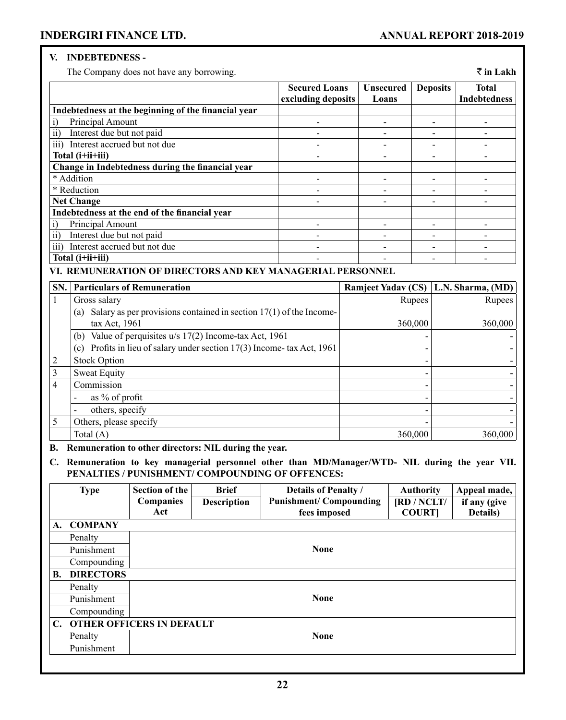### **V. INDEBTEDNESS -**

The Company does not have any borrowing.  $\vec{\tau}$  in Lakh

|                                                     | <b>Secured Loans</b><br>excluding deposits | <b>Unsecured</b><br>Loans | <b>Deposits</b>          | <b>Total</b><br><b>Indebtedness</b> |
|-----------------------------------------------------|--------------------------------------------|---------------------------|--------------------------|-------------------------------------|
| Indebtedness at the beginning of the financial year |                                            |                           |                          |                                     |
| Principal Amount<br>1)                              | -                                          |                           |                          |                                     |
| Interest due but not paid<br>$\overline{ii}$        |                                            |                           |                          |                                     |
| $\overline{iii}$<br>Interest accrued but not due    |                                            |                           | $\overline{\phantom{0}}$ |                                     |
| Total (i+ii+iii)                                    |                                            |                           |                          |                                     |
| Change in Indebtedness during the financial year    |                                            |                           |                          |                                     |
| * Addition                                          |                                            |                           |                          |                                     |
| * Reduction                                         |                                            |                           |                          |                                     |
| <b>Net Change</b>                                   |                                            |                           |                          |                                     |
| Indebtedness at the end of the financial year       |                                            |                           |                          |                                     |
| Principal Amount<br>1)                              |                                            |                           |                          |                                     |
| $\overline{ii}$<br>Interest due but not paid        |                                            |                           |                          |                                     |
| Interest accrued but not due<br>111)                |                                            |                           |                          |                                     |
| Total (i+ii+iii)                                    |                                            |                           |                          |                                     |

### **VI. REMUNERATION OF DIRECTORS AND KEY MANAGERIAL PERSONNEL**

| SN. | <b>Particulars of Remuneration</b>                                          | Ramjeet Yadav (CS)       | L.N. Sharma, (MD) |
|-----|-----------------------------------------------------------------------------|--------------------------|-------------------|
|     | Gross salary                                                                | Rupees                   | Rupees            |
|     | Salary as per provisions contained in section $17(1)$ of the Income-<br>(a) |                          |                   |
|     | tax Act, 1961                                                               | 360,000                  | 360,000           |
|     | Value of perquisites u/s 17(2) Income-tax Act, 1961<br>(b)                  |                          |                   |
|     | Profits in lieu of salary under section 17(3) Income-tax Act, 1961<br>(c)   | $\overline{\phantom{0}}$ |                   |
|     | <b>Stock Option</b>                                                         |                          |                   |
|     | <b>Sweat Equity</b>                                                         |                          |                   |
| 4   | Commission                                                                  |                          |                   |
|     | as $\%$ of profit<br>$\overline{\phantom{a}}$                               | $\overline{\phantom{0}}$ |                   |
|     | others, specify<br>$\overline{\phantom{a}}$                                 |                          |                   |
|     | Others, please specify                                                      |                          |                   |
|     | Total (A)                                                                   | 360,000                  | 360,000           |

**B. Remuneration to other directors: NIL during the year.**

**C. Remuneration to key managerial personnel other than MD/Manager/WTD- NIL during the year VII. PENALTIES / PUNISHMENT/ COMPOUNDING OF OFFENCES:**

|           | <b>Type</b>      | <b>Section of the</b>        | <b>Brief</b>       | <b>Details of Penalty /</b>   | <b>Authority</b> | Appeal made, |
|-----------|------------------|------------------------------|--------------------|-------------------------------|------------------|--------------|
|           |                  | Companies                    | <b>Description</b> | <b>Punishment/Compounding</b> | [RD / NCLT/      | if any (give |
|           |                  | Act                          |                    | fees imposed                  | <b>COURT</b>     | Details)     |
| A.        | <b>COMPANY</b>   |                              |                    |                               |                  |              |
|           | Penalty          |                              |                    |                               |                  |              |
|           | Punishment       |                              |                    | <b>None</b>                   |                  |              |
|           | Compounding      |                              |                    |                               |                  |              |
| <b>B.</b> | <b>DIRECTORS</b> |                              |                    |                               |                  |              |
|           | Penalty          |                              |                    |                               |                  |              |
|           | Punishment       |                              |                    | <b>None</b>                   |                  |              |
|           | Compounding      |                              |                    |                               |                  |              |
|           |                  | C. OTHER OFFICERS IN DEFAULT |                    |                               |                  |              |
|           | Penalty          |                              |                    | <b>None</b>                   |                  |              |
|           | Punishment       |                              |                    |                               |                  |              |
|           |                  |                              |                    |                               |                  |              |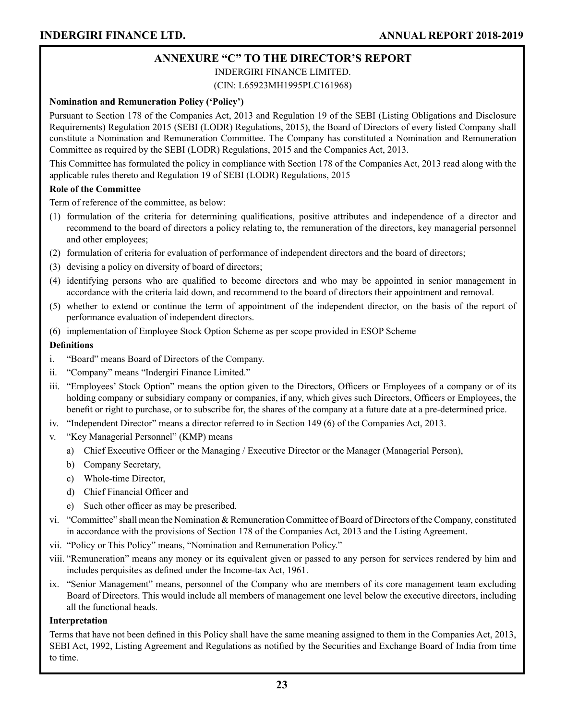### **ANNEXURE "C" TO THE DIRECTOR'S REPORT**

INDERGIRI FINANCE LIMITED.

(CIN: L65923MH1995PLC161968)

### **Nomination and Remuneration Policy ('Policy')**

Pursuant to Section 178 of the Companies Act, 2013 and Regulation 19 of the SEBI (Listing Obligations and Disclosure Requirements) Regulation 2015 (SEBI (LODR) Regulations, 2015), the Board of Directors of every listed Company shall constitute a Nomination and Remuneration Committee. The Company has constituted a Nomination and Remuneration Committee as required by the SEBI (LODR) Regulations, 2015 and the Companies Act, 2013.

This Committee has formulated the policy in compliance with Section 178 of the Companies Act, 2013 read along with the applicable rules thereto and Regulation 19 of SEBI (LODR) Regulations, 2015

### **Role of the Committee**

Term of reference of the committee, as below:

- (1) formulation of the criteria for determining qualifications, positive attributes and independence of a director and recommend to the board of directors a policy relating to, the remuneration of the directors, key managerial personnel and other employees;
- (2) formulation of criteria for evaluation of performance of independent directors and the board of directors;
- (3) devising a policy on diversity of board of directors;
- (4) identifying persons who are qualified to become directors and who may be appointed in senior management in accordance with the criteria laid down, and recommend to the board of directors their appointment and removal.
- (5) whether to extend or continue the term of appointment of the independent director, on the basis of the report of performance evaluation of independent directors.
- (6) implementation of Employee Stock Option Scheme as per scope provided in ESOP Scheme

### **Definitions**

- i. "Board" means Board of Directors of the Company.
- ii. "Company" means "Indergiri Finance Limited."
- iii. "Employees' Stock Option" means the option given to the Directors, Officers or Employees of a company or of its holding company or subsidiary company or companies, if any, which gives such Directors, Officers or Employees, the benefit or right to purchase, or to subscribe for, the shares of the company at a future date at a pre-determined price.
- iv. "Independent Director" means a director referred to in Section 149 (6) of the Companies Act, 2013.
- v. "Key Managerial Personnel" (KMP) means
	- a) Chief Executive Officer or the Managing / Executive Director or the Manager (Managerial Person),
	- b) Company Secretary,
	- c) Whole-time Director,
	- d) Chief Financial Officer and
	- e) Such other officer as may be prescribed.
- vi. "Committee" shall mean the Nomination & Remuneration Committee of Board of Directors of the Company, constituted in accordance with the provisions of Section 178 of the Companies Act, 2013 and the Listing Agreement.
- vii. "Policy or This Policy" means, "Nomination and Remuneration Policy."
- viii. "Remuneration" means any money or its equivalent given or passed to any person for services rendered by him and includes perquisites as defined under the Income-tax Act, 1961.
- ix. "Senior Management" means, personnel of the Company who are members of its core management team excluding Board of Directors. This would include all members of management one level below the executive directors, including all the functional heads.

### **Interpretation**

Terms that have not been defined in this Policy shall have the same meaning assigned to them in the Companies Act, 2013, SEBI Act, 1992, Listing Agreement and Regulations as notified by the Securities and Exchange Board of India from time to time.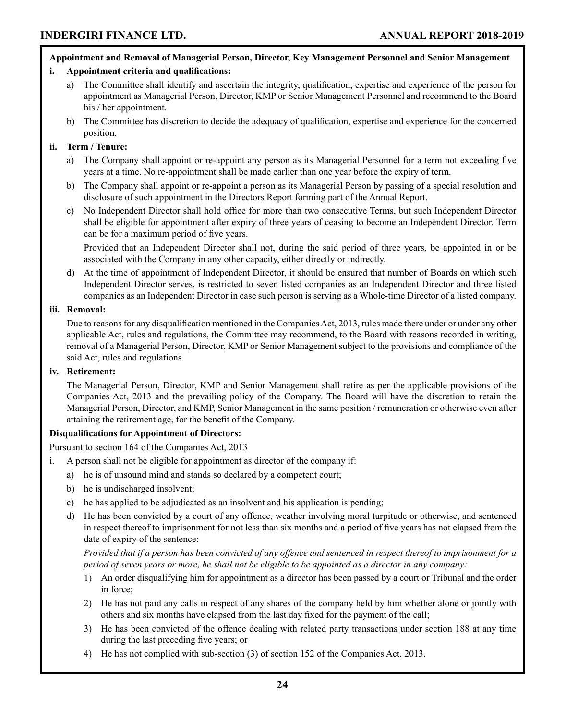### **Appointment and Removal of Managerial Person, Director, Key Management Personnel and Senior Management**

### **i. Appointment criteria and qualifications:**

- a) The Committee shall identify and ascertain the integrity, qualification, expertise and experience of the person for appointment as Managerial Person, Director, KMP or Senior Management Personnel and recommend to the Board his / her appointment.
- b) The Committee has discretion to decide the adequacy of qualification, expertise and experience for the concerned position.

### **ii. Term / Tenure:**

- a) The Company shall appoint or re-appoint any person as its Managerial Personnel for a term not exceeding five years at a time. No re-appointment shall be made earlier than one year before the expiry of term.
- b) The Company shall appoint or re-appoint a person as its Managerial Person by passing of a special resolution and disclosure of such appointment in the Directors Report forming part of the Annual Report.
- c) No Independent Director shall hold office for more than two consecutive Terms, but such Independent Director shall be eligible for appointment after expiry of three years of ceasing to become an Independent Director. Term can be for a maximum period of five years.

Provided that an Independent Director shall not, during the said period of three years, be appointed in or be associated with the Company in any other capacity, either directly or indirectly.

d) At the time of appointment of Independent Director, it should be ensured that number of Boards on which such Independent Director serves, is restricted to seven listed companies as an Independent Director and three listed companies as an Independent Director in case such person is serving as a Whole-time Director of a listed company.

### **iii. Removal:**

Due to reasons for any disqualification mentioned in the Companies Act, 2013, rules made there under or under any other applicable Act, rules and regulations, the Committee may recommend, to the Board with reasons recorded in writing, removal of a Managerial Person, Director, KMP or Senior Management subject to the provisions and compliance of the said Act, rules and regulations.

### **iv. Retirement:**

The Managerial Person, Director, KMP and Senior Management shall retire as per the applicable provisions of the Companies Act, 2013 and the prevailing policy of the Company. The Board will have the discretion to retain the Managerial Person, Director, and KMP, Senior Management in the same position / remuneration or otherwise even after attaining the retirement age, for the benefit of the Company.

### **Disqualifications for Appointment of Directors:**

Pursuant to section 164 of the Companies Act, 2013

- i. A person shall not be eligible for appointment as director of the company if:
	- a) he is of unsound mind and stands so declared by a competent court;
	- b) he is undischarged insolvent;
	- c) he has applied to be adjudicated as an insolvent and his application is pending;
	- d) He has been convicted by a court of any offence, weather involving moral turpitude or otherwise, and sentenced in respect thereof to imprisonment for not less than six months and a period of five years has not elapsed from the date of expiry of the sentence:

*Provided that if a person has been convicted of any offence and sentenced in respect thereof to imprisonment for a period of seven years or more, he shall not be eligible to be appointed as a director in any company:*

- 1) An order disqualifying him for appointment as a director has been passed by a court or Tribunal and the order in force;
- 2) He has not paid any calls in respect of any shares of the company held by him whether alone or jointly with others and six months have elapsed from the last day fixed for the payment of the call;
- 3) He has been convicted of the offence dealing with related party transactions under section 188 at any time during the last preceding five years; or
- 4) He has not complied with sub-section (3) of section 152 of the Companies Act, 2013.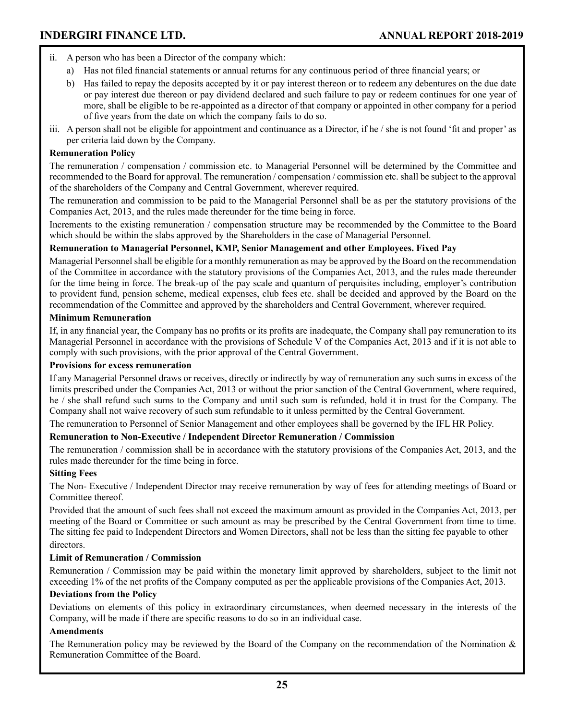- ii. A person who has been a Director of the company which:
	- a) Has not filed financial statements or annual returns for any continuous period of three financial years; or
	- b) Has failed to repay the deposits accepted by it or pay interest thereon or to redeem any debentures on the due date or pay interest due thereon or pay dividend declared and such failure to pay or redeem continues for one year of more, shall be eligible to be re-appointed as a director of that company or appointed in other company for a period of five years from the date on which the company fails to do so.
- iii. A person shall not be eligible for appointment and continuance as a Director, if he / she is not found 'fit and proper' as per criteria laid down by the Company.

### **Remuneration Policy**

The remuneration / compensation / commission etc. to Managerial Personnel will be determined by the Committee and recommended to the Board for approval. The remuneration / compensation / commission etc. shall be subject to the approval of the shareholders of the Company and Central Government, wherever required.

The remuneration and commission to be paid to the Managerial Personnel shall be as per the statutory provisions of the Companies Act, 2013, and the rules made thereunder for the time being in force.

Increments to the existing remuneration / compensation structure may be recommended by the Committee to the Board which should be within the slabs approved by the Shareholders in the case of Managerial Personnel.

### **Remuneration to Managerial Personnel, KMP, Senior Management and other Employees. Fixed Pay**

Managerial Personnel shall be eligible for a monthly remuneration as may be approved by the Board on the recommendation of the Committee in accordance with the statutory provisions of the Companies Act, 2013, and the rules made thereunder for the time being in force. The break-up of the pay scale and quantum of perquisites including, employer's contribution to provident fund, pension scheme, medical expenses, club fees etc. shall be decided and approved by the Board on the recommendation of the Committee and approved by the shareholders and Central Government, wherever required.

### **Minimum Remuneration**

If, in any financial year, the Company has no profits or its profits are inadequate, the Company shall pay remuneration to its Managerial Personnel in accordance with the provisions of Schedule V of the Companies Act, 2013 and if it is not able to comply with such provisions, with the prior approval of the Central Government.

### **Provisions for excess remuneration**

If any Managerial Personnel draws or receives, directly or indirectly by way of remuneration any such sums in excess of the limits prescribed under the Companies Act, 2013 or without the prior sanction of the Central Government, where required, he / she shall refund such sums to the Company and until such sum is refunded, hold it in trust for the Company. The Company shall not waive recovery of such sum refundable to it unless permitted by the Central Government.

The remuneration to Personnel of Senior Management and other employees shall be governed by the IFL HR Policy.

### **Remuneration to Non-Executive / Independent Director Remuneration / Commission**

The remuneration / commission shall be in accordance with the statutory provisions of the Companies Act, 2013, and the rules made thereunder for the time being in force.

### **Sitting Fees**

The Non- Executive / Independent Director may receive remuneration by way of fees for attending meetings of Board or Committee thereof.

Provided that the amount of such fees shall not exceed the maximum amount as provided in the Companies Act, 2013, per meeting of the Board or Committee or such amount as may be prescribed by the Central Government from time to time. The sitting fee paid to Independent Directors and Women Directors, shall not be less than the sitting fee payable to other directors.

### **Limit of Remuneration / Commission**

Remuneration / Commission may be paid within the monetary limit approved by shareholders, subject to the limit not exceeding 1% of the net profits of the Company computed as per the applicable provisions of the Companies Act, 2013.

### **Deviations from the Policy**

Deviations on elements of this policy in extraordinary circumstances, when deemed necessary in the interests of the Company, will be made if there are specific reasons to do so in an individual case.

#### **Amendments**

The Remuneration policy may be reviewed by the Board of the Company on the recommendation of the Nomination  $\&$ Remuneration Committee of the Board.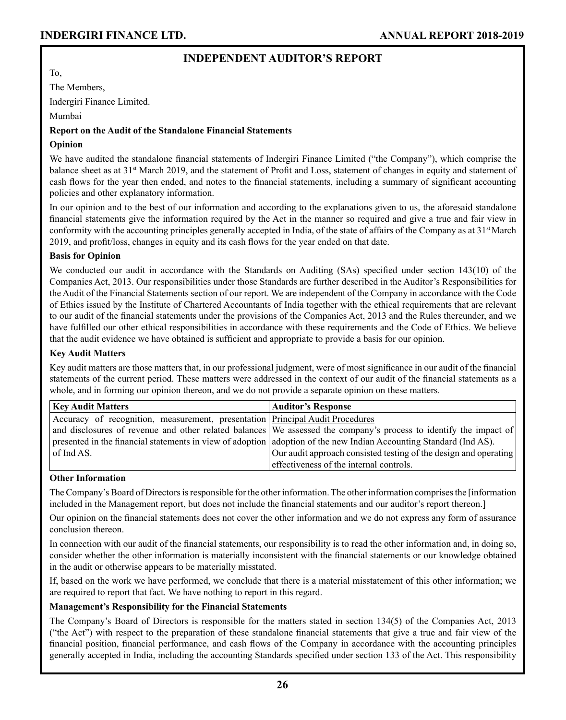### **INDEPENDENT AUDITOR'S REPORT**

To,

The Members,

Indergiri Finance Limited.

Mumbai

### **Report on the Audit of the Standalone Financial Statements**

### **Opinion**

We have audited the standalone financial statements of Indergiri Finance Limited ("the Company"), which comprise the balance sheet as at 31<sup>st</sup> March 2019, and the statement of Profit and Loss, statement of changes in equity and statement of cash flows for the year then ended, and notes to the financial statements, including a summary of significant accounting policies and other explanatory information.

In our opinion and to the best of our information and according to the explanations given to us, the aforesaid standalone financial statements give the information required by the Act in the manner so required and give a true and fair view in conformity with the accounting principles generally accepted in India, of the state of affairs of the Company as at  $31<sup>st</sup>$  March 2019, and profit/loss, changes in equity and its cash flows for the year ended on that date.

### **Basis for Opinion**

We conducted our audit in accordance with the Standards on Auditing (SAs) specified under section 143(10) of the Companies Act, 2013. Our responsibilities under those Standards are further described in the Auditor's Responsibilities for the Audit of the Financial Statements section of our report. We are independent of the Company in accordance with the Code of Ethics issued by the Institute of Chartered Accountants of India together with the ethical requirements that are relevant to our audit of the financial statements under the provisions of the Companies Act, 2013 and the Rules thereunder, and we have fulfilled our other ethical responsibilities in accordance with these requirements and the Code of Ethics. We believe that the audit evidence we have obtained is sufficient and appropriate to provide a basis for our opinion.

### **Key Audit Matters**

Key audit matters are those matters that, in our professional judgment, were of most significance in our audit of the financial statements of the current period. These matters were addressed in the context of our audit of the financial statements as a whole, and in forming our opinion thereon, and we do not provide a separate opinion on these matters.

| <b>Key Audit Matters</b>                                                      | <b>Auditor's Response</b>                                                                                          |
|-------------------------------------------------------------------------------|--------------------------------------------------------------------------------------------------------------------|
| Accuracy of recognition, measurement, presentation Principal Audit Procedures |                                                                                                                    |
|                                                                               | and disclosures of revenue and other related balances We assessed the company's process to identify the impact of  |
|                                                                               | presented in the financial statements in view of adoption adoption of the new Indian Accounting Standard (Ind AS). |
| of Ind AS.                                                                    | Our audit approach consisted testing of the design and operating                                                   |
|                                                                               | effectiveness of the internal controls.                                                                            |

### **Other Information**

The Company's Board of Directors is responsible for the other information. The other information comprises the [information included in the Management report, but does not include the financial statements and our auditor's report thereon.]

Our opinion on the financial statements does not cover the other information and we do not express any form of assurance conclusion thereon.

In connection with our audit of the financial statements, our responsibility is to read the other information and, in doing so, consider whether the other information is materially inconsistent with the financial statements or our knowledge obtained in the audit or otherwise appears to be materially misstated.

If, based on the work we have performed, we conclude that there is a material misstatement of this other information; we are required to report that fact. We have nothing to report in this regard.

### **Management's Responsibility for the Financial Statements**

The Company's Board of Directors is responsible for the matters stated in section 134(5) of the Companies Act, 2013 ("the Act") with respect to the preparation of these standalone financial statements that give a true and fair view of the financial position, financial performance, and cash flows of the Company in accordance with the accounting principles generally accepted in India, including the accounting Standards specified under section 133 of the Act. This responsibility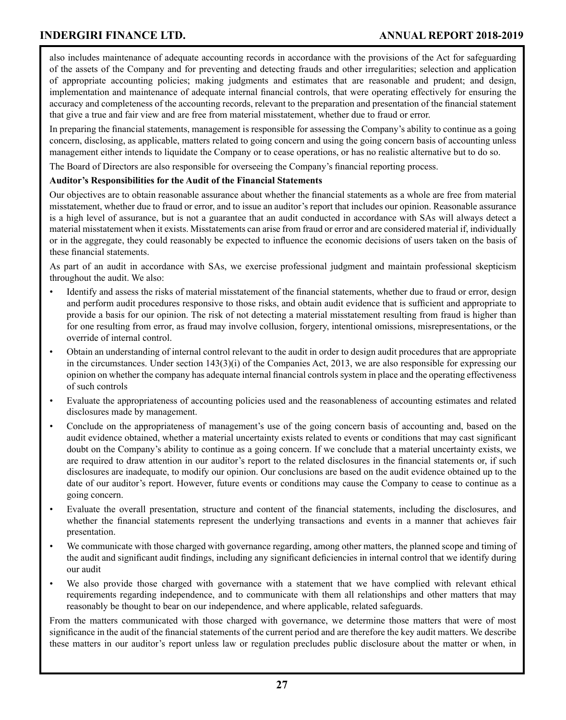also includes maintenance of adequate accounting records in accordance with the provisions of the Act for safeguarding of the assets of the Company and for preventing and detecting frauds and other irregularities; selection and application of appropriate accounting policies; making judgments and estimates that are reasonable and prudent; and design, implementation and maintenance of adequate internal financial controls, that were operating effectively for ensuring the accuracy and completeness of the accounting records, relevant to the preparation and presentation of the financial statement that give a true and fair view and are free from material misstatement, whether due to fraud or error.

In preparing the financial statements, management is responsible for assessing the Company's ability to continue as a going concern, disclosing, as applicable, matters related to going concern and using the going concern basis of accounting unless management either intends to liquidate the Company or to cease operations, or has no realistic alternative but to do so.

The Board of Directors are also responsible for overseeing the Company's financial reporting process.

### **Auditor's Responsibilities for the Audit of the Financial Statements**

Our objectives are to obtain reasonable assurance about whether the financial statements as a whole are free from material misstatement, whether due to fraud or error, and to issue an auditor's report that includes our opinion. Reasonable assurance is a high level of assurance, but is not a guarantee that an audit conducted in accordance with SAs will always detect a material misstatement when it exists. Misstatements can arise from fraud or error and are considered material if, individually or in the aggregate, they could reasonably be expected to influence the economic decisions of users taken on the basis of these financial statements.

As part of an audit in accordance with SAs, we exercise professional judgment and maintain professional skepticism throughout the audit. We also:

- Identify and assess the risks of material misstatement of the financial statements, whether due to fraud or error, design and perform audit procedures responsive to those risks, and obtain audit evidence that is sufficient and appropriate to provide a basis for our opinion. The risk of not detecting a material misstatement resulting from fraud is higher than for one resulting from error, as fraud may involve collusion, forgery, intentional omissions, misrepresentations, or the override of internal control.
- Obtain an understanding of internal control relevant to the audit in order to design audit procedures that are appropriate in the circumstances. Under section 143(3)(i) of the Companies Act, 2013, we are also responsible for expressing our opinion on whether the company has adequate internal financial controls system in place and the operating effectiveness of such controls
- Evaluate the appropriateness of accounting policies used and the reasonableness of accounting estimates and related disclosures made by management.
- Conclude on the appropriateness of management's use of the going concern basis of accounting and, based on the audit evidence obtained, whether a material uncertainty exists related to events or conditions that may cast significant doubt on the Company's ability to continue as a going concern. If we conclude that a material uncertainty exists, we are required to draw attention in our auditor's report to the related disclosures in the financial statements or, if such disclosures are inadequate, to modify our opinion. Our conclusions are based on the audit evidence obtained up to the date of our auditor's report. However, future events or conditions may cause the Company to cease to continue as a going concern.
- Evaluate the overall presentation, structure and content of the financial statements, including the disclosures, and whether the financial statements represent the underlying transactions and events in a manner that achieves fair presentation.
- We communicate with those charged with governance regarding, among other matters, the planned scope and timing of the audit and significant audit findings, including any significant deficiencies in internal control that we identify during our audit
- We also provide those charged with governance with a statement that we have complied with relevant ethical requirements regarding independence, and to communicate with them all relationships and other matters that may reasonably be thought to bear on our independence, and where applicable, related safeguards.

From the matters communicated with those charged with governance, we determine those matters that were of most significance in the audit of the financial statements of the current period and are therefore the key audit matters. We describe these matters in our auditor's report unless law or regulation precludes public disclosure about the matter or when, in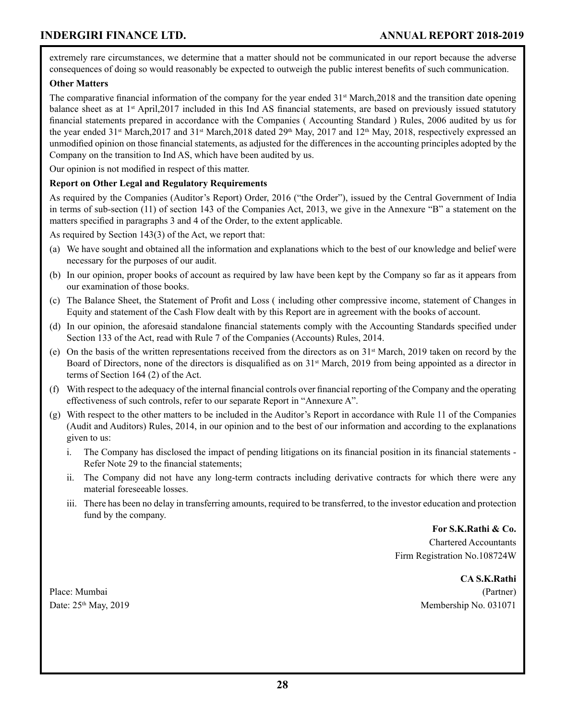extremely rare circumstances, we determine that a matter should not be communicated in our report because the adverse consequences of doing so would reasonably be expected to outweigh the public interest benefits of such communication.

### **Other Matters**

The comparative financial information of the company for the year ended  $31<sup>st</sup>$  March, 2018 and the transition date opening balance sheet as at 1<sup>st</sup> April, 2017 included in this Ind AS financial statements, are based on previously issued statutory financial statements prepared in accordance with the Companies ( Accounting Standard ) Rules, 2006 audited by us for the year ended  $31<sup>st</sup> March,2017$  and  $31<sup>st</sup> March,2018$  dated  $29<sup>th</sup> May, 2017$  and  $12<sup>th</sup> May, 2018$ , respectively expressed an unmodified opinion on those financial statements, as adjusted for the differences in the accounting principles adopted by the Company on the transition to Ind AS, which have been audited by us.

Our opinion is not modified in respect of this matter.

### **Report on Other Legal and Regulatory Requirements**

As required by the Companies (Auditor's Report) Order, 2016 ("the Order"), issued by the Central Government of India in terms of sub-section (11) of section 143 of the Companies Act, 2013, we give in the Annexure "B" a statement on the matters specified in paragraphs 3 and 4 of the Order, to the extent applicable.

As required by Section 143(3) of the Act, we report that:

- (a) We have sought and obtained all the information and explanations which to the best of our knowledge and belief were necessary for the purposes of our audit.
- (b) In our opinion, proper books of account as required by law have been kept by the Company so far as it appears from our examination of those books.
- (c) The Balance Sheet, the Statement of Profit and Loss ( including other compressive income, statement of Changes in Equity and statement of the Cash Flow dealt with by this Report are in agreement with the books of account.
- (d) In our opinion, the aforesaid standalone financial statements comply with the Accounting Standards specified under Section 133 of the Act, read with Rule 7 of the Companies (Accounts) Rules, 2014.
- (e) On the basis of the written representations received from the directors as on  $31<sup>st</sup>$  March, 2019 taken on record by the Board of Directors, none of the directors is disqualified as on  $31<sup>st</sup>$  March, 2019 from being appointed as a director in terms of Section 164 (2) of the Act.
- (f) With respect to the adequacy of the internal financial controls over financial reporting of the Company and the operating effectiveness of such controls, refer to our separate Report in "Annexure A".
- (g) With respect to the other matters to be included in the Auditor's Report in accordance with Rule 11 of the Companies (Audit and Auditors) Rules, 2014, in our opinion and to the best of our information and according to the explanations given to us:
	- i. The Company has disclosed the impact of pending litigations on its financial position in its financial statements -Refer Note 29 to the financial statements;
	- ii. The Company did not have any long-term contracts including derivative contracts for which there were any material foreseeable losses.
	- iii. There has been no delay in transferring amounts, required to be transferred, to the investor education and protection fund by the company.

**For S.K.Rathi & Co.** Chartered Accountants

Firm Registration No.108724W

**CA S.K.Rathi** Place: Mumbai (Partner) Date:  $25<sup>th</sup>$  May, 2019 Membership No. 031071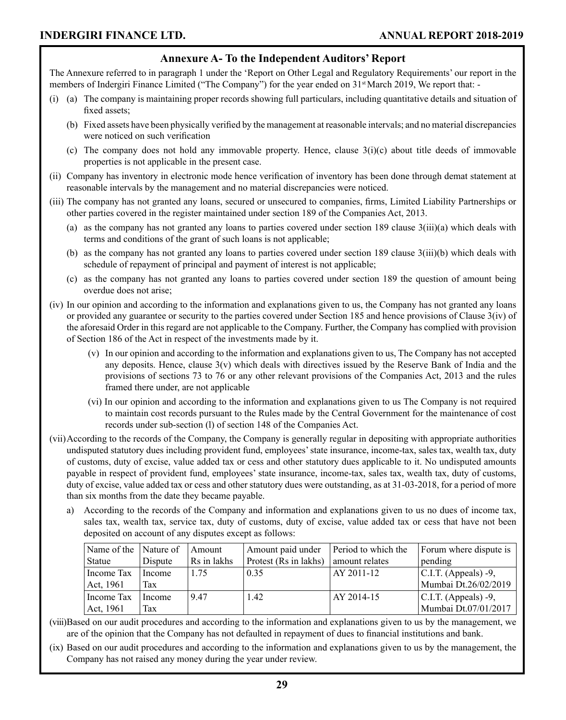### **Annexure A- To the Independent Auditors' Report**

The Annexure referred to in paragraph 1 under the 'Report on Other Legal and Regulatory Requirements' our report in the members of Indergiri Finance Limited ("The Company") for the year ended on 31<sup>st</sup> March 2019, We report that: -

- (i) (a) The company is maintaining proper records showing full particulars, including quantitative details and situation of fixed assets;
	- (b) Fixed assets have been physically verified by the management at reasonable intervals; and no material discrepancies were noticed on such verification
	- (c) The company does not hold any immovable property. Hence, clause  $3(i)(c)$  about title deeds of immovable properties is not applicable in the present case.
- (ii) Company has inventory in electronic mode hence verification of inventory has been done through demat statement at reasonable intervals by the management and no material discrepancies were noticed.
- (iii) The company has not granted any loans, secured or unsecured to companies, firms, Limited Liability Partnerships or other parties covered in the register maintained under section 189 of the Companies Act, 2013.
	- (a) as the company has not granted any loans to parties covered under section 189 clause 3(iii)(a) which deals with terms and conditions of the grant of such loans is not applicable;
	- (b) as the company has not granted any loans to parties covered under section 189 clause 3(iii)(b) which deals with schedule of repayment of principal and payment of interest is not applicable;
	- (c) as the company has not granted any loans to parties covered under section 189 the question of amount being overdue does not arise;
- (iv) In our opinion and according to the information and explanations given to us, the Company has not granted any loans or provided any guarantee or security to the parties covered under Section 185 and hence provisions of Clause  $3(iv)$  of the aforesaid Order in this regard are not applicable to the Company. Further, the Company has complied with provision of Section 186 of the Act in respect of the investments made by it.
	- (v) In our opinion and according to the information and explanations given to us, The Company has not accepted any deposits. Hence, clause 3(v) which deals with directives issued by the Reserve Bank of India and the provisions of sections 73 to 76 or any other relevant provisions of the Companies Act, 2013 and the rules framed there under, are not applicable
	- (vi) In our opinion and according to the information and explanations given to us The Company is not required to maintain cost records pursuant to the Rules made by the Central Government for the maintenance of cost records under sub-section (l) of section 148 of the Companies Act.
- (vii)According to the records of the Company, the Company is generally regular in depositing with appropriate authorities undisputed statutory dues including provident fund, employees' state insurance, income-tax, sales tax, wealth tax, duty of customs, duty of excise, value added tax or cess and other statutory dues applicable to it. No undisputed amounts payable in respect of provident fund, employees' state insurance, income-tax, sales tax, wealth tax, duty of customs, duty of excise, value added tax or cess and other statutory dues were outstanding, as at 31-03-2018, for a period of more than six months from the date they became payable.
	- a) According to the records of the Company and information and explanations given to us no dues of income tax, sales tax, wealth tax, service tax, duty of customs, duty of excise, value added tax or cess that have not been deposited on account of any disputes except as follows:

| Name of the | Nature of | Amount      | Amount paid under     | Period to which the | Forum where dispute is   |
|-------------|-----------|-------------|-----------------------|---------------------|--------------------------|
| Statue      | Dispute   | Rs in lakhs | Protest (Rs in lakhs) | amount relates      | pending                  |
| Income Tax  | Income    | 1.75        | 0.35                  | AY 2011-12          | $ $ C.I.T. (Appeals) -9, |
| Act, 1961   | Tax       |             |                       |                     | Mumbai Dt.26/02/2019     |
| Income Tax  | Income    | 9.47        | .42                   | AY 2014-15          | $ $ C.I.T. (Appeals) -9, |
| Act, 1961   | Tax       |             |                       |                     | Mumbai Dt.07/01/2017     |

(viii)Based on our audit procedures and according to the information and explanations given to us by the management, we are of the opinion that the Company has not defaulted in repayment of dues to financial institutions and bank.

(ix) Based on our audit procedures and according to the information and explanations given to us by the management, the Company has not raised any money during the year under review.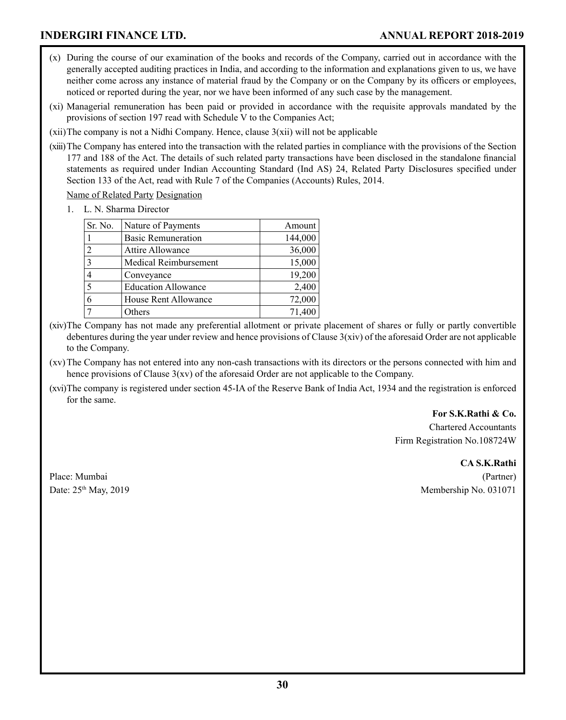- (x) During the course of our examination of the books and records of the Company, carried out in accordance with the generally accepted auditing practices in India, and according to the information and explanations given to us, we have neither come across any instance of material fraud by the Company or on the Company by its officers or employees, noticed or reported during the year, nor we have been informed of any such case by the management.
- (xi) Managerial remuneration has been paid or provided in accordance with the requisite approvals mandated by the provisions of section 197 read with Schedule V to the Companies Act;
- $(xii)$ The company is not a Nidhi Company. Hence, clause  $3(xii)$  will not be applicable
- (xiii)The Company has entered into the transaction with the related parties in compliance with the provisions of the Section 177 and 188 of the Act. The details of such related party transactions have been disclosed in the standalone financial statements as required under Indian Accounting Standard (Ind AS) 24, Related Party Disclosures specified under Section 133 of the Act, read with Rule 7 of the Companies (Accounts) Rules, 2014.

Name of Related Party Designation

1. L. N. Sharma Director

| Sr. No.        | Nature of Payments         | Amount  |
|----------------|----------------------------|---------|
|                | <b>Basic Remuneration</b>  | 144,000 |
| $\overline{2}$ | Attire Allowance           | 36,000  |
| $\mathbf{3}$   | Medical Reimbursement      | 15,000  |
| 4              | Conveyance                 | 19,200  |
| 5              | <b>Education Allowance</b> | 2,400   |
| 6              | House Rent Allowance       | 72,000  |
|                | Others                     | 71,400  |

- (xiv)The Company has not made any preferential allotment or private placement of shares or fully or partly convertible debentures during the year under review and hence provisions of Clause  $3(xiv)$  of the aforesaid Order are not applicable to the Company.
- (xv)The Company has not entered into any non-cash transactions with its directors or the persons connected with him and hence provisions of Clause 3(xv) of the aforesaid Order are not applicable to the Company.
- (xvi)The company is registered under section 45-IA of the Reserve Bank of India Act, 1934 and the registration is enforced for the same.

### **For S.K.Rathi & Co.**

Chartered Accountants Firm Registration No.108724W

**CA S.K.Rathi**

Date:  $25<sup>th</sup>$  May, 2019 Membership No. 031071

Place: Mumbai (Partner)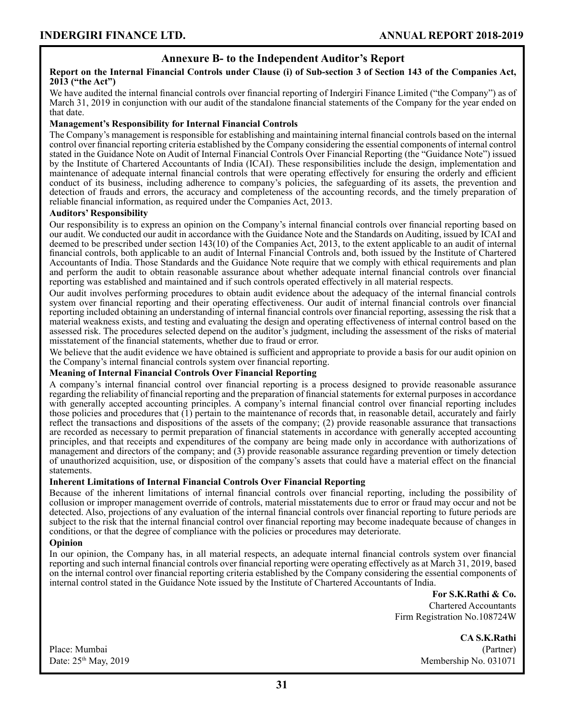### **Annexure B- to the Independent Auditor's Report**

#### **Report on the Internal Financial Controls under Clause (i) of Sub-section 3 of Section 143 of the Companies Act, 2013 ("the Act")**

We have audited the internal financial controls over financial reporting of Indergiri Finance Limited ("the Company") as of March 31, 2019 in conjunction with our audit of the standalone financial statements of the Company for the year ended on that date.

#### **Management's Responsibility for Internal Financial Controls**

The Company's management is responsible for establishing and maintaining internal financial controls based on the internal control over financial reporting criteria established by the Company considering the essential components of internal control stated in the Guidance Note on Audit of Internal Financial Controls Over Financial Reporting (the "Guidance Note") issued by the Institute of Chartered Accountants of India (ICAI). These responsibilities include the design, implementation and maintenance of adequate internal financial controls that were operating effectively for ensuring the orderly and efficient conduct of its business, including adherence to company's policies, the safeguarding of its assets, the prevention and detection of frauds and errors, the accuracy and completeness of the accounting records, and the timely preparation of reliable financial information, as required under the Companies Act, 2013.

#### **Auditors' Responsibility**

Our responsibility is to express an opinion on the Company's internal financial controls over financial reporting based on our audit. We conducted our audit in accordance with the Guidance Note and the Standards on Auditing, issued by ICAI and deemed to be prescribed under section 143(10) of the Companies Act, 2013, to the extent applicable to an audit of internal financial controls, both applicable to an audit of Internal Financial Controls and, both issued by the Institute of Chartered Accountants of India. Those Standards and the Guidance Note require that we comply with ethical requirements and plan and perform the audit to obtain reasonable assurance about whether adequate internal financial controls over financial reporting was established and maintained and if such controls operated effectively in all material respects.

Our audit involves performing procedures to obtain audit evidence about the adequacy of the internal financial controls system over financial reporting and their operating effectiveness. Our audit of internal financial controls over financial reporting included obtaining an understanding of internal financial controls over financial reporting, assessing the risk that a material weakness exists, and testing and evaluating the design and operating effectiveness of internal control based on the assessed risk. The procedures selected depend on the auditor's judgment, including the assessment of the risks of material misstatement of the financial statements, whether due to fraud or error.

We believe that the audit evidence we have obtained is sufficient and appropriate to provide a basis for our audit opinion on the Company's internal financial controls system over financial reporting.

### **Meaning of Internal Financial Controls Over Financial Reporting**

A company's internal financial control over financial reporting is a process designed to provide reasonable assurance regarding the reliability of financial reporting and the preparation of financial statements for external purposes in accordance with generally accepted accounting principles. A company's internal financial control over financial reporting includes those policies and procedures that (1) pertain to the maintenance of records that, in reasonable detail, accurately and fairly reflect the transactions and dispositions of the assets of the company; (2) provide reasonable assurance that transactions are recorded as necessary to permit preparation of financial statements in accordance with generally accepted accounting principles, and that receipts and expenditures of the company are being made only in accordance with authorizations of management and directors of the company; and (3) provide reasonable assurance regarding prevention or timely detection of unauthorized acquisition, use, or disposition of the company's assets that could have a material effect on the financial statements.

#### **Inherent Limitations of Internal Financial Controls Over Financial Reporting**

Because of the inherent limitations of internal financial controls over financial reporting, including the possibility of collusion or improper management override of controls, material misstatements due to error or fraud may occur and not be detected. Also, projections of any evaluation of the internal financial controls over financial reporting to future periods are subject to the risk that the internal financial control over financial reporting may become inadequate because of changes in conditions, or that the degree of compliance with the policies or procedures may deteriorate.

#### **Opinion**

In our opinion, the Company has, in all material respects, an adequate internal financial controls system over financial reporting and such internal financial controls over financial reporting were operating effectively as at March 31, 2019, based on the internal control over financial reporting criteria established by the Company considering the essential components of internal control stated in the Guidance Note issued by the Institute of Chartered Accountants of India.

> **For S.K.Rathi & Co.** Chartered Accountants Firm Registration No.108724W

**CA S.K.Rathi** Place: Mumbai (Partner) Date:  $25<sup>th</sup>$  May, 2019 Membership No. 031071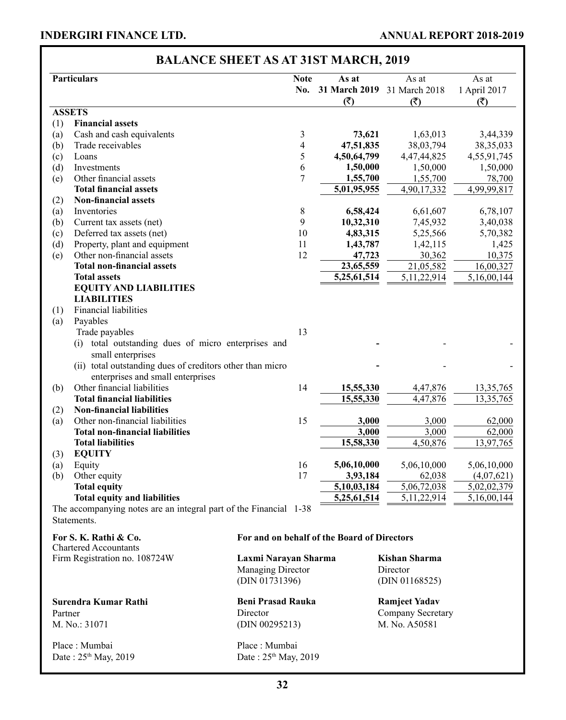|         |                                                                   | BALANCE SHEET AS AT 31ST MARCH, 2019        |                             |                      |              |
|---------|-------------------------------------------------------------------|---------------------------------------------|-----------------------------|----------------------|--------------|
|         | Particulars                                                       | <b>Note</b>                                 | As at                       | As at                | As at        |
|         |                                                                   | No.                                         | 31 March 2019 31 March 2018 |                      | 1 April 2017 |
|         |                                                                   |                                             | (3)                         | (3)                  | (3)          |
|         | <b>ASSETS</b>                                                     |                                             |                             |                      |              |
| (1)     | <b>Financial assets</b>                                           |                                             |                             |                      |              |
| (a)     | Cash and cash equivalents                                         | 3                                           | 73,621                      | 1,63,013             | 3,44,339     |
| (b)     | Trade receivables                                                 | 4                                           | 47,51,835                   | 38,03,794            | 38, 35, 033  |
| (c)     | Loans                                                             | 5                                           | 4,50,64,799                 | 4,47,44,825          | 4,55,91,745  |
| (d)     | Investments                                                       | 6                                           | 1,50,000                    | 1,50,000             | 1,50,000     |
| (e)     | Other financial assets                                            | 7                                           | 1,55,700                    | 1,55,700             | 78,700       |
|         | <b>Total financial assets</b>                                     |                                             | 5,01,95,955                 | 4,90,17,332          | 4,99,99,817  |
| (2)     | <b>Non-financial assets</b>                                       |                                             |                             |                      |              |
| (a)     | Inventories                                                       | $8\,$                                       | 6,58,424                    | 6,61,607             | 6,78,107     |
| (b)     | Current tax assets (net)                                          | 9                                           | 10,32,310                   | 7,45,932             | 3,40,038     |
| (c)     | Deferred tax assets (net)                                         | 10                                          | 4,83,315                    | 5,25,566             | 5,70,382     |
| (d)     | Property, plant and equipment                                     | 11                                          | 1,43,787                    | 1,42,115             | 1,425        |
| (e)     | Other non-financial assets                                        | 12                                          | 47,723                      | 30,362               | 10,375       |
|         | <b>Total non-financial assets</b>                                 |                                             | 23,65,559                   | 21,05,582            | 16,00,327    |
|         | <b>Total assets</b>                                               |                                             | 5,25,61,514                 | 5, 11, 22, 914       | 5,16,00,144  |
|         | <b>EQUITY AND LIABILITIES</b>                                     |                                             |                             |                      |              |
|         | <b>LIABILITIES</b>                                                |                                             |                             |                      |              |
| (1)     | Financial liabilities                                             |                                             |                             |                      |              |
| (a)     | Payables                                                          |                                             |                             |                      |              |
|         | Trade payables                                                    | 13                                          |                             |                      |              |
|         | (i) total outstanding dues of micro enterprises and               |                                             |                             |                      |              |
|         | small enterprises                                                 |                                             |                             |                      |              |
|         | (ii) total outstanding dues of creditors other than micro         |                                             |                             |                      |              |
|         | enterprises and small enterprises                                 |                                             |                             |                      |              |
| (b)     | Other financial liabilities                                       | 14                                          | 15,55,330                   | 4,47,876             | 13, 35, 765  |
|         | <b>Total financial liabilities</b>                                |                                             | 15,55,330                   | 4,47,876             | 13,35,765    |
| (2)     | <b>Non-financial liabilities</b>                                  |                                             |                             |                      |              |
| (a)     | Other non-financial liabilities                                   | 15                                          | 3,000                       | 3,000                | 62,000       |
|         | <b>Total non-financial liabilities</b>                            |                                             | 3,000                       | 3,000                | 62,000       |
|         | <b>Total liabilities</b>                                          |                                             | 15,58,330                   | 4,50,876             | 13,97,765    |
| (3)     | <b>EQUITY</b>                                                     |                                             |                             |                      |              |
| (a)     | Equity                                                            | 16                                          | 5,06,10,000                 | 5,06,10,000          | 5,06,10,000  |
| (b)     | Other equity                                                      | 17                                          | 3,93,184                    | 62,038               | (4,07,621)   |
|         | Total equity                                                      |                                             | 5,10,03,184                 | 5,06,72,038          | 5,02,02,379  |
|         | <b>Total equity and liabilities</b>                               |                                             | 5,25,61,514                 | 5, 11, 22, 914       | 5,16,00,144  |
|         | The accompanying notes are an integral part of the Financial 1-38 |                                             |                             |                      |              |
|         | Statements.                                                       |                                             |                             |                      |              |
|         | For S. K. Rathi & Co.                                             | For and on behalf of the Board of Directors |                             |                      |              |
|         | <b>Chartered Accountants</b>                                      |                                             |                             |                      |              |
|         | Firm Registration no. 108724W                                     | Laxmi Narayan Sharma                        |                             | <b>Kishan Sharma</b> |              |
|         |                                                                   | <b>Managing Director</b>                    |                             | Director             |              |
|         |                                                                   | (DIN 01731396)                              |                             | (DIN 01168525)       |              |
|         |                                                                   |                                             |                             |                      |              |
|         | Surendra Kumar Rathi                                              | <b>Beni Prasad Rauka</b>                    |                             | <b>Ramjeet Yadav</b> |              |
| Partner |                                                                   | Director                                    |                             | Company Secretary    |              |
|         | M. No.: 31071                                                     | (DIN 00295213)                              |                             | M. No. A50581        |              |
|         | Place: Mumbai                                                     | Place: Mumbai                               |                             |                      |              |
|         | Date: 25 <sup>th</sup> May, 2019                                  | Date: 25 <sup>th</sup> May, 2019            |                             |                      |              |

### **BALANCE SHEET AS AT 31ST MARCH, 2019**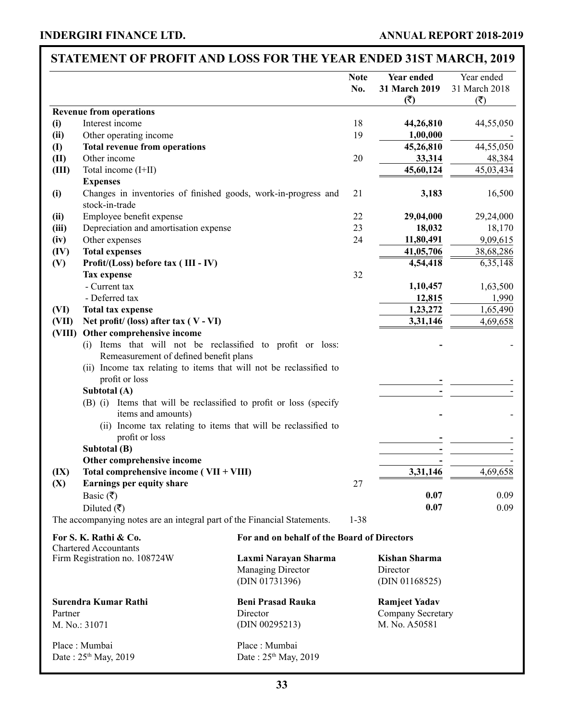### **STATEMENT OF PROFIT AND LOSS FOR THE YEAR ENDED 31ST MARCH, 2019**

|                                                       |                                                                                          |                                                             | <b>Note</b><br>No. | <b>Year ended</b><br>31 March 2019          | Year ended<br>31 March 2018 |
|-------------------------------------------------------|------------------------------------------------------------------------------------------|-------------------------------------------------------------|--------------------|---------------------------------------------|-----------------------------|
|                                                       |                                                                                          |                                                             |                    | $(\overline{\zeta})$                        | (3)                         |
|                                                       | <b>Revenue from operations</b><br>Interest income                                        |                                                             | 18                 |                                             | 44,55,050                   |
| (i)<br>(ii)                                           | Other operating income                                                                   |                                                             | 19                 | 44,26,810<br>1,00,000                       |                             |
| (I)                                                   | <b>Total revenue from operations</b>                                                     |                                                             |                    | 45,26,810                                   | 44,55,050                   |
| (II)                                                  | Other income                                                                             |                                                             | 20                 | 33,314                                      | 48,384                      |
| (III)                                                 | Total income (I+II)                                                                      |                                                             |                    | 45,60,124                                   | 45,03,434                   |
|                                                       | <b>Expenses</b>                                                                          |                                                             |                    |                                             |                             |
| (i)                                                   | Changes in inventories of finished goods, work-in-progress and<br>stock-in-trade         |                                                             | 21                 | 3,183                                       | 16,500                      |
| (ii)                                                  | Employee benefit expense                                                                 |                                                             | 22                 | 29,04,000                                   | 29,24,000                   |
| (iii)                                                 | Depreciation and amortisation expense                                                    |                                                             | 23                 | 18,032                                      | 18,170                      |
| (iv)                                                  | Other expenses                                                                           |                                                             | 24                 | 11,80,491                                   | 9,09,615                    |
| (IV)                                                  | <b>Total expenses</b>                                                                    |                                                             |                    | 41,05,706                                   | 38,68,286                   |
| (V)                                                   | Profit/(Loss) before tax (III - IV)                                                      |                                                             |                    | 4,54,418                                    | 6, 35, 148                  |
|                                                       | <b>Tax expense</b>                                                                       |                                                             | 32                 |                                             |                             |
|                                                       | - Current tax                                                                            |                                                             |                    | 1,10,457                                    | 1,63,500                    |
|                                                       | - Deferred tax                                                                           |                                                             |                    | 12,815                                      | 1,990                       |
| (VI)                                                  | <b>Total tax expense</b>                                                                 |                                                             |                    | 1,23,272                                    | 1,65,490                    |
| (VII)                                                 | Net profit/ (loss) after tax $(V - VI)$                                                  |                                                             |                    | 3,31,146                                    | 4,69,658                    |
| (VIII)                                                | Other comprehensive income<br>(i) Items that will not be reclassified to profit or loss: |                                                             |                    |                                             |                             |
|                                                       | Remeasurement of defined benefit plans                                                   |                                                             |                    |                                             |                             |
|                                                       | (ii) Income tax relating to items that will not be reclassified to                       |                                                             |                    |                                             |                             |
|                                                       | profit or loss                                                                           |                                                             |                    |                                             |                             |
|                                                       | Subtotal (A)                                                                             |                                                             |                    |                                             |                             |
|                                                       | (B) (i) Items that will be reclassified to profit or loss (specify                       |                                                             |                    |                                             |                             |
|                                                       | items and amounts)                                                                       |                                                             |                    |                                             |                             |
|                                                       | (ii) Income tax relating to items that will be reclassified to<br>profit or loss         |                                                             |                    |                                             |                             |
|                                                       | Subtotal (B)                                                                             |                                                             |                    |                                             |                             |
|                                                       | Other comprehensive income                                                               |                                                             |                    |                                             |                             |
| (IX)                                                  | Total comprehensive income (VII + VIII)                                                  |                                                             | 27                 | 3,31,146                                    | 4,69,658                    |
| (X)                                                   | Earnings per equity share                                                                |                                                             |                    | 0.07                                        | 0.09                        |
|                                                       | Basic $(\overline{\tau})$                                                                |                                                             |                    | 0.07                                        | 0.09                        |
|                                                       | Diluted $(\overline{\mathbf{z}})$                                                        |                                                             | $1 - 38$           |                                             |                             |
|                                                       | The accompanying notes are an integral part of the Financial Statements.                 |                                                             |                    |                                             |                             |
| For S. K. Rathi & Co.<br><b>Chartered Accountants</b> |                                                                                          | For and on behalf of the Board of Directors                 |                    |                                             |                             |
|                                                       | Firm Registration no. 108724W                                                            | Laxmi Narayan Sharma<br>Managing Director<br>(DIN 01731396) |                    | Kishan Sharma<br>Director<br>(DIN 01168525) |                             |
|                                                       | Surendra Kumar Rathi                                                                     | <b>Beni Prasad Rauka</b>                                    |                    | <b>Ramjeet Yadav</b>                        |                             |
| Partner                                               |                                                                                          | Director                                                    |                    | Company Secretary                           |                             |
|                                                       | M. No.: 31071                                                                            | (DIN 00295213)                                              |                    | M. No. A50581                               |                             |
|                                                       |                                                                                          |                                                             |                    |                                             |                             |
|                                                       | Place: Mumbai                                                                            | Place: Mumbai                                               |                    |                                             |                             |
|                                                       | Date: 25 <sup>th</sup> May, 2019                                                         | Date: 25 <sup>th</sup> May, 2019                            |                    |                                             |                             |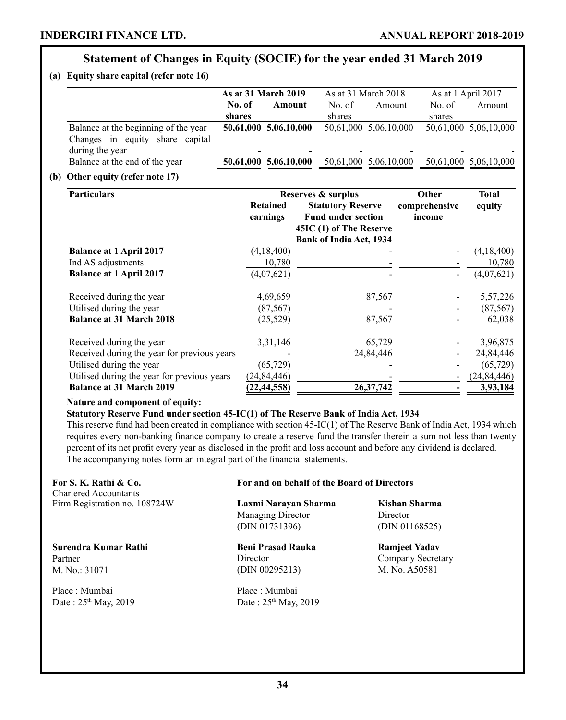### **Statement of Changes in Equity (SOCIE) for the year ended 31 March 2019**

**(a) Equity share capital (refer note 16)**

|                                                                         | <b>As at 31 March 2019</b> |                                                   | As at $31$ March $2018$ |                               | As at 1 April 2017 |                       |
|-------------------------------------------------------------------------|----------------------------|---------------------------------------------------|-------------------------|-------------------------------|--------------------|-----------------------|
|                                                                         | No. of                     | Amount                                            | No. of                  | Amount                        | No. of             | Amount                |
|                                                                         | shares                     |                                                   | shares                  |                               | shares             |                       |
| Balance at the beginning of the year<br>Changes in equity share capital |                            | 50,61,000 5,06,10,000                             |                         | 50,61,000 5,06,10,000         |                    | 50,61,000 5,06,10,000 |
| during the year<br>Balance at the end of the year                       | ۰                          | $\overline{\phantom{0}}$<br>50,61,000 5,06,10,000 |                         | $\,$<br>50,61,000 5,06,10,000 | $\,$               | 50,61,000 5,06,10,000 |

### **(b) Other equity (refer note 17)**

| <b>Particulars</b>                          |                 | Reserves & surplus             | <b>Other</b>  | Total         |
|---------------------------------------------|-----------------|--------------------------------|---------------|---------------|
|                                             | <b>Retained</b> | <b>Statutory Reserve</b>       | comprehensive | equity        |
|                                             | earnings        | <b>Fund under section</b>      | income        |               |
|                                             |                 | 45IC (1) of The Reserve        |               |               |
|                                             |                 | <b>Bank of India Act, 1934</b> |               |               |
| <b>Balance at 1 April 2017</b>              | (4,18,400)      |                                |               | (4,18,400)    |
| Ind AS adjustments                          | 10,780          |                                |               | 10,780        |
| <b>Balance at 1 April 2017</b>              | (4,07,621)      |                                |               | (4,07,621)    |
| Received during the year                    | 4,69,659        | 87,567                         |               | 5, 57, 226    |
| Utilised during the year                    | (87, 567)       |                                |               | (87, 567)     |
| <b>Balance at 31 March 2018</b>             | (25, 529)       | 87,567                         |               | 62,038        |
| Received during the year                    | 3, 31, 146      | 65,729                         |               | 3,96,875      |
| Received during the year for previous years |                 | 24,84,446                      |               | 24,84,446     |
| Utilised during the year                    | (65, 729)       |                                |               | (65, 729)     |
| Utilised during the year for previous years | (24, 84, 446)   |                                |               | (24, 84, 446) |
| <b>Balance at 31 March 2019</b>             | (22, 44, 558)   | 26, 37, 742                    |               | 3,93,184      |

### **Nature and component of equity:**

### **Statutory Reserve Fund under section 45-IC(1) of The Reserve Bank of India Act, 1934**

This reserve fund had been created in compliance with section 45-IC(1) of The Reserve Bank of India Act, 1934 which requires every non-banking finance company to create a reserve fund the transfer therein a sum not less than twenty percent of its net profit every year as disclosed in the profit and loss account and before any dividend is declared. The accompanying notes form an integral part of the financial statements.

| For S. K. Rathi & Co.<br><b>Chartered Accountants</b> | For and on behalf of the Board of Directors                        |                                                            |  |  |  |
|-------------------------------------------------------|--------------------------------------------------------------------|------------------------------------------------------------|--|--|--|
| Firm Registration no. 108724W                         | Laxmi Narayan Sharma<br><b>Managing Director</b><br>(DIN 01731396) | Kishan Sharma<br>Director<br>(DIN 01168525)                |  |  |  |
| Surendra Kumar Rathi<br>Partner<br>M. No.: $31071$    | <b>Beni Prasad Rauka</b><br>Director<br>(DIN 00295213)             | <b>Ramjeet Yadav</b><br>Company Secretary<br>M. No. A50581 |  |  |  |
| Place : Mumbai<br>Date: $25^{th}$ May, 2019           | Place : Mumbai<br>Date: $25^{th}$ May, 2019                        |                                                            |  |  |  |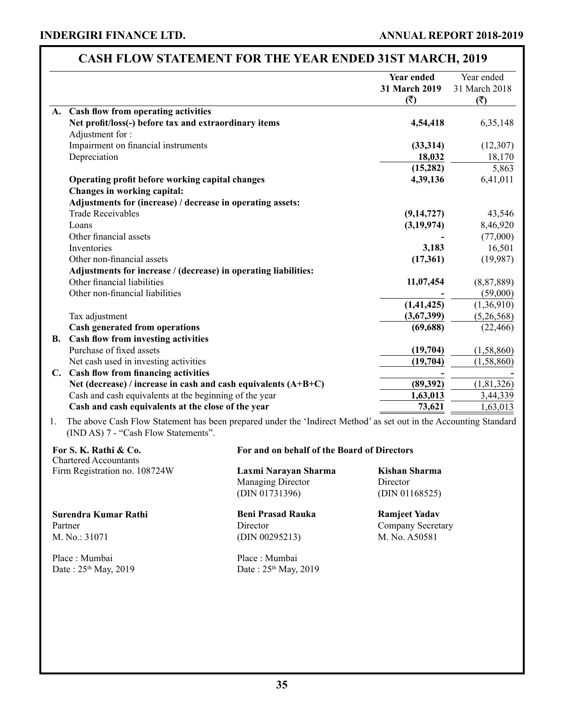### **ANNUAL REPORT 2018-2019**

### **CASH FLOW STATEMENT FOR THE YEAR ENDED 31ST MARCH, 2019**

|    |                                                                             | <b>Year ended</b> | Year ended                          |
|----|-----------------------------------------------------------------------------|-------------------|-------------------------------------|
|    |                                                                             | 31 March 2019     | 31 March 2018                       |
|    |                                                                             | (3)               | (3)                                 |
|    | A. Cash flow from operating activities                                      |                   |                                     |
|    | Net profit/loss(-) before tax and extraordinary items                       | 4,54,418          | 6, 35, 148                          |
|    | Adjustment for:                                                             |                   |                                     |
|    | Impairment on financial instruments                                         | (33,314)          | (12, 307)                           |
|    | Depreciation                                                                | 18,032            | 18,170                              |
|    |                                                                             | (15, 282)         | 5,863                               |
|    | Operating profit before working capital changes                             | 4,39,136          | 6,41,011                            |
|    | Changes in working capital:                                                 |                   |                                     |
|    | Adjustments for (increase) / decrease in operating assets:                  |                   |                                     |
|    | <b>Trade Receivables</b>                                                    | (9,14,727)        | 43,546                              |
|    | Loans                                                                       | (3,19,974)        | 8,46,920                            |
|    | Other financial assets                                                      |                   | (77,000)                            |
|    | Inventories                                                                 | 3,183             | 16,501                              |
|    | Other non-financial assets                                                  | (17,361)          | (19,987)                            |
|    | Adjustments for increase / (decrease) in operating liabilities:             |                   |                                     |
|    | Other financial liabilities                                                 | 11,07,454         | (8, 87, 889)                        |
|    | Other non-financial liabilities                                             |                   | (59,000)                            |
|    |                                                                             | (1,41,425)        | (1,36,910)                          |
|    | Tax adjustment                                                              | (3,67,399)        | (5,26,568)                          |
|    | <b>Cash generated from operations</b>                                       | (69, 688)         | (22, 466)                           |
| В. | Cash flow from investing activities                                         |                   |                                     |
|    | Purchase of fixed assets                                                    | (19,704)          | (1,58,860)                          |
|    | Net cash used in investing activities                                       | (19,704)          | (1, 58, 860)                        |
|    | C. Cash flow from financing activities                                      |                   |                                     |
|    | Net (decrease) / increase in cash and cash equivalents (A+B+C)              | (89, 392)         | (1, 81, 326)                        |
|    | Cash and cash equivalents at the beginning of the year                      | 1,63,013          | 3,44,339                            |
|    | Cash and cash equivalents at the close of the year                          | 73,621            | 1,63,013                            |
|    | The chains Cool, Flam Statement has been moneyed under the Tudinest Method? |                   | and in this Association Classifical |

1. The above Cash Flow Statement has been prepared under the 'Indirect Method' as set out in the Accounting Standard (IND AS) 7 - "Cash Flow Statements".

Chartered Accountants Firm Registration no. 108724W **Laxmi Narayan Sharma**

**Surendra Kumar Rathi** Partner M. No.: 31071

Place : Mumbai Date:  $25<sup>th</sup>$  May, 2019

**For S. K. Rathi & Co. For and on behalf of the Board of Directors**

Managing Director (DIN 01731396)

**Beni Prasad Rauka Director** (DIN 00295213)

Place : Mumbai Date: 25<sup>th</sup> May, 2019 **Kishan Sharma** Director (DIN 01168525)

**Ramjeet Yadav** Company Secretary M. No. A50581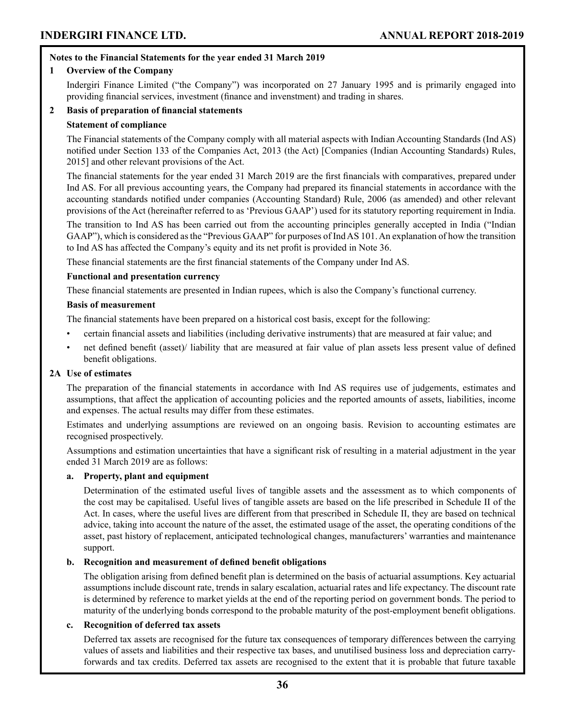### **Notes to the Financial Statements for the year ended 31 March 2019**

### **1 Overview of the Company**

 Indergiri Finance Limited ("the Company") was incorporated on 27 January 1995 and is primarily engaged into providing financial services, investment (finance and invenstment) and trading in shares.

### **2 Basis of preparation of financial statements**

### **Statement of compliance**

The Financial statements of the Company comply with all material aspects with Indian Accounting Standards (Ind AS) notified under Section 133 of the Companies Act, 2013 (the Act) [Companies (Indian Accounting Standards) Rules, 2015] and other relevant provisions of the Act.

 The financial statements for the year ended 31 March 2019 are the first financials with comparatives, prepared under Ind AS. For all previous accounting years, the Company had prepared its financial statements in accordance with the accounting standards notified under companies (Accounting Standard) Rule, 2006 (as amended) and other relevant provisions of the Act (hereinafter referred to as 'Previous GAAP') used for its statutory reporting requirement in India.

 The transition to Ind AS has been carried out from the accounting principles generally accepted in India ("Indian GAAP"), which is considered as the "Previous GAAP" for purposes of IndAS 101. An explanation of how the transition to Ind AS has affected the Company's equity and its net profit is provided in Note 36.

 These financial statements are the first financial statements of the Company under Ind AS.

### **Functional and presentation currency**

 These financial statements are presented in Indian rupees, which is also the Company's functional currency.

### **Basis of measurement**

 The financial statements have been prepared on a historical cost basis, except for the following:

- certain financial assets and liabilities (including derivative instruments) that are measured at fair value; and
- net defined benefit (asset)/ liability that are measured at fair value of plan assets less present value of defined benefit obligations.

### **2A Use of estimates**

 The preparation of the financial statements in accordance with Ind AS requires use of judgements, estimates and assumptions, that affect the application of accounting policies and the reported amounts of assets, liabilities, income and expenses. The actual results may differ from these estimates.

Estimates and underlying assumptions are reviewed on an ongoing basis. Revision to accounting estimates are recognised prospectively.

 Assumptions and estimation uncertainties that have a significant risk of resulting in a material adjustment in the year ended 31 March 2019 are as follows:

### **a. Property, plant and equipment**

Determination of the estimated useful lives of tangible assets and the assessment as to which components of the cost may be capitalised. Useful lives of tangible assets are based on the life prescribed in Schedule II of the Act. In cases, where the useful lives are different from that prescribed in Schedule II, they are based on technical advice, taking into account the nature of the asset, the estimated usage of the asset, the operating conditions of the asset, past history of replacement, anticipated technological changes, manufacturers' warranties and maintenance support.

### **b. Recognition and measurement of defined benefit obligations**

 The obligation arising from defined benefit plan is determined on the basis of actuarial assumptions. Key actuarial assumptions include discount rate, trends in salary escalation, actuarial rates and life expectancy. The discount rate is determined by reference to market yields at the end of the reporting period on government bonds. The period to maturity of the underlying bonds correspond to the probable maturity of the post-employment benefit obligations.

#### **c. Recognition of deferred tax assets**

Deferred tax assets are recognised for the future tax consequences of temporary differences between the carrying values of assets and liabilities and their respective tax bases, and unutilised business loss and depreciation carryforwards and tax credits. Deferred tax assets are recognised to the extent that it is probable that future taxable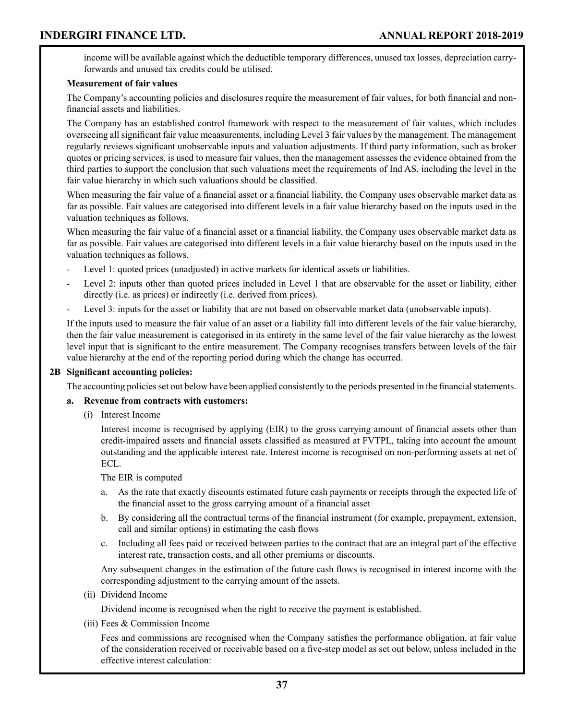income will be available against which the deductible temporary differences, unused tax losses, depreciation carryforwards and unused tax credits could be utilised.

### **Measurement of fair values**

 The Company's accounting policies and disclosures require the measurement of fair values, for both financial and nonfinancial assets and liabilities.

The Company has an established control framework with respect to the measurement of fair values, which includes overseeing all significant fair value meaasurements, including Level 3 fair values by the management. The management regularly reviews significant unobservable inputs and valuation adjustments. If third party information, such as broker quotes or pricing services, is used to measure fair values, then the management assesses the evidence obtained from the third parties to support the conclusion that such valuations meet the requirements of Ind AS, including the level in the fair value hierarchy in which such valuations should be classified.

When measuring the fair value of a financial asset or a financial liability, the Company uses observable market data as far as possible. Fair values are categorised into different levels in a fair value hierarchy based on the inputs used in the valuation techniques as follows.

When measuring the fair value of a financial asset or a financial liability, the Company uses observable market data as far as possible. Fair values are categorised into different levels in a fair value hierarchy based on the inputs used in the valuation techniques as follows.

- Level 1: quoted prices (unadjusted) in active markets for identical assets or liabilities.
- Level 2: inputs other than quoted prices included in Level 1 that are observable for the asset or liability, either directly (i.e. as prices) or indirectly (i.e. derived from prices).
- Level 3: inputs for the asset or liability that are not based on observable market data (unobservable inputs).

If the inputs used to measure the fair value of an asset or a liability fall into different levels of the fair value hierarchy, then the fair value measurement is categorised in its entirety in the same level of the fair value hierarchy as the lowest level input that is significant to the entire measurement. The Company recognises transfers between levels of the fair value hierarchy at the end of the reporting period during which the change has occurred.

### **2B Significant accounting policies:**

The accounting policies set out below have been applied consistently to the periods presented in the financial statements.

### **a. Revenue from contracts with customers:**

(i) Interest Income

 Interest income is recognised by applying (EIR) to the gross carrying amount of financial assets other than credit-impaired assets and financial assets classified as measured at FVTPL, taking into account the amount outstanding and the applicable interest rate. Interest income is recognised on non-performing assets at net of ECL.

The EIR is computed

- a. As the rate that exactly discounts estimated future cash payments or receipts through the expected life of the financial asset to the gross carrying amount of a financial asset
- b. By considering all the contractual terms of the financial instrument (for example, prepayment, extension, call and similar options) in estimating the cash flows
- c. Including all fees paid or received between parties to the contract that are an integral part of the effective interest rate, transaction costs, and all other premiums or discounts.

 Any subsequent changes in the estimation of the future cash flows is recognised in interest income with the corresponding adjustment to the carrying amount of the assets.

(ii) Dividend Income

Dividend income is recognised when the right to receive the payment is established.

(iii) Fees & Commission Income

 Fees and commissions are recognised when the Company satisfies the performance obligation, at fair value of the consideration received or receivable based on a five-step model as set out below, unless included in the effective interest calculation: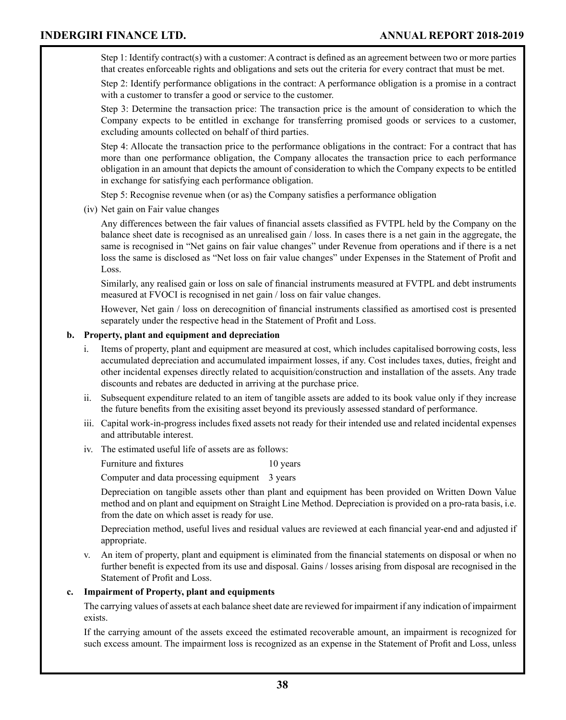Step 1: Identify contract(s) with a customer: A contract is defined as an agreement between two or more parties that creates enforceable rights and obligations and sets out the criteria for every contract that must be met.

Step 2: Identify performance obligations in the contract: A performance obligation is a promise in a contract with a customer to transfer a good or service to the customer.

Step 3: Determine the transaction price: The transaction price is the amount of consideration to which the Company expects to be entitled in exchange for transferring promised goods or services to a customer, excluding amounts collected on behalf of third parties.

Step 4: Allocate the transaction price to the performance obligations in the contract: For a contract that has more than one performance obligation, the Company allocates the transaction price to each performance obligation in an amount that depicts the amount of consideration to which the Company expects to be entitled in exchange for satisfying each performance obligation.

 Step 5: Recognise revenue when (or as) the Company satisfies a performance obligation

(iv) Net gain on Fair value changes

 Any differences between the fair values of financial assets classified as FVTPL held by the Company on the balance sheet date is recognised as an unrealised gain / loss. In cases there is a net gain in the aggregate, the same is recognised in "Net gains on fair value changes" under Revenue from operations and if there is a net loss the same is disclosed as "Net loss on fair value changes" under Expenses in the Statement of Profit and Loss.

 Similarly, any realised gain or loss on sale of financial instruments measured at FVTPL and debt instruments measured at FVOCI is recognised in net gain / loss on fair value changes.

 However, Net gain / loss on derecognition of financial instruments classified as amortised cost is presented separately under the respective head in the Statement of Profit and Loss.

### **b. Property, plant and equipment and depreciation**

- i. Items of property, plant and equipment are measured at cost, which includes capitalised borrowing costs, less accumulated depreciation and accumulated impairment losses, if any. Cost includes taxes, duties, freight and other incidental expenses directly related to acquisition/construction and installation of the assets. Any trade discounts and rebates are deducted in arriving at the purchase price.
- ii. Subsequent expenditure related to an item of tangible assets are added to its book value only if they increase the future benefits from the exisiting asset beyond its previously assessed standard of performance.
- iii. Capital work-in-progress includes fixed assets not ready for their intended use and related incidental expenses and attributable interest.
- iv. The estimated useful life of assets are as follows:
	- Furniture and fixtures 10 years

Computer and data processing equipment 3 years

Depreciation on tangible assets other than plant and equipment has been provided on Written Down Value method and on plant and equipment on Straight Line Method. Depreciation is provided on a pro-rata basis, i.e. from the date on which asset is ready for use.

 Depreciation method, useful lives and residual values are reviewed at each financial year-end and adjusted if appropriate.

v. An item of property, plant and equipment is eliminated from the financial statements on disposal or when no further benefit is expected from its use and disposal. Gains / losses arising from disposal are recognised in the Statement of Profit and Loss.

#### **c. Impairment of Property, plant and equipments**

The carrying values of assets at each balance sheet date are reviewed for impairment if any indication of impairment exists.

If the carrying amount of the assets exceed the estimated recoverable amount, an impairment is recognized for such excess amount. The impairment loss is recognized as an expense in the Statement of Profit and Loss, unless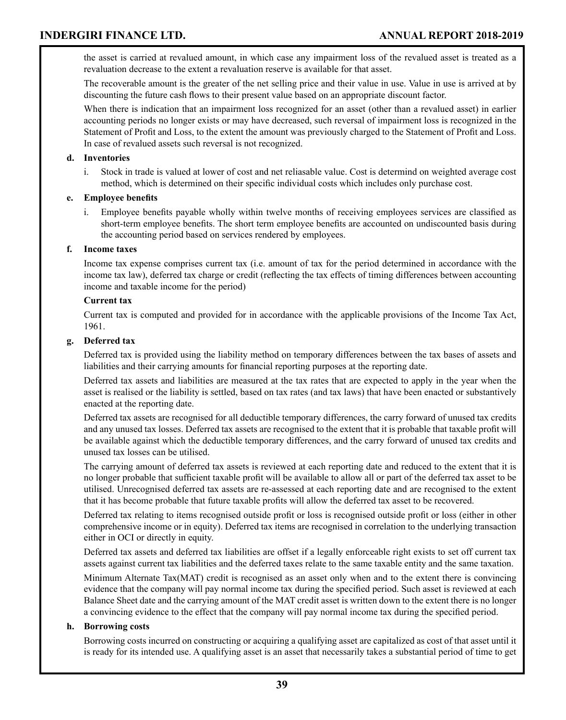the asset is carried at revalued amount, in which case any impairment loss of the revalued asset is treated as a revaluation decrease to the extent a revaluation reserve is available for that asset.

The recoverable amount is the greater of the net selling price and their value in use. Value in use is arrived at by discounting the future cash flows to their present value based on an appropriate discount factor.

When there is indication that an impairment loss recognized for an asset (other than a revalued asset) in earlier accounting periods no longer exists or may have decreased, such reversal of impairment loss is recognized in the Statement of Profit and Loss, to the extent the amount was previously charged to the Statement of Profit and Loss. In case of revalued assets such reversal is not recognized.

### **d. Inventories**

i. Stock in trade is valued at lower of cost and net reliasable value. Cost is determind on weighted average cost method, which is determined on their specific individual costs which includes only purchase cost.

### **e. Employee benefits**

i. Employee benefits payable wholly within twelve months of receiving employees services are classified as short-term employee benefits. The short term employee benefits are accounted on undiscounted basis during the accounting period based on services rendered by employees.

### **f. Income taxes**

Income tax expense comprises current tax (i.e. amount of tax for the period determined in accordance with the income tax law), deferred tax charge or credit (reflecting the tax effects of timing differences between accounting income and taxable income for the period)

### **Current tax**

Current tax is computed and provided for in accordance with the applicable provisions of the Income Tax Act, 1961.

### **g. Deferred tax**

Deferred tax is provided using the liability method on temporary differences between the tax bases of assets and liabilities and their carrying amounts for financial reporting purposes at the reporting date.

Deferred tax assets and liabilities are measured at the tax rates that are expected to apply in the year when the asset is realised or the liability is settled, based on tax rates (and tax laws) that have been enacted or substantively enacted at the reporting date.

Deferred tax assets are recognised for all deductible temporary differences, the carry forward of unused tax credits and any unused tax losses. Deferred tax assets are recognised to the extent that it is probable that taxable profit will be available against which the deductible temporary differences, and the carry forward of unused tax credits and unused tax losses can be utilised.

The carrying amount of deferred tax assets is reviewed at each reporting date and reduced to the extent that it is no longer probable that sufficient taxable profit will be available to allow all or part of the deferred tax asset to be utilised. Unrecognised deferred tax assets are re-assessed at each reporting date and are recognised to the extent that it has become probable that future taxable profits will allow the deferred tax asset to be recovered.

 Deferred tax relating to items recognised outside profit or loss is recognised outside profit or loss (either in other comprehensive income or in equity). Deferred tax items are recognised in correlation to the underlying transaction either in OCI or directly in equity.

Deferred tax assets and deferred tax liabilities are offset if a legally enforceable right exists to set off current tax assets against current tax liabilities and the deferred taxes relate to the same taxable entity and the same taxation.

Minimum Alternate Tax(MAT) credit is recognised as an asset only when and to the extent there is convincing evidence that the company will pay normal income tax during the specified period. Such asset is reviewed at each Balance Sheet date and the carrying amount of the MAT credit asset is written down to the extent there is no longer a convincing evidence to the effect that the company will pay normal income tax during the specified period.

#### **h. Borrowing costs**

Borrowing costs incurred on constructing or acquiring a qualifying asset are capitalized as cost of that asset until it is ready for its intended use. A qualifying asset is an asset that necessarily takes a substantial period of time to get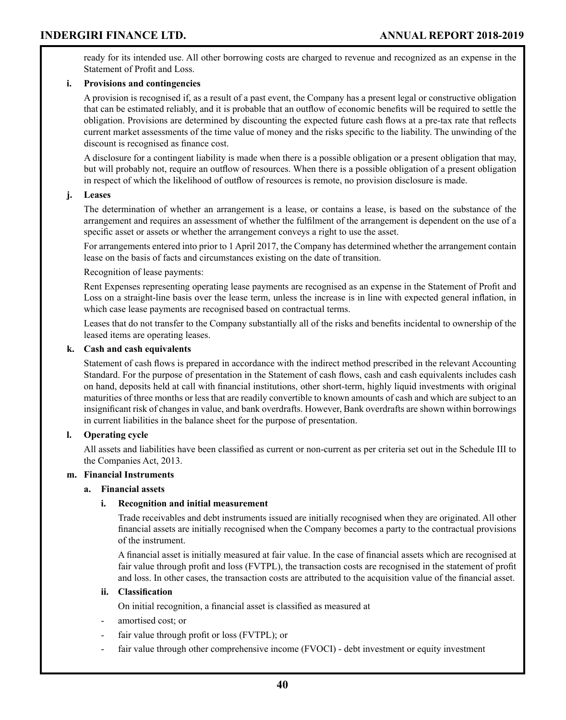ready for its intended use. All other borrowing costs are charged to revenue and recognized as an expense in the Statement of Profit and Loss.

### **i. Provisions and contingencies**

A provision is recognised if, as a result of a past event, the Company has a present legal or constructive obligation that can be estimated reliably, and it is probable that an outflow of economic benefits will be required to settle the obligation. Provisions are determined by discounting the expected future cash flows at a pre-tax rate that reflects current market assessments of the time value of money and the risks specific to the liability. The unwinding of the discount is recognised as finance cost.

A disclosure for a contingent liability is made when there is a possible obligation or a present obligation that may, but will probably not, require an outflow of resources. When there is a possible obligation of a present obligation in respect of which the likelihood of outflow of resources is remote, no provision disclosure is made.

### **j. Leases**

The determination of whether an arrangement is a lease, or contains a lease, is based on the substance of the arrangement and requires an assessment of whether the fulfilment of the arrangement is dependent on the use of a specific asset or assets or whether the arrangement conveys a right to use the asset.

For arrangements entered into prior to 1 April 2017, the Company has determined whether the arrangement contain lease on the basis of facts and circumstances existing on the date of transition.

Recognition of lease payments:

 Rent Expenses representing operating lease payments are recognised as an expense in the Statement of Profit and Loss on a straight-line basis over the lease term, unless the increase is in line with expected general inflation, in which case lease payments are recognised based on contractual terms.

 Leases that do not transfer to the Company substantially all of the risks and benefits incidental to ownership of the leased items are operating leases.

### **k. Cash and cash equivalents**

 Statement of cash flows is prepared in accordance with the indirect method prescribed in the relevant Accounting Standard. For the purpose of presentation in the Statement of cash flows, cash and cash equivalents includes cash on hand, deposits held at call with financial institutions, other short-term, highly liquid investments with original maturities of three months or less that are readily convertible to known amounts of cash and which are subject to an insignificant risk of changes in value, and bank overdrafts. However, Bank overdrafts are shown within borrowings in current liabilities in the balance sheet for the purpose of presentation.

### **l. Operating cycle**

 All assets and liabilities have been classified as current or non-current as per criteria set out in the Schedule III to the Companies Act, 2013.

### **m. Financial Instruments**

### **a. Financial assets**

### **i. Recognition and initial measurement**

Trade receivables and debt instruments issued are initially recognised when they are originated. All other financial assets are initially recognised when the Company becomes a party to the contractual provisions of the instrument.

 A financial asset is initially measured at fair value. In the case of financial assets which are recognised at fair value through profit and loss (FVTPL), the transaction costs are recognised in the statement of profit and loss. In other cases, the transaction costs are attributed to the acquisition value of the financial asset.

### **ii. Classification**

 On initial recognition, a financial asset is classified as measured at

- amortised cost; or
- fair value through profit or loss (FVTPL); or
- fair value through other comprehensive income (FVOCI) debt investment or equity investment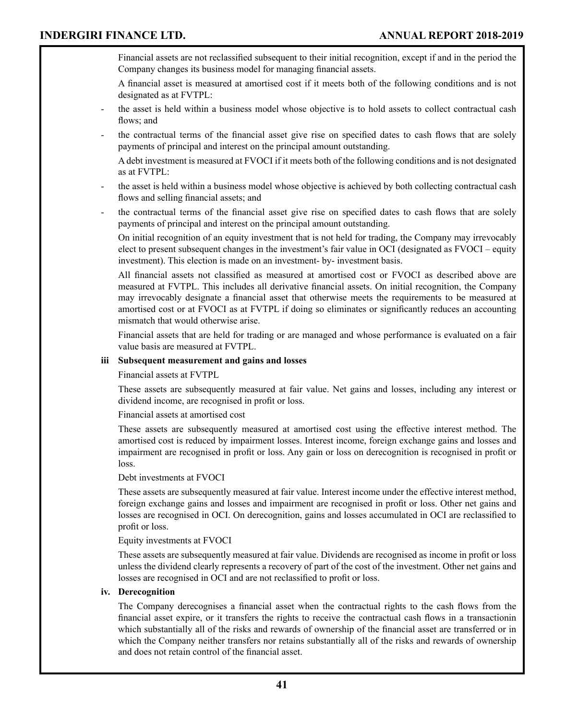Financial assets are not reclassified subsequent to their initial recognition, except if and in the period the Company changes its business model for managing financial assets.

 A financial asset is measured at amortised cost if it meets both of the following conditions and is not designated as at FVTPL:

- the asset is held within a business model whose objective is to hold assets to collect contractual cash flows; and
- the contractual terms of the financial asset give rise on specified dates to cash flows that are solely payments of principal and interest on the principal amount outstanding.

A debt investment is measured at FVOCI if it meets both of the following conditions and is not designated as at FVTPL:

- the asset is held within a business model whose objective is achieved by both collecting contractual cash flows and selling financial assets; and
- the contractual terms of the financial asset give rise on specified dates to cash flows that are solely payments of principal and interest on the principal amount outstanding.

On initial recognition of an equity investment that is not held for trading, the Company may irrevocably elect to present subsequent changes in the investment's fair value in OCI (designated as FVOCI – equity investment). This election is made on an investment- by- investment basis.

 All financial assets not classified as measured at amortised cost or FVOCI as described above are measured at FVTPL. This includes all derivative financial assets. On initial recognition, the Company may irrevocably designate a financial asset that otherwise meets the requirements to be measured at amortised cost or at FVOCI as at FVTPL if doing so eliminates or significantly reduces an accounting mismatch that would otherwise arise.

Financial assets that are held for trading or are managed and whose performance is evaluated on a fair value basis are measured at FVTPL.

### **iii Subsequent measurement and gains and losses**

Financial assets at FVTPL

These assets are subsequently measured at fair value. Net gains and losses, including any interest or dividend income, are recognised in profit or loss.

Financial assets at amortised cost

These assets are subsequently measured at amortised cost using the effective interest method. The amortised cost is reduced by impairment losses. Interest income, foreign exchange gains and losses and impairment are recognised in profit or loss. Any gain or loss on derecognition is recognised in profit or loss.

Debt investments at FVOCI

These assets are subsequently measured at fair value. Interest income under the effective interest method, foreign exchange gains and losses and impairment are recognised in profit or loss. Other net gains and losses are recognised in OCI. On derecognition, gains and losses accumulated in OCI are reclassified to profit or loss.

Equity investments at FVOCI

 These assets are subsequently measured at fair value. Dividends are recognised as income in profit or loss unless the dividend clearly represents a recovery of part of the cost of the investment. Other net gains and losses are recognised in OCI and are not reclassified to profit or loss.

### **iv. Derecognition**

 The Company derecognises a financial asset when the contractual rights to the cash flows from the financial asset expire, or it transfers the rights to receive the contractual cash flows in a transactionin which substantially all of the risks and rewards of ownership of the financial asset are transferred or in which the Company neither transfers nor retains substantially all of the risks and rewards of ownership and does not retain control of the financial asset.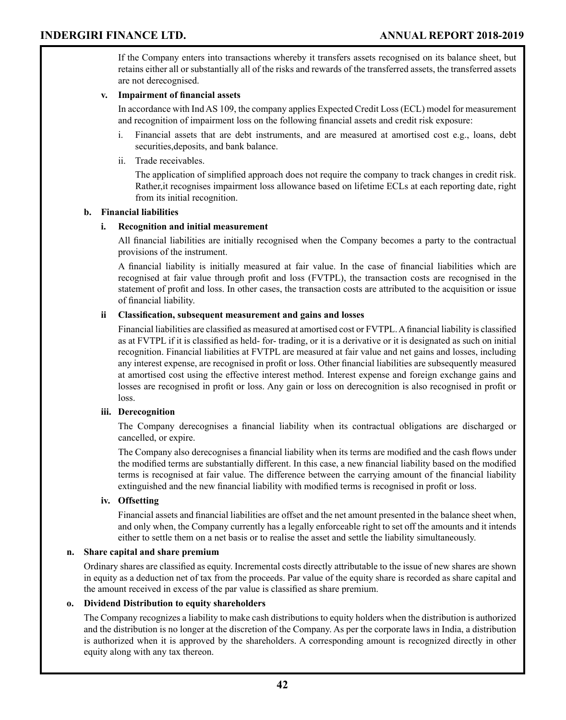If the Company enters into transactions whereby it transfers assets recognised on its balance sheet, but retains either all or substantially all of the risks and rewards of the transferred assets, the transferred assets are not derecognised.

### **v. Impairment of financial assets**

In accordance with Ind AS 109, the company applies Expected Credit Loss (ECL) model for measurement and recognition of impairment loss on the following financial assets and credit risk exposure:

- i. Financial assets that are debt instruments, and are measured at amortised cost e.g., loans, debt securities,deposits, and bank balance.
- ii. Trade receivables.

 The application of simplified approach does not require the company to track changes in credit risk. Rather,it recognises impairment loss allowance based on lifetime ECLs at each reporting date, right from its initial recognition.

### **b. Financial liabilities**

### **i. Recognition and initial measurement**

 All financial liabilities are initially recognised when the Company becomes a party to the contractual provisions of the instrument.

 A financial liability is initially measured at fair value. In the case of financial liabilities which are recognised at fair value through profit and loss (FVTPL), the transaction costs are recognised in the statement of profit and loss. In other cases, the transaction costs are attributed to the acquisition or issue of financial liability.

### **ii Classification, subsequent measurement and gains and losses**

 Financial liabilities are classified as measured at amortised cost or FVTPL.Afinancial liability is classified as at FVTPL if it is classified as held–for–trading, or it is a derivative or it is designated as such on initial recognition. Financial liabilities at FVTPL are measured at fair value and net gains and losses, including any interest expense, are recognised in profit or loss. Other financial liabilities are subsequently measured at amortised cost using the effective interest method. Interest expense and foreign exchange gains and losses are recognised in profit or loss. Any gain or loss on derecognition is also recognised in profit or loss.

#### **iii. Derecognition**

 The Company derecognises a financial liability when its contractual obligations are discharged or cancelled, or expire.

 The Company also derecognises a financial liability when its terms are modified and the cash flows under the modified terms are substantially different. In this case, a new financial liability based on the modified terms is recognised at fair value. The difference between the carrying amount of the financial liability extinguished and the new financial liability with modified terms is recognised in profit or loss.

#### **iv. Offsetting**

 Financial assets and financial liabilities are offset and the net amount presented in the balance sheet when, and only when, the Company currently has a legally enforceable right to set off the amounts and it intends either to settle them on a net basis or to realise the asset and settle the liability simultaneously.

#### **n. Share capital and share premium**

 Ordinary shares are classified as equity. Incremental costs directly attributable to the issue of new shares are shown in equity as a deduction net of tax from the proceeds. Par value of the equity share is recorded as share capital and the amount received in excess of the par value is classified as share premium.

### **o. Dividend Distribution to equity shareholders**

The Company recognizes a liability to make cash distributions to equity holders when the distribution is authorized and the distribution is no longer at the discretion of the Company. As per the corporate laws in India, a distribution is authorized when it is approved by the shareholders. A corresponding amount is recognized directly in other equity along with any tax thereon.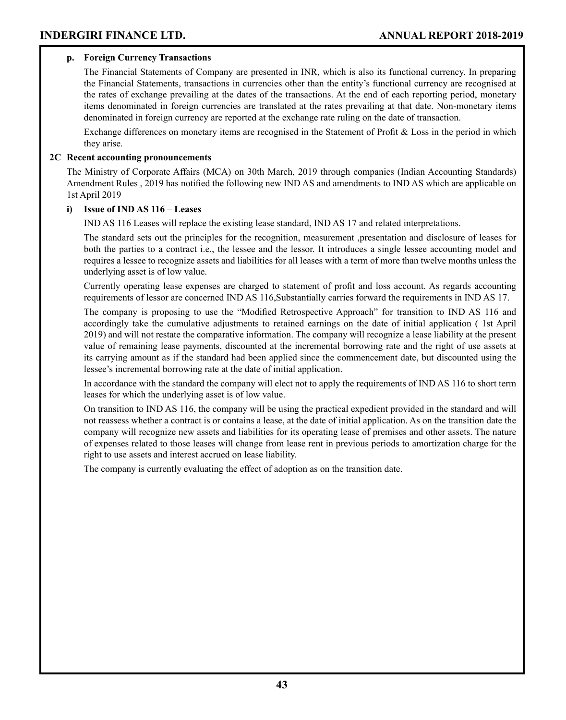### **p. Foreign Currency Transactions**

The Financial Statements of Company are presented in INR, which is also its functional currency. In preparing the Financial Statements, transactions in currencies other than the entity's functional currency are recognised at the rates of exchange prevailing at the dates of the transactions. At the end of each reporting period, monetary items denominated in foreign currencies are translated at the rates prevailing at that date. Non-monetary items denominated in foreign currency are reported at the exchange rate ruling on the date of transaction.

 Exchange differences on monetary items are recognised in the Statement of Profit & Loss in the period in which they arise.

### **2C Recent accounting pronouncements**

The Ministry of Corporate Affairs (MCA) on 30th March, 2019 through companies (Indian Accounting Standards) Amendment Rules , 2019 has notified the following new IND AS and amendments to IND AS which are applicable on 1st April 2019

### **i) Issue of IND AS 116 – Leases**

IND AS 116 Leases will replace the existing lease standard, IND AS 17 and related interpretations.

The standard sets out the principles for the recognition, measurement ,presentation and disclosure of leases for both the parties to a contract i.e., the lessee and the lessor. It introduces a single lessee accounting model and requires a lessee to recognize assets and liabilities for all leases with a term of more than twelve months unless the underlying asset is of low value.

 Currently operating lease expenses are charged to statement of profit and loss account. As regards accounting requirements of lessor are concerned IND AS 116,Substantially carries forward the requirements in IND AS 17.

 The company is proposing to use the "Modified Retrospective Approach" for transition to IND AS 116 and accordingly take the cumulative adjustments to retained earnings on the date of initial application ( 1st April 2019) and will not restate the comparative information. The company will recognize a lease liability at the present value of remaining lease payments, discounted at the incremental borrowing rate and the right of use assets at its carrying amount as if the standard had been applied since the commencement date, but discounted using the lessee's incremental borrowing rate at the date of initial application.

In accordance with the standard the company will elect not to apply the requirements of IND AS 116 to short term leases for which the underlying asset is of low value.

On transition to IND AS 116, the company will be using the practical expedient provided in the standard and will not reassess whether a contract is or contains a lease, at the date of initial application. As on the transition date the company will recognize new assets and liabilities for its operating lease of premises and other assets. The nature of expenses related to those leases will change from lease rent in previous periods to amortization charge for the right to use assets and interest accrued on lease liability.

The company is currently evaluating the effect of adoption as on the transition date.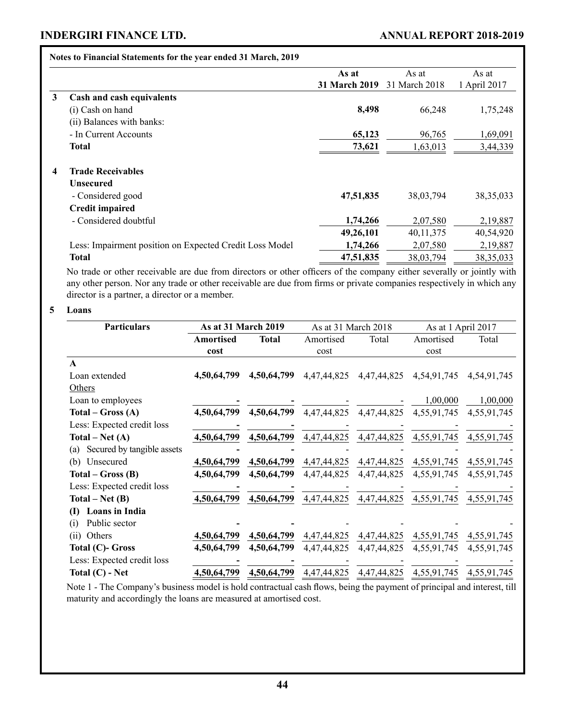### **Notes to Financial Statements for the year ended 31 March, 2019**

|   |                                                         | As at                | As at         | As at        |
|---|---------------------------------------------------------|----------------------|---------------|--------------|
|   |                                                         | <b>31 March 2019</b> | 31 March 2018 | 1 April 2017 |
| 3 | Cash and cash equivalents                               |                      |               |              |
|   | (i) Cash on hand                                        | 8,498                | 66,248        | 1,75,248     |
|   | (ii) Balances with banks:                               |                      |               |              |
|   | - In Current Accounts                                   | 65,123               | 96,765        | 1,69,091     |
|   | Total                                                   | 73,621               | 1,63,013      | 3,44,339     |
| 4 | <b>Trade Receivables</b>                                |                      |               |              |
|   | Unsecured                                               |                      |               |              |
|   | - Considered good                                       | 47,51,835            | 38,03,794     | 38, 35, 033  |
|   | <b>Credit impaired</b>                                  |                      |               |              |
|   | - Considered doubtful                                   | 1,74,266             | 2,07,580      | 2,19,887     |
|   |                                                         | 49,26,101            | 40, 11, 375   | 40,54,920    |
|   | Less: Impairment position on Expected Credit Loss Model | 1,74,266             | 2,07,580      | 2,19,887     |
|   | Total                                                   | 47,51,835            | 38,03,794     | 38, 35, 033  |

 No trade or other receivable are due from directors or other officers of the company either severally or jointly with any other person. Nor any trade or other receivable are due from firms or private companies respectively in which any director is a partner, a director or a member.

#### **5 Loans**

| <b>Particulars</b>                 | As at 31 March 2019 |              | As at 31 March 2018 |             | As at 1 April 2017 |             |
|------------------------------------|---------------------|--------------|---------------------|-------------|--------------------|-------------|
|                                    | Amortised           | <b>Total</b> | Amortised           | Total       | Amortised          | Total       |
|                                    | cost                |              | cost                |             | cost               |             |
| $\mathbf{A}$                       |                     |              |                     |             |                    |             |
| Loan extended                      | 4,50,64,799         | 4,50,64,799  | 4,47,44,825         | 4,47,44,825 | 4,54,91,745        | 4,54,91,745 |
| Others                             |                     |              |                     |             |                    |             |
| Loan to employees                  |                     |              |                     |             | 1,00,000           | 1,00,000    |
| $Total - Gross (A)$                | 4,50,64,799         | 4,50,64,799  | 4,47,44,825         | 4,47,44,825 | 4,55,91,745        | 4,55,91,745 |
| Less: Expected credit loss         |                     |              |                     |             |                    |             |
| $Total - Net (A)$                  | 4,50,64,799         | 4,50,64,799  | 4,47,44,825         | 4,47,44,825 | 4,55,91,745        | 4,55,91,745 |
| (a) Secured by tangible assets     |                     |              |                     |             |                    |             |
| (b) Unsecured                      | 4,50,64,799         | 4,50,64,799  | 4,47,44,825         | 4,47,44,825 | 4,55,91,745        | 4,55,91,745 |
| $Total - Gross(B)$                 | 4,50,64,799         | 4,50,64,799  | 4,47,44,825         | 4,47,44,825 | 4,55,91,745        | 4,55,91,745 |
| Less: Expected credit loss         |                     |              |                     |             |                    |             |
| $Total - Net(B)$                   | 4,50,64,799         | 4,50,64,799  | 4,47,44,825         | 4,47,44,825 | 4,55,91,745        | 4,55,91,745 |
| Loans in India<br>(I)              |                     |              |                     |             |                    |             |
| Public sector<br>$\left( i\right)$ |                     |              |                     |             |                    |             |
| Others<br>(ii)                     | 4,50,64,799         | 4,50,64,799  | 4,47,44,825         | 4,47,44,825 | 4,55,91,745        | 4,55,91,745 |
| Total (C)- Gross                   | 4,50,64,799         | 4,50,64,799  | 4,47,44,825         | 4,47,44,825 | 4,55,91,745        | 4,55,91,745 |
| Less: Expected credit loss         |                     |              |                     |             |                    |             |
| Total $(C)$ - Net                  | 4,50,64,799         | 4,50,64,799  | 4,47,44,825         | 4,47,44,825 | 4,55,91,745        | 4,55,91,745 |

Note 1 - The Company's business model is hold contractual cash flows, being the payment of principal and interest, till maturity and accordingly the loans are measured at amortised cost.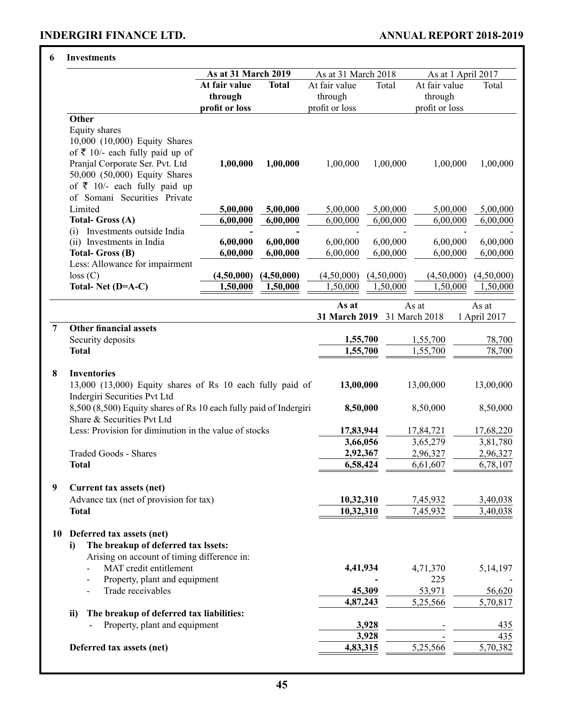**6 Investments**

|                |                                                                   | As at 31 March 2019 |              | As at 31 March 2018   |            |                | As at 1 April 2017    |
|----------------|-------------------------------------------------------------------|---------------------|--------------|-----------------------|------------|----------------|-----------------------|
|                |                                                                   | At fair value       | <b>Total</b> | At fair value         | Total      | At fair value  | Total                 |
|                |                                                                   | through             |              | through               |            | through        |                       |
|                |                                                                   | profit or loss      |              | profit or loss        |            | profit or loss |                       |
|                | Other                                                             |                     |              |                       |            |                |                       |
|                | Equity shares                                                     |                     |              |                       |            |                |                       |
|                | 10,000 (10,000) Equity Shares                                     |                     |              |                       |            |                |                       |
|                | of $\bar{\tau}$ 10/- each fully paid up of                        |                     |              |                       |            |                |                       |
|                | Pranjal Corporate Ser. Pvt. Ltd                                   | 1,00,000            | 1,00,000     | 1,00,000              | 1,00,000   | 1,00,000       | 1,00,000              |
|                | 50,000 (50,000) Equity Shares                                     |                     |              |                       |            |                |                       |
|                | of $\bar{\tau}$ 10/- each fully paid up                           |                     |              |                       |            |                |                       |
|                | of Somani Securities Private                                      |                     |              |                       |            |                |                       |
|                | Limited                                                           | 5,00,000            | 5,00,000     | 5,00,000              | 5,00,000   | 5,00,000       | 5,00,000              |
|                | Total- Gross (A)                                                  | 6,00,000            | 6,00,000     | $\overline{6,00,000}$ | 6,00,000   | 6,00,000       | $6,00,\overline{000}$ |
|                | Investments outside India<br>(i)                                  |                     |              |                       |            |                |                       |
|                | (ii) Investments in India                                         | 6,00,000            | 6,00,000     | 6,00,000              | 6,00,000   | 6,00,000       | 6,00,000              |
|                | Total- Gross (B)                                                  | 6,00,000            | 6,00,000     | 6,00,000              | 6,00,000   | 6,00,000       | 6,00,000              |
|                | Less: Allowance for impairment                                    |                     |              |                       |            |                |                       |
|                | loss(C)                                                           | (4,50,000)          | (4,50,000)   | (4,50,000)            | (4,50,000) | (4,50,000)     | (4,50,000)            |
|                | Total-Net (D=A-C)                                                 | 1,50,000            | 1,50,000     | 1,50,000              | 1,50,000   | 1,50,000       | 1,50,000              |
|                |                                                                   |                     |              |                       |            |                |                       |
|                |                                                                   |                     |              | As at                 |            | As at          | As at                 |
|                |                                                                   |                     |              | 31 March 2019         |            | 31 March 2018  | 1 April 2017          |
| $\overline{7}$ | <b>Other financial assets</b>                                     |                     |              |                       |            |                |                       |
|                | Security deposits                                                 |                     |              | 1,55,700              |            | 1,55,700       | 78,700                |
|                | <b>Total</b>                                                      |                     |              | 1,55,700              |            | 1,55,700       | 78,700                |
|                |                                                                   |                     |              |                       |            |                |                       |
| 8              | <b>Inventories</b>                                                |                     |              |                       |            |                |                       |
|                | 13,000 (13,000) Equity shares of Rs 10 each fully paid of         |                     |              | 13,00,000             |            | 13,00,000      | 13,00,000             |
|                | Indergiri Securities Pvt Ltd                                      |                     |              |                       |            |                |                       |
|                | 8,500 (8,500) Equity shares of Rs 10 each fully paid of Indergiri |                     |              | 8,50,000              |            | 8,50,000       | 8,50,000              |
|                | Share & Securities Pvt Ltd                                        |                     |              |                       |            |                |                       |
|                | Less: Provision for diminution in the value of stocks             |                     |              | 17,83,944             |            | 17,84,721      | 17,68,220             |
|                |                                                                   |                     |              | 3,66,056              |            | 3,65,279       | 3,81,780              |
|                | <b>Traded Goods - Shares</b>                                      |                     |              | 2,92,367              |            | 2,96,327       | 2,96,327              |
|                | <b>Total</b>                                                      |                     |              | 6,58,424              |            | 6,61,607       | 6,78,107              |
|                |                                                                   |                     |              |                       |            |                |                       |
| 9              | Current tax assets (net)                                          |                     |              |                       |            |                |                       |
|                | Advance tax (net of provision for tax)                            |                     |              | 10,32,310             |            | 7,45,932       | 3,40,038              |
|                | <b>Total</b>                                                      |                     |              | 10,32,310             |            | 7,45,932       | 3,40,038              |
|                |                                                                   |                     |              |                       |            |                |                       |
| 10             | Deferred tax assets (net)                                         |                     |              |                       |            |                |                       |
|                | The breakup of deferred tax lssets:<br>i)                         |                     |              |                       |            |                |                       |
|                | Arising on account of timing difference in:                       |                     |              |                       |            |                |                       |
|                | MAT credit entitlement                                            |                     |              | 4,41,934              |            | 4,71,370       | 5, 14, 197            |
|                | Property, plant and equipment                                     |                     |              |                       |            | 225            |                       |
|                | Trade receivables<br>$\overline{\phantom{0}}$                     |                     |              |                       | 45,309     | 53,971         | 56,620                |
|                |                                                                   |                     |              | 4,87,243              |            | 5,25,566       | 5,70,817              |
|                | The breakup of deferred tax liabilities:<br>ii)                   |                     |              |                       |            |                |                       |
|                | Property, plant and equipment                                     |                     |              |                       | 3,928      |                | 435                   |
|                |                                                                   |                     |              |                       | 3,928      |                | 435                   |
|                | Deferred tax assets (net)                                         |                     |              | 4,83,315              |            | 5,25,566       | 5,70,382              |
|                |                                                                   |                     |              |                       |            |                |                       |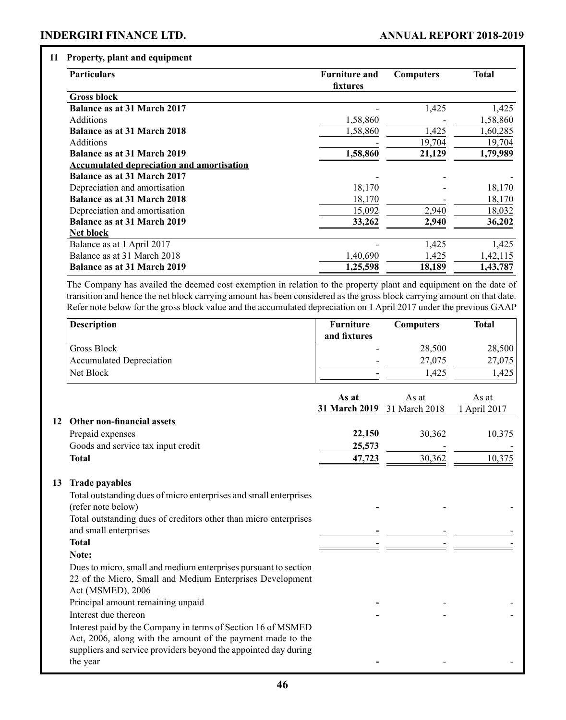### **11 Property, plant and equipment**

| <b>Particulars</b>                               | <b>Furniture and</b> | <b>Computers</b> | <b>Total</b> |
|--------------------------------------------------|----------------------|------------------|--------------|
|                                                  | fixtures             |                  |              |
| <b>Gross block</b>                               |                      |                  |              |
| <b>Balance as at 31 March 2017</b>               |                      | 1,425            | 1,425        |
| <b>Additions</b>                                 | 1,58,860             |                  | 1,58,860     |
| Balance as at 31 March 2018                      | 1,58,860             | 1,425            | 1,60,285     |
| <b>Additions</b>                                 |                      | 19,704           | 19,704       |
| <b>Balance as at 31 March 2019</b>               | 1,58,860             | 21,129           | 1,79,989     |
| <b>Accumulated depreciation and amortisation</b> |                      |                  |              |
| <b>Balance as at 31 March 2017</b>               |                      |                  |              |
| Depreciation and amortisation                    | 18,170               |                  | 18,170       |
| <b>Balance as at 31 March 2018</b>               | 18,170               |                  | 18,170       |
| Depreciation and amortisation                    | 15,092               | 2,940            | 18,032       |
| <b>Balance as at 31 March 2019</b>               | 33,262               | 2,940            | 36,202       |
| <b>Net block</b>                                 |                      |                  |              |
| Balance as at 1 April 2017                       |                      | 1,425            | 1,425        |
| Balance as at 31 March 2018                      | 1,40,690             | 1,425            | 1,42,115     |
| <b>Balance as at 31 March 2019</b>               | 1,25,598             | 18,189           | 1,43,787     |

The Company has availed the deemed cost exemption in relation to the property plant and equipment on the date of transition and hence the net block carrying amount has been considered as the gross block carrying amount on that date. Refer note below for the gross block value and the accumulated depreciation on 1 April 2017 under the previous GAAP

| <b>Description</b>       | <b>Furniture</b>         | <b>Computers</b> | Total  |
|--------------------------|--------------------------|------------------|--------|
|                          | and fixtures             |                  |        |
| Gross Block              | $\overline{\phantom{a}}$ | 28,500           | 28,500 |
| Accumulated Depreciation | $\,$                     | 27,075           | 27,075 |
| Net Block                | -                        | . 425            | 1,425  |

|    |                                                                                                                                                                                                            | As at<br><b>31 March 2019</b> | As at<br>31 March 2018 | As at<br>1 April 2017 |
|----|------------------------------------------------------------------------------------------------------------------------------------------------------------------------------------------------------------|-------------------------------|------------------------|-----------------------|
| 12 | Other non-financial assets                                                                                                                                                                                 |                               |                        |                       |
|    | Prepaid expenses                                                                                                                                                                                           | 22,150                        | 30,362                 | 10,375                |
|    | Goods and service tax input credit                                                                                                                                                                         | 25,573                        |                        |                       |
|    | <b>Total</b>                                                                                                                                                                                               | 47,723                        | 30,362                 | 10,375                |
| 13 | <b>Trade payables</b>                                                                                                                                                                                      |                               |                        |                       |
|    | Total outstanding dues of micro enterprises and small enterprises<br>(refer note below)                                                                                                                    |                               |                        |                       |
|    | Total outstanding dues of creditors other than micro enterprises<br>and small enterprises                                                                                                                  |                               |                        |                       |
|    | <b>Total</b>                                                                                                                                                                                               |                               |                        |                       |
|    | Note:                                                                                                                                                                                                      |                               |                        |                       |
|    | Dues to micro, small and medium enterprises pursuant to section<br>22 of the Micro, Small and Medium Enterprises Development<br>Act (MSMED), 2006                                                          |                               |                        |                       |
|    | Principal amount remaining unpaid                                                                                                                                                                          |                               |                        |                       |
|    | Interest due thereon                                                                                                                                                                                       |                               |                        |                       |
|    | Interest paid by the Company in terms of Section 16 of MSMED<br>Act, 2006, along with the amount of the payment made to the<br>suppliers and service providers beyond the appointed day during<br>the year |                               |                        |                       |
|    |                                                                                                                                                                                                            |                               |                        |                       |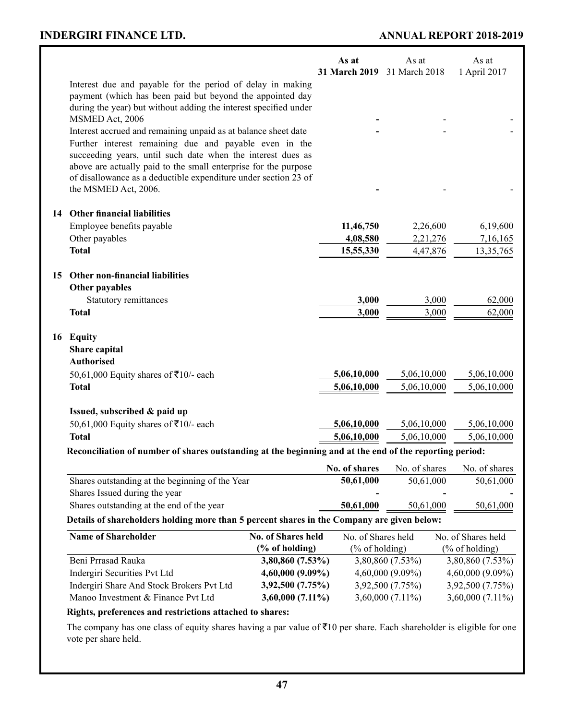### **ANNUAL REPORT 2018-2019**

|                                                                                                                                                                                                                                                                                                                                                       |                                      | As at<br>31 March 2019               | As at<br>31 March 2018     | As at<br>1 April 2017                |
|-------------------------------------------------------------------------------------------------------------------------------------------------------------------------------------------------------------------------------------------------------------------------------------------------------------------------------------------------------|--------------------------------------|--------------------------------------|----------------------------|--------------------------------------|
| Interest due and payable for the period of delay in making<br>payment (which has been paid but beyond the appointed day<br>during the year) but without adding the interest specified under<br>MSMED Act, 2006                                                                                                                                        |                                      |                                      |                            |                                      |
| Interest accrued and remaining unpaid as at balance sheet date<br>Further interest remaining due and payable even in the<br>succeeding years, until such date when the interest dues as<br>above are actually paid to the small enterprise for the purpose<br>of disallowance as a deductible expenditure under section 23 of<br>the MSMED Act, 2006. |                                      |                                      |                            |                                      |
| 14 Other financial liabilities                                                                                                                                                                                                                                                                                                                        |                                      |                                      |                            |                                      |
| Employee benefits payable                                                                                                                                                                                                                                                                                                                             |                                      | 11,46,750                            | 2,26,600                   | 6,19,600                             |
| Other payables                                                                                                                                                                                                                                                                                                                                        |                                      | 4,08,580                             | 2,21,276                   | 7,16,165                             |
| <b>Total</b>                                                                                                                                                                                                                                                                                                                                          |                                      | 15,55,330                            | 4,47,876                   | 13,35,765                            |
| 15 Other non-financial liabilities<br>Other payables                                                                                                                                                                                                                                                                                                  |                                      |                                      |                            |                                      |
| Statutory remittances                                                                                                                                                                                                                                                                                                                                 |                                      | 3,000                                | 3,000                      | 62,000                               |
| <b>Total</b>                                                                                                                                                                                                                                                                                                                                          |                                      | 3,000                                | 3,000                      | 62,000                               |
| 16 Equity<br>Share capital<br><b>Authorised</b><br>50,61,000 Equity shares of ₹10/- each<br><b>Total</b>                                                                                                                                                                                                                                              |                                      | 5,06,10,000<br>5,06,10,000           | 5,06,10,000<br>5,06,10,000 | 5,06,10,000<br>5,06,10,000           |
|                                                                                                                                                                                                                                                                                                                                                       |                                      |                                      |                            |                                      |
| Issued, subscribed & paid up<br>50,61,000 Equity shares of ₹10/- each                                                                                                                                                                                                                                                                                 |                                      | 5,06,10,000                          | 5,06,10,000                | 5,06,10,000                          |
| <b>Total</b>                                                                                                                                                                                                                                                                                                                                          |                                      | 5,06,10,000                          | 5,06,10,000                | 5,06,10,000                          |
| Reconciliation of number of shares outstanding at the beginning and at the end of the reporting period:                                                                                                                                                                                                                                               |                                      |                                      |                            |                                      |
|                                                                                                                                                                                                                                                                                                                                                       |                                      | No. of shares                        | No. of shares              | No. of shares                        |
| Shares outstanding at the beginning of the Year<br>Shares Issued during the year                                                                                                                                                                                                                                                                      |                                      | 50,61,000                            | 50,61,000                  | 50,61,000                            |
| Shares outstanding at the end of the year                                                                                                                                                                                                                                                                                                             |                                      | 50,61,000                            | 50,61,000                  | 50,61,000                            |
| Details of shareholders holding more than 5 percent shares in the Company are given below:                                                                                                                                                                                                                                                            |                                      |                                      |                            |                                      |
| <b>Name of Shareholder</b>                                                                                                                                                                                                                                                                                                                            | No. of Shares held<br>(% of holding) | No. of Shares held<br>(% of holding) |                            | No. of Shares held<br>(% of holding) |
| Beni Prrasad Rauka                                                                                                                                                                                                                                                                                                                                    | 3,80,860 (7.53%)                     |                                      | 3,80,860 (7.53%)           | 3,80,860 (7.53%)                     |
| Indergiri Securities Pvt Ltd                                                                                                                                                                                                                                                                                                                          | 4,60,000 (9.09%)                     |                                      | 4,60,000 (9.09%)           | 4,60,000 (9.09%)                     |
| Indergiri Share And Stock Brokers Pvt Ltd<br>Manoo Investment & Finance Pvt Ltd                                                                                                                                                                                                                                                                       | 3,92,500 (7.75%)                     |                                      | 3,92,500 (7.75%)           | 3,92,500 (7.75%)                     |
|                                                                                                                                                                                                                                                                                                                                                       | $3,60,000$ (7.11%)                   |                                      | $3,60,000$ $(7.11\%)$      | $3,60,000$ $(7.11\%)$                |
| Rights, preferences and restrictions attached to shares:                                                                                                                                                                                                                                                                                              |                                      |                                      |                            |                                      |

The company has one class of equity shares having a par value of  $\bar{c}10$  per share. Each shareholder is eligible for one vote per share held.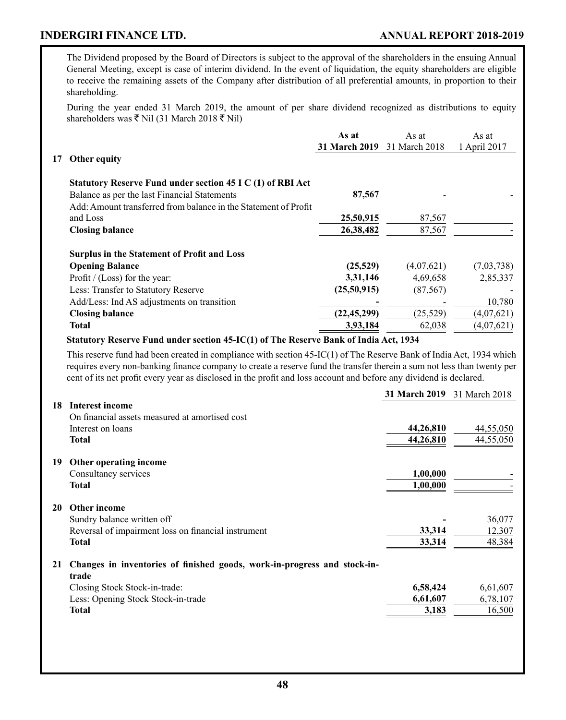The Dividend proposed by the Board of Directors is subject to the approval of the shareholders in the ensuing Annual General Meeting, except is case of interim dividend. In the event of liquidation, the equity shareholders are eligible to receive the remaining assets of the Company after distribution of all preferential amounts, in proportion to their shareholding.

During the year ended 31 March 2019, the amount of per share dividend recognized as distributions to equity shareholders was  $\bar{\mathbf{\xi}}$  Nil (31 March 2018  $\bar{\mathbf{\xi}}$  Nil)

|    |                                                                 | As at                              | As at      | As at        |
|----|-----------------------------------------------------------------|------------------------------------|------------|--------------|
|    |                                                                 | <b>31 March 2019</b> 31 March 2018 |            | 1 April 2017 |
| 17 | Other equity                                                    |                                    |            |              |
|    | Statutory Reserve Fund under section 45 I C (1) of RBI Act      |                                    |            |              |
|    | Balance as per the last Financial Statements                    | 87,567                             |            |              |
|    | Add: Amount transferred from balance in the Statement of Profit |                                    |            |              |
|    | and Loss                                                        | 25,50,915                          | 87,567     |              |
|    | <b>Closing balance</b>                                          | 26,38,482                          | 87,567     |              |
|    | <b>Surplus in the Statement of Profit and Loss</b>              |                                    |            |              |
|    | <b>Opening Balance</b>                                          | (25, 529)                          | (4,07,621) | (7,03,738)   |
|    | Profit $/(Loss)$ for the year:                                  | 3,31,146                           | 4,69,658   | 2,85,337     |
|    | Less: Transfer to Statutory Reserve                             | (25,50,915)                        | (87, 567)  |              |
|    | Add/Less: Ind AS adjustments on transition                      |                                    |            | 10,780       |
|    | <b>Closing balance</b>                                          | (22, 45, 299)                      | (25, 529)  | (4,07,621)   |
|    | Total                                                           | 3,93,184                           | 62,038     | (4,07,621)   |
|    |                                                                 |                                    |            |              |

### **Statutory Reserve Fund under section 45-IC(1) of The Reserve Bank of India Act, 1934**

This reserve fund had been created in compliance with section 45-IC(1) of The Reserve Bank of India Act, 1934 which requires every non-banking finance company to create a reserve fund the transfer therein a sum not less than twenty per cent of its net profit every year as disclosed in the profit and loss account and before any dividend is declared.

|    |                                                                                   | 31 March 2019 31 March 2018 |           |
|----|-----------------------------------------------------------------------------------|-----------------------------|-----------|
| 18 | <b>Interest income</b>                                                            |                             |           |
|    | On financial assets measured at amortised cost                                    |                             |           |
|    | Interest on loans                                                                 | 44,26,810                   | 44,55,050 |
|    | <b>Total</b>                                                                      | 44,26,810                   | 44,55,050 |
|    |                                                                                   |                             |           |
| 19 | Other operating income                                                            |                             |           |
|    | Consultancy services                                                              | 1,00,000                    |           |
|    | <b>Total</b>                                                                      | 1,00,000                    |           |
| 20 | Other income                                                                      |                             |           |
|    | Sundry balance written off                                                        |                             | 36,077    |
|    | Reversal of impairment loss on financial instrument                               | 33,314                      | 12,307    |
|    | <b>Total</b>                                                                      | 33,314                      | 48,384    |
|    |                                                                                   |                             |           |
| 21 | Changes in inventories of finished goods, work-in-progress and stock-in-<br>trade |                             |           |
|    |                                                                                   | 6,58,424                    | 6,61,607  |
|    | Closing Stock Stock-in-trade:                                                     |                             |           |
|    | Less: Opening Stock Stock-in-trade                                                | 6,61,607                    | 6,78,107  |
|    | <b>Total</b>                                                                      | 3,183                       | 16,500    |
|    |                                                                                   |                             |           |
|    |                                                                                   |                             |           |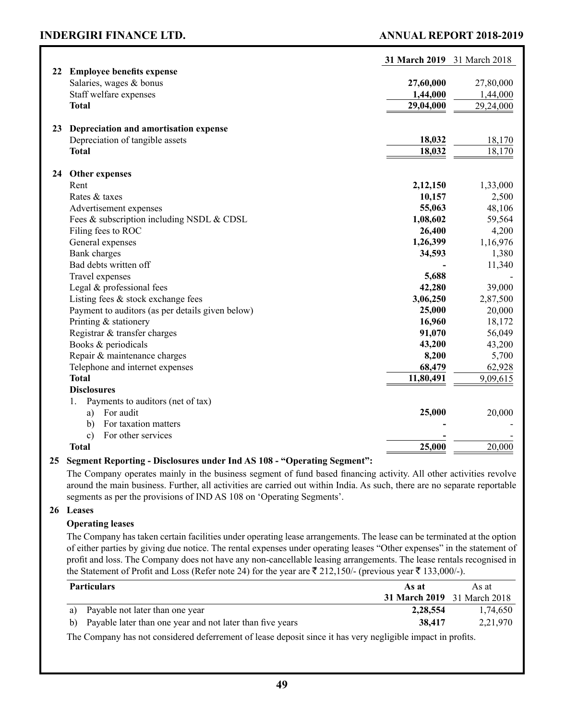### **ANNUAL REPORT 2018-2019**

|    |                                                  | 31 March 2019 31 March 2018 |           |
|----|--------------------------------------------------|-----------------------------|-----------|
|    | 22 Employee benefits expense                     |                             |           |
|    | Salaries, wages & bonus                          | 27,60,000                   | 27,80,000 |
|    | Staff welfare expenses                           | 1,44,000                    | 1,44,000  |
|    | <b>Total</b>                                     | 29,04,000                   | 29,24,000 |
| 23 | Depreciation and amortisation expense            |                             |           |
|    | Depreciation of tangible assets                  | 18,032                      | 18,170    |
|    | <b>Total</b>                                     | 18,032                      | 18,170    |
|    |                                                  |                             |           |
| 24 | Other expenses                                   |                             |           |
|    | Rent                                             | 2,12,150                    | 1,33,000  |
|    | Rates & taxes                                    | 10,157                      | 2,500     |
|    | Advertisement expenses                           | 55,063                      | 48,106    |
|    | Fees & subscription including NSDL & CDSL        | 1,08,602                    | 59,564    |
|    | Filing fees to ROC                               | 26,400                      | 4,200     |
|    | General expenses                                 | 1,26,399                    | 1,16,976  |
|    | Bank charges                                     | 34,593                      | 1,380     |
|    | Bad debts written off                            |                             | 11,340    |
|    | Travel expenses                                  | 5,688                       |           |
|    | Legal & professional fees                        | 42,280                      | 39,000    |
|    | Listing fees $\&$ stock exchange fees            | 3,06,250                    | 2,87,500  |
|    | Payment to auditors (as per details given below) | 25,000                      | 20,000    |
|    | Printing & stationery                            | 16,960                      | 18,172    |
|    | Registrar & transfer charges                     | 91,070                      | 56,049    |
|    | Books & periodicals                              | 43,200                      | 43,200    |
|    | Repair & maintenance charges                     | 8,200                       | 5,700     |
|    | Telephone and internet expenses                  | 68,479                      | 62,928    |
|    | <b>Total</b>                                     | 11,80,491                   | 9,09,615  |
|    | <b>Disclosures</b>                               |                             |           |
|    | Payments to auditors (net of tax)<br>$1_{\cdot}$ |                             |           |
|    | For audit<br>a)                                  | 25,000                      | 20,000    |
|    | For taxation matters<br>b)                       |                             |           |
|    | For other services<br>$\mathbf{c}$               |                             |           |
|    | <b>Total</b>                                     | 25,000                      | 20,000    |

### **25 Segment Reporting - Disclosures under Ind AS 108 - "Operating Segment":**

 The Company operates mainly in the business segment of fund based financing activity. All other activities revolve around the main business. Further, all activities are carried out within India. As such, there are no separate reportable segments as per the provisions of IND AS 108 on 'Operating Segments'.

### **26 Leases**

#### **Operating leases**

The Company has taken certain facilities under operating lease arrangements. The lease can be terminated at the option of either parties by giving due notice. The rental expenses under operating leases "Other expenses" in the statement of profit and loss. The Company does not have any non-cancellable leasing arrangements. The lease rentals recognised in the Statement of Profit and Loss (Refer note 24) for the year are  $\bar{\tau}$  212,150/- (previous year  $\bar{\tau}$  133,000/-).

| <b>Particulars</b>                                           | As at                              | As at    |
|--------------------------------------------------------------|------------------------------------|----------|
|                                                              | <b>31 March 2019</b> 31 March 2018 |          |
| a) Payable not later than one year                           | 2.28.554                           | 1.74.650 |
| b) Payable later than one year and not later than five years | 38,417                             | 2,21,970 |

 The Company has not considered deferrement of lease deposit since it has very negligible impact in profits.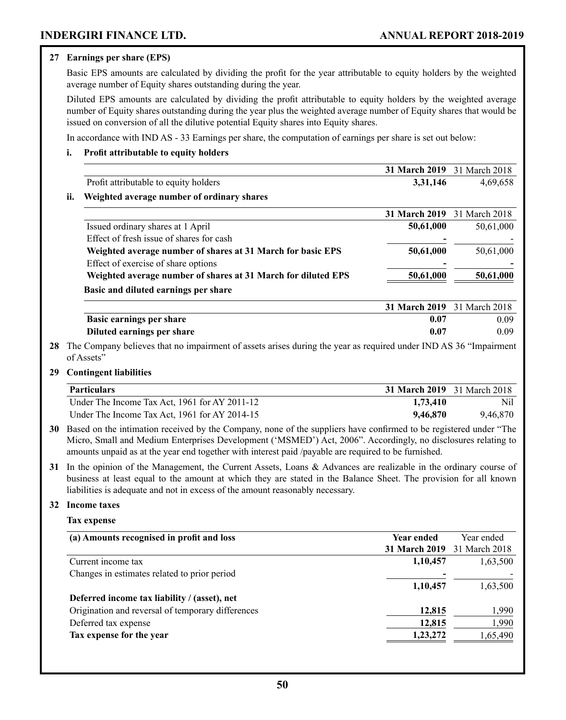### **27 Earnings per share (EPS)**

Basic EPS amounts are calculated by dividing the profit for the year attributable to equity holders by the weighted average number of Equity shares outstanding during the year.

 Diluted EPS amounts are calculated by dividing the profit attributable to equity holders by the weighted average number of Equity shares outstanding during the year plus the weighted average number of Equity shares that would be issued on conversion of all the dilutive potential Equity shares into Equity shares.

In accordance with IND AS - 33 Earnings per share, the computation of earnings per share is set out below:

### **i. Profit attributable to equity holders**

|                                                               | 31 March 2019        | 31 March 2018 |
|---------------------------------------------------------------|----------------------|---------------|
| Profit attributable to equity holders                         | 3,31,146             | 4,69,658      |
| Weighted average number of ordinary shares                    |                      |               |
|                                                               | <b>31 March 2019</b> | 31 March 2018 |
| Issued ordinary shares at 1 April                             | 50,61,000            | 50,61,000     |
| Effect of fresh issue of shares for cash                      |                      |               |
| Weighted average number of shares at 31 March for basic EPS   | 50,61,000            | 50,61,000     |
| Effect of exercise of share options                           |                      |               |
| Weighted average number of shares at 31 March for diluted EPS | 50,61,000            | 50,61,000     |
| Basic and diluted earnings per share                          |                      |               |
|                                                               | <b>31 March 2019</b> | 31 March 2018 |
| Basic earnings per share                                      | 0.07                 | 0.09          |
| Diluted earnings per share                                    | 0.07                 | 0.09          |

**28** The Company believes that no impairment of assets arises during the year as required under IND AS 36 "Impairment of Assets"

#### **29 Contingent liabilities**

| <b>Particulars</b>                            | 31 March 2019 31 March 2018 |          |
|-----------------------------------------------|-----------------------------|----------|
| Under The Income Tax Act, 1961 for AY 2011-12 | 1,73,410                    | Nil      |
| Under The Income Tax Act, 1961 for AY 2014-15 | 9,46,870                    | 9.46.870 |

**30** Based on the intimation received by the Company, none of the suppliers have confirmed to be registered under "The Micro, Small and Medium Enterprises Development ('MSMED') Act, 2006". Accordingly, no disclosures relating to amounts unpaid as at the year end together with interest paid /payable are required to be furnished.

**31** In the opinion of the Management, the Current Assets, Loans & Advances are realizable in the ordinary course of business at least equal to the amount at which they are stated in the Balance Sheet. The provision for all known liabilities is adequate and not in excess of the amount reasonably necessary.

#### **32 Income taxes**

**Tax expense**

| (a) Amounts recognised in profit and loss         | Year ended           | Year ended    |
|---------------------------------------------------|----------------------|---------------|
|                                                   | <b>31 March 2019</b> | 31 March 2018 |
| Current income tax                                | 1,10,457             | 1,63,500      |
| Changes in estimates related to prior period      |                      |               |
|                                                   | 1,10,457             | 1,63,500      |
| Deferred income tax liability / (asset), net      |                      |               |
| Origination and reversal of temporary differences | 12,815               | 1,990         |
| Deferred tax expense                              | 12,815               | 1,990         |
| Tax expense for the year                          | 1,23,272             | 1,65,490      |
|                                                   |                      |               |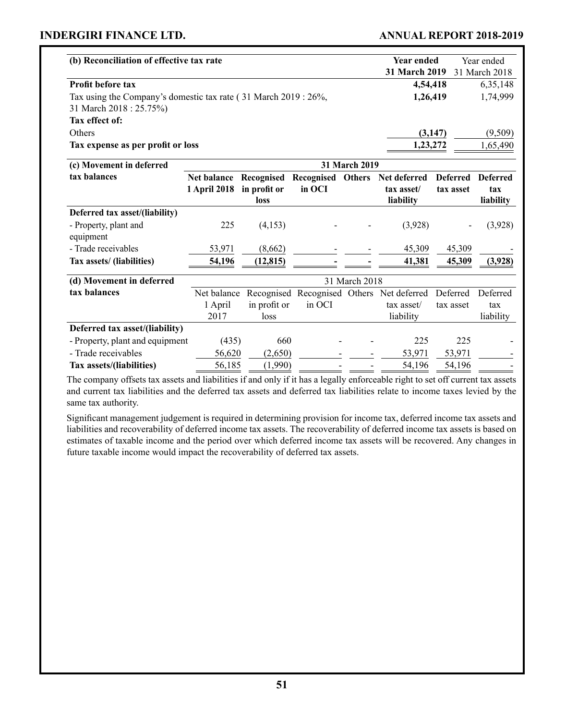### **ANNUAL REPORT 2018-2019**

| (b) Reconciliation of effective tax rate                                                   | Year ended<br><b>31 March 2019</b> 31 March 2018 | Year ended |
|--------------------------------------------------------------------------------------------|--------------------------------------------------|------------|
| <b>Profit before tax</b>                                                                   | 4,54,418                                         | 6, 35, 148 |
| Tax using the Company's domestic tax rate (31 March 2019 : 26%,<br>31 March 2018 : 25.75%) | 1,26,419                                         | 1,74,999   |
| Tax effect of:                                                                             |                                                  |            |
| Others                                                                                     | (3,147)                                          | (9,509)    |
| Tax expense as per profit or loss                                                          | 1,23,272                                         | 1,65,490   |

| (c) Movement in deferred        |              |              |                          | <b>31 March 2019</b> |                                           |                 |                 |
|---------------------------------|--------------|--------------|--------------------------|----------------------|-------------------------------------------|-----------------|-----------------|
| tax balances                    | Net balance  | Recognised   | <b>Recognised Others</b> |                      | Net deferred                              | <b>Deferred</b> | <b>Deferred</b> |
|                                 | 1 April 2018 | in profit or | in OCI                   |                      | tax asset/                                | tax asset       | tax             |
|                                 |              | loss         |                          |                      | liability                                 |                 | liability       |
| Deferred tax asset/(liability)  |              |              |                          |                      |                                           |                 |                 |
| - Property, plant and           | 225          | (4,153)      |                          |                      | (3,928)                                   |                 | (3,928)         |
| equipment                       |              |              |                          |                      |                                           |                 |                 |
| - Trade receivables             | 53,971       | (8,662)      |                          |                      | 45,309                                    | 45,309          |                 |
| Tax assets/ (liabilities)       | 54,196       | (12, 815)    |                          |                      | 41,381                                    | 45,309          | (3,928)         |
| (d) Movement in deferred        |              |              |                          | 31 March 2018        |                                           |                 |                 |
| tax balances                    | Net balance  |              |                          |                      | Recognised Recognised Others Net deferred | Deferred        | Deferred        |
|                                 | 1 April      | in profit or | in OCI                   |                      | tax asset/                                | tax asset       | tax             |
|                                 | 2017         | loss         |                          |                      | liability                                 |                 | liability       |
| Deferred tax asset/(liability)  |              |              |                          |                      |                                           |                 |                 |
| - Property, plant and equipment | (435)        | 660          |                          |                      | 225                                       | 225             |                 |
| - Trade receivables             | 56,620       | (2,650)      |                          |                      | 53,971                                    | 53,971          |                 |
| Tax assets/(liabilities)        | 56,185       | (1,990)      |                          |                      | 54,196                                    | 54,196          |                 |

The company offsets tax assets and liabilities if and only if it has a legally enforceable right to set off current tax assets and current tax liabilities and the deferred tax assets and deferred tax liabilities relate to income taxes levied by the same tax authority.

 Significant management judgement is required in determining provision for income tax, deferred income tax assets and liabilities and recoverability of deferred income tax assets. The recoverability of deferred income tax assets is based on estimates of taxable income and the period over which deferred income tax assets will be recovered. Any changes in future taxable income would impact the recoverability of deferred tax assets.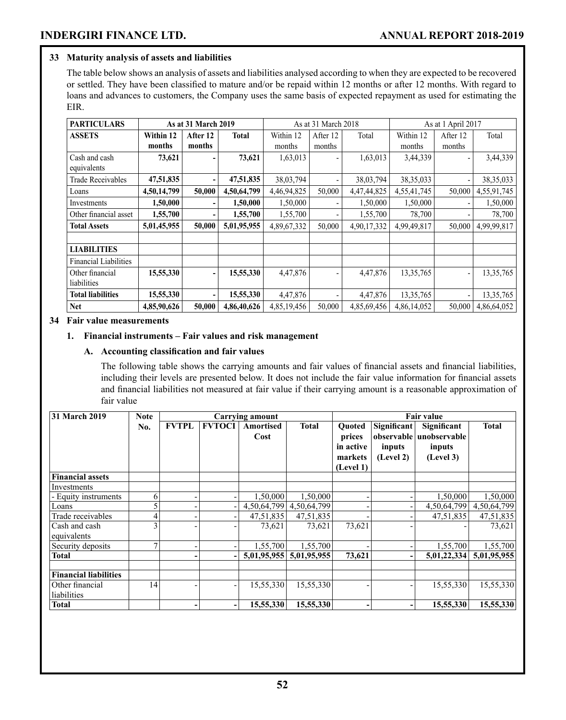### **33 Maturity analysis of assets and liabilities**

The table below shows an analysis of assets and liabilities analysed according to when they are expected to be recovered or settled. They have been classified to mature and/or be repaid within 12 months or after 12 months. With regard to loans and advances to customers, the Company uses the same basis of expected repayment as used for estimating the EIR.

| <b>PARTICULARS</b><br>As at 31 March 2019 |             |          | As at 31 March 2018 |             |          | As at 1 April 2017 |             |                          |             |
|-------------------------------------------|-------------|----------|---------------------|-------------|----------|--------------------|-------------|--------------------------|-------------|
| <b>ASSETS</b>                             | Within 12   | After 12 | <b>Total</b>        | Within 12   | After 12 | Total              | Within 12   | After 12                 | Total       |
|                                           | months      | months   |                     | months      | months   |                    | months      | months                   |             |
| Cash and cash                             | 73,621      |          | 73,621              | 1,63,013    |          | 1,63,013           | 3,44,339    |                          | 3,44,339    |
| equivalents                               |             |          |                     |             |          |                    |             |                          |             |
| <b>Trade Receivables</b>                  | 47,51,835   | -        | 47,51,835           | 38,03,794   |          | 38,03,794          | 38, 35, 033 | $\overline{\phantom{a}}$ | 38, 35, 033 |
| Loans                                     | 4,50,14,799 | 50,000   | 4,50,64,799         | 4,46,94,825 | 50,000   | 4,47,44,825        | 4,55,41,745 | 50,000                   | 4,55,91,745 |
| Investments                               | 1,50,000    | -        | 1,50,000            | 1,50,000    |          | 1,50,000           | 1,50,000    | $\overline{\phantom{a}}$ | 1,50,000    |
| Other financial asset                     | 1,55,700    | ٠        | 1,55,700            | 1,55,700    |          | 1,55,700           | 78,700      |                          | 78,700      |
| <b>Total Assets</b>                       | 5,01,45,955 | 50,000   | 5,01,95,955         | 4,89,67,332 | 50,000   | 4,90,17,332        | 4,99,49,817 | 50,000                   | 4,99,99,817 |
|                                           |             |          |                     |             |          |                    |             |                          |             |
| <b>LIABILITIES</b>                        |             |          |                     |             |          |                    |             |                          |             |
| <b>Financial Liabilities</b>              |             |          |                     |             |          |                    |             |                          |             |
| Other financial                           | 15,55,330   | -        | 15,55,330           | 4,47,876    |          | 4,47,876           | 13,35,765   | $\overline{\phantom{a}}$ | 13,35,765   |
| liabilities                               |             |          |                     |             |          |                    |             |                          |             |
| <b>Total liabilities</b>                  | 15,55,330   | -        | 15,55,330           | 4,47,876    |          | 4,47,876           | 13, 35, 765 | $\overline{\phantom{a}}$ | 13,35,765   |
| <b>Net</b>                                | 4,85,90,626 | 50,000   | 4,86,40,626         | 4,85,19,456 | 50,000   | 4,85,69,456        | 4,86,14,052 | 50,000                   | 4,86,64,052 |

### **34 Fair value measurements**

### **1. Financial instruments – Fair values and risk management**

### **A. Accounting classification and fair values**

The following table shows the carrying amounts and fair values of financial assets and financial liabilities, including their levels are presented below. It does not include the fair value information for financial assets and financial liabilities not measured at fair value if their carrying amount is a reasonable approximation of fair value

| 31 March 2019                | <b>Note</b>    |              | <b>Carrying amount</b> |             |              | <b>Fair value</b> |             |              |              |
|------------------------------|----------------|--------------|------------------------|-------------|--------------|-------------------|-------------|--------------|--------------|
|                              | No.            | <b>FVTPL</b> | <b>FVTOCI</b>          | Amortised   | <b>Total</b> | <b>Ouoted</b>     | Significant | Significant  | <b>Total</b> |
|                              |                |              |                        | Cost        |              | prices            | observable  | unobservable |              |
|                              |                |              |                        |             |              | in active         | inputs      | inputs       |              |
|                              |                |              |                        |             |              | markets           | (Level 2)   | (Level 3)    |              |
|                              |                |              |                        |             |              | (Level 1)         |             |              |              |
| <b>Financial assets</b>      |                |              |                        |             |              |                   |             |              |              |
| Investments                  |                |              |                        |             |              |                   |             |              |              |
| - Equity instruments         | 6              |              |                        | 1,50,000    | 1,50,000     |                   |             | 1,50,000     | 1,50,000     |
| Loans                        |                |              |                        | 4,50,64,799 | 4,50,64,799  |                   |             | 4,50,64,799  | 4,50,64,799  |
| Trade receivables            | 4              |              |                        | 47,51,835   | 47,51,835    |                   |             | 47,51,835    | 47,51,835    |
| Cash and cash                | 3              |              |                        | 73,621      | 73,621       | 73,621            |             |              | 73,621       |
| equivalents                  |                |              |                        |             |              |                   |             |              |              |
| Security deposits            | $\overline{ }$ |              |                        | 1,55,700    | 1,55,700     |                   |             | 1,55,700     | 1,55,700     |
| Total                        |                |              |                        | 5,01,95,955 | 5,01,95,955  | 73,621            |             | 5,01,22,334  | 5,01,95,955  |
|                              |                |              |                        |             |              |                   |             |              |              |
| <b>Financial liabilities</b> |                |              |                        |             |              |                   |             |              |              |
| Other financial              | 14             |              |                        | 15,55,330   | 15,55,330    |                   |             | 15,55,330    | 15,55,330    |
| liabilities                  |                |              |                        |             |              |                   |             |              |              |
| Total                        |                |              |                        | 15,55,330   | 15,55,330    |                   |             | 15,55,330    | 15,55,330    |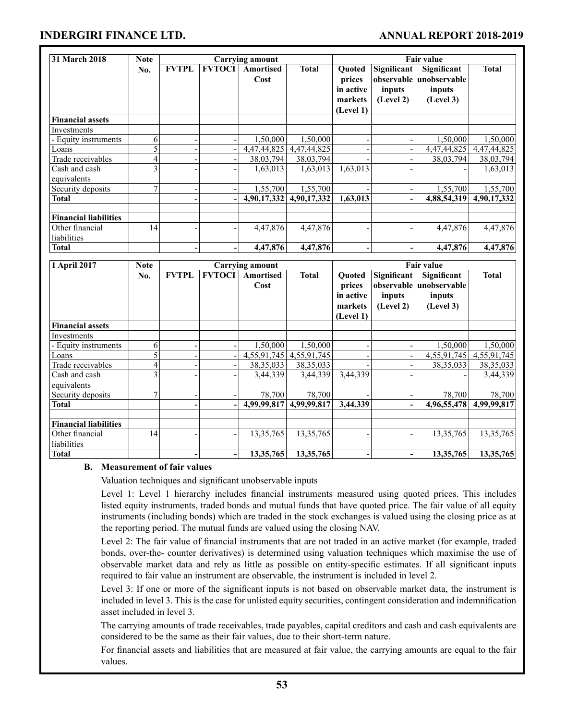| 31 March 2018                | <b>Note</b>    |              | <b>Carrying amount</b> |             |              | <b>Fair value</b> |             |                         |              |
|------------------------------|----------------|--------------|------------------------|-------------|--------------|-------------------|-------------|-------------------------|--------------|
|                              | No.            | <b>FVTPL</b> | <b>FVTOCI</b>          | Amortised   | <b>Total</b> | <b>Ouoted</b>     | Significant | Significant             | <b>Total</b> |
|                              |                |              |                        | Cost        |              | prices            |             | observable unobservable |              |
|                              |                |              |                        |             |              | in active         | inputs      | inputs                  |              |
|                              |                |              |                        |             |              | markets           | (Level 2)   | (Level 3)               |              |
|                              |                |              |                        |             |              | (Level 1)         |             |                         |              |
| <b>Financial assets</b>      |                |              |                        |             |              |                   |             |                         |              |
| Investments                  |                |              |                        |             |              |                   |             |                         |              |
| - Equity instruments         | 6              |              |                        | 1,50,000    | 1,50,000     |                   |             | 1,50,000                | 1,50,000     |
| Loans                        |                |              |                        | 4,47,44,825 | 4,47,44,825  |                   |             | 4,47,44,825             | 4,47,44,825  |
| Trade receivables            | 4              |              |                        | 38,03,794   | 38,03,794    |                   |             | 38,03,794               | 38,03,794    |
| Cash and cash                | 3              |              |                        | 1,63,013    | 1,63,013     | 1,63,013          |             |                         | 1,63,013     |
| equivalents                  |                |              |                        |             |              |                   |             |                         |              |
| Security deposits            | $\overline{7}$ |              |                        | 1,55,700    | 1,55,700     |                   |             | 1,55,700                | 1,55,700     |
| Total                        |                |              |                        | 4,90,17,332 | 4,90,17,332  | 1,63,013          |             | 4,88,54,319             | 4,90,17,332  |
|                              |                |              |                        |             |              |                   |             |                         |              |
| <b>Financial liabilities</b> |                |              |                        |             |              |                   |             |                         |              |
| Other financial              | 14             |              |                        | 4,47,876    | 4,47,876     |                   |             | 4,47,876                | 4,47,876     |
| liabilities                  |                |              |                        |             |              |                   |             |                         |              |
| Total                        |                |              |                        | 4,47,876    | 4,47,876     |                   |             | 4,47,876                | 4,47,876     |

| 1 April 2017                 | <b>Note</b> | <b>Carrying amount</b> |               |             |              |               | <b>Fair value</b> |              |              |
|------------------------------|-------------|------------------------|---------------|-------------|--------------|---------------|-------------------|--------------|--------------|
|                              | No.         | <b>FVTPL</b>           | <b>FVTOCI</b> | Amortised   | <b>Total</b> | <b>Ouoted</b> | Significant       | Significant  | <b>Total</b> |
|                              |             |                        |               | Cost        |              | prices        | observable        | unobservable |              |
|                              |             |                        |               |             |              | in active     | inputs            | inputs       |              |
|                              |             |                        |               |             |              | markets       | (Level 2)         | (Level 3)    |              |
|                              |             |                        |               |             |              | (Level 1)     |                   |              |              |
| <b>Financial assets</b>      |             |                        |               |             |              |               |                   |              |              |
| Investments                  |             |                        |               |             |              |               |                   |              |              |
| - Equity instruments         | 6           |                        |               | 1,50,000    | 1,50,000     |               |                   | 1,50,000     | 1,50,000     |
| Loans                        |             |                        |               | 4,55,91,745 | 4,55,91,745  |               |                   | 4,55,91,745  | 4,55,91,745  |
| Trade receivables            | 4           |                        |               | 38, 35, 033 | 38, 35, 033  |               |                   | 38, 35, 033  | 38, 35, 033  |
| Cash and cash                | 3           |                        |               | 3,44,339    | 3,44,339     | 3,44,339      |                   |              | 3,44,339     |
| equivalents                  |             |                        |               |             |              |               |                   |              |              |
| Security deposits            | 7           |                        |               | 78,700      | 78,700       |               |                   | 78,700       | 78,700       |
| Total                        |             |                        |               | 4,99,99,817 | 4,99,99,817  | 3.44.339      |                   | 4,96,55,478  | 4,99,99,817  |
|                              |             |                        |               |             |              |               |                   |              |              |
| <b>Financial liabilities</b> |             |                        |               |             |              |               |                   |              |              |
| Other financial              | 14          |                        |               | 13, 35, 765 | 13, 35, 765  |               |                   | 13,35,765    | 13,35,765    |
| liabilities                  |             |                        |               |             |              |               |                   |              |              |
| Total                        |             |                        |               | 13,35,765   | 13,35,765    |               |                   | 13, 35, 765  | 13,35,765    |

### **B. Measurement of fair values**

Valuation techniques and significant unobservable inputs

 Level 1: Level 1 hierarchy includes financial instruments measured using quoted prices. This includes listed equity instruments, traded bonds and mutual funds that have quoted price. The fair value of all equity instruments (including bonds) which are traded in the stock exchanges is valued using the closing price as at the reporting period. The mutual funds are valued using the closing NAV.

 Level 2: The fair value of financial instruments that are not traded in an active market (for example, traded bonds, over-the- counter derivatives) is determined using valuation techniques which maximise the use of observable market data and rely as little as possible on entity-specific estimates. If all significant inputs required to fair value an instrument are observable, the instrument is included in level 2.

 Level 3: If one or more of the significant inputs is not based on observable market data, the instrument is included in level 3. This is the case for unlisted equity securities, contingent consideration and indemnification asset included in level 3.

The carrying amounts of trade receivables, trade payables, capital creditors and cash and cash equivalents are considered to be the same as their fair values, due to their short-term nature.

 For financial assets and liabilities that are measured at fair value, the carrying amounts are equal to the fair values.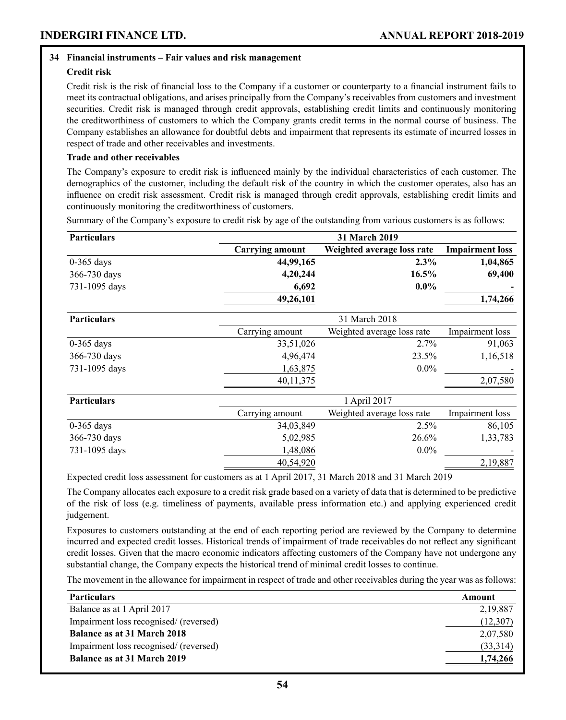### **34 Financial instruments – Fair values and risk management**

### **Credit risk**

 Credit risk is the risk of financial loss to the Company if a customer or counterparty to a financial instrument fails to meet its contractual obligations, and arises principally from the Company's receivables from customers and investment securities. Credit risk is managed through credit approvals, establishing credit limits and continuously monitoring the creditworthiness of customers to which the Company grants credit terms in the normal course of business. The Company establishes an allowance for doubtful debts and impairment that represents its estimate of incurred losses in respect of trade and other receivables and investments.

### **Trade and other receivables**

 The Company's exposure to credit risk is influenced mainly by the individual characteristics of each customer. The demographics of the customer, including the default risk of the country in which the customer operates, also has an influence on credit risk assessment. Credit risk is managed through credit approvals, establishing credit limits and continuously monitoring the creditworthiness of customers.

Summary of the Company's exposure to credit risk by age of the outstanding from various customers is as follows:

| <b>Particulars</b> |                        | 31 March 2019              |                        |
|--------------------|------------------------|----------------------------|------------------------|
|                    | <b>Carrying amount</b> | Weighted average loss rate | <b>Impairment</b> loss |
| $0-365$ days       | 44,99,165              | $2.3\%$                    | 1,04,865               |
| 366-730 days       | 4,20,244               | 16.5%                      | 69,400                 |
| 731-1095 days      | 6,692                  | $0.0\%$                    |                        |
|                    | 49,26,101              |                            | 1,74,266               |
| <b>Particulars</b> |                        | 31 March 2018              |                        |
|                    | Carrying amount        | Weighted average loss rate | Impairment loss        |
| $0-365$ days       | 33,51,026              | 2.7%                       | 91,063                 |
| 366-730 days       | 4,96,474               | 23.5%                      | 1,16,518               |
| 731-1095 days      | 1,63,875               | $0.0\%$                    |                        |
|                    | 40,11,375              |                            | 2,07,580               |
| <b>Particulars</b> |                        | 1 April 2017               |                        |
|                    | Carrying amount        | Weighted average loss rate | Impairment loss        |
| $0-365$ days       | 34,03,849              | 2.5%                       | 86,105                 |
| 366-730 days       | 5,02,985               | 26.6%                      | 1,33,783               |
| 731-1095 days      | 1,48,086               | $0.0\%$                    |                        |
|                    | 40,54,920              |                            | 2,19,887               |

Expected credit loss assessment for customers as at 1 April 2017, 31 March 2018 and 31 March 2019

The Company allocates each exposure to a credit risk grade based on a variety of data that is determined to be predictive of the risk of loss (e.g. timeliness of payments, available press information etc.) and applying experienced credit judgement.

Exposures to customers outstanding at the end of each reporting period are reviewed by the Company to determine incurred and expected credit losses. Historical trends of impairment of trade receivables do not reflect any significant credit losses. Given that the macro economic indicators affecting customers of the Company have not undergone any substantial change, the Company expects the historical trend of minimal credit losses to continue.

The movement in the allowance for impairment in respect of trade and other receivables during the year was as follows:

| <b>Particulars</b>                     | Amount   |
|----------------------------------------|----------|
| Balance as at 1 April 2017             | 2,19,887 |
| Impairment loss recognised/ (reversed) | (12,307) |
| <b>Balance as at 31 March 2018</b>     | 2,07,580 |
| Impairment loss recognised/ (reversed) | (33,314) |
| <b>Balance as at 31 March 2019</b>     | 1,74,266 |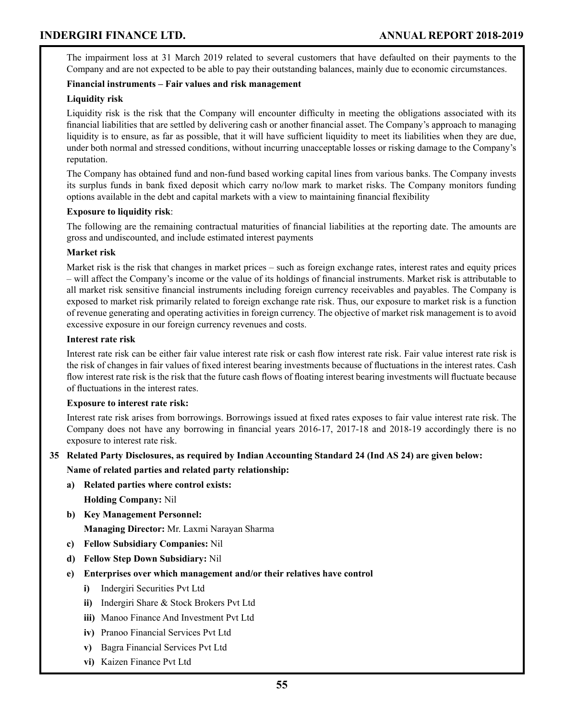The impairment loss at 31 March 2019 related to several customers that have defaulted on their payments to the Company and are not expected to be able to pay their outstanding balances, mainly due to economic circumstances.

### **Financial instruments – Fair values and risk management**

### **Liquidity risk**

Liquidity risk is the risk that the Company will encounter difficulty in meeting the obligations associated with its financial liabilities that are settled by delivering cash or another financial asset. The Company's approach to managing liquidity is to ensure, as far as possible, that it will have sufficient liquidity to meet its liabilities when they are due, under both normal and stressed conditions, without incurring unacceptable losses or risking damage to the Company's reputation.

The Company has obtained fund and non-fund based working capital lines from various banks. The Company invests its surplus funds in bank fixed deposit which carry no/low mark to market risks. The Company monitors funding options available in the debt and capital markets with a view to maintaining financial flexibility

### **Exposure to liquidity risk**:

 The following are the remaining contractual maturities of financial liabilities at the reporting date. The amounts are gross and undiscounted, and include estimated interest payments

### **Market risk**

Market risk is the risk that changes in market prices – such as foreign exchange rates, interest rates and equity prices – will affect the Company's income or the value of its holdings of financial instruments. Market risk is attributable to all market risk sensitive financial instruments including foreign currency receivables and payables. The Company is exposed to market risk primarily related to foreign exchange rate risk. Thus, our exposure to market risk is a function of revenue generating and operating activities in foreign currency. The objective of market risk management is to avoid excessive exposure in our foreign currency revenues and costs.

### **Interest rate risk**

Interest rate risk can be either fair value interest rate risk or cash flow interest rate risk. Fair value interest rate risk is the risk of changes in fair values of fixed interest bearing investments because of fluctuations in the interest rates. Cash flow interest rate risk is the risk that the future cash flows of floating interest bearing investments will fluctuate because of fluctuations in the interest rates.

### **Exposure to interest rate risk:**

Interest rate risk arises from borrowings. Borrowings issued at fixed rates exposes to fair value interest rate risk. The Company does not have any borrowing in financial years 2016-17, 2017-18 and 2018-19 accordingly there is no exposure to interest rate risk.

### **35 Related Party Disclosures, as required by Indian Accounting Standard 24 (Ind AS 24) are given below:**

### **Name of related parties and related party relationship:**

**a) Related parties where control exists:**

**Holding Company:** Nil

**b) Key Management Personnel:**

**Managing Director:** Mr. Laxmi Narayan Sharma

- **c) Fellow Subsidiary Companies:** Nil
- **d) Fellow Step Down Subsidiary:** Nil
- **e) Enterprises over which management and/or their relatives have control**
	- **i)** Indergiri Securities Pvt Ltd
	- **ii)** Indergiri Share & Stock Brokers Pvt Ltd
	- **iii)** Manoo Finance And Investment Pvt Ltd
	- **iv)** Pranoo Financial Services Pvt Ltd
	- **v)** Bagra Financial Services Pvt Ltd
	- **vi)** Kaizen Finance Pvt Ltd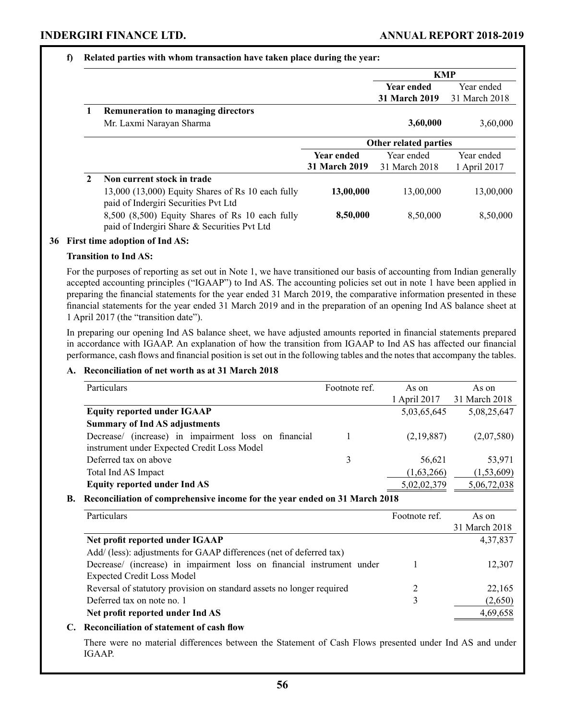### **f) Related parties with whom transaction have taken place during the year:**

|               |                                                                                                 |                      | <b>KMP</b>            |               |
|---------------|-------------------------------------------------------------------------------------------------|----------------------|-----------------------|---------------|
|               |                                                                                                 |                      | Year ended            | Year ended    |
|               |                                                                                                 |                      | <b>31 March 2019</b>  | 31 March 2018 |
|               | <b>Remuneration to managing directors</b>                                                       |                      |                       |               |
|               | Mr. Laxmi Narayan Sharma                                                                        |                      | 3,60,000              | 3,60,000      |
|               |                                                                                                 |                      | Other related parties |               |
|               |                                                                                                 | <b>Year ended</b>    | Year ended            | Year ended    |
|               |                                                                                                 | <b>31 March 2019</b> | 31 March 2018         | 1 April 2017  |
| $\mathcal{L}$ | Non current stock in trade                                                                      |                      |                       |               |
|               | $13,000$ (13,000) Equity Shares of Rs 10 each fully<br>paid of Indergiri Securities Pvt Ltd     | 13,00,000            | 13,00,000             | 13,00,000     |
|               | 8,500 (8,500) Equity Shares of Rs 10 each fully<br>paid of Indergiri Share & Securities Pvt Ltd | 8,50,000             | 8,50,000              | 8,50,000      |

### **36 First time adoption of Ind AS:**

### **Transition to Ind AS:**

For the purposes of reporting as set out in Note 1, we have transitioned our basis of accounting from Indian generally accepted accounting principles ("IGAAP") to Ind AS. The accounting policies set out in note 1 have been applied in preparing the financial statements for the year ended 31 March 2019, the comparative information presented in these financial statements for the year ended 31 March 2019 and in the preparation of an opening Ind AS balance sheet at 1 April 2017 (the "transition date").

 In preparing our opening Ind AS balance sheet, we have adjusted amounts reported in financial statements prepared in accordance with IGAAP. An explanation of how the transition from IGAAP to Ind AS has affected our financial performance, cash flows and financial position is set out in the following tables and the notes that accompany the tables.

### **A. Reconciliation of net worth as at 31 March 2018**

| Particulars                                          | Footnote ref. | As on        | As on         |
|------------------------------------------------------|---------------|--------------|---------------|
|                                                      |               | 1 April 2017 | 31 March 2018 |
| <b>Equity reported under IGAAP</b>                   |               | 5,03,65,645  | 5,08,25,647   |
| <b>Summary of Ind AS adjustments</b>                 |               |              |               |
| Decrease/ (increase) in impairment loss on financial |               | (2,19,887)   | (2,07,580)    |
| instrument under Expected Credit Loss Model          |               |              |               |
| Deferred tax on above                                | 3             | 56,621       | 53,971        |
| Total Ind AS Impact                                  |               | (1,63,266)   | (1, 53, 609)  |
| <b>Equity reported under Ind AS</b>                  |               | 5,02,02,379  | 5,06,72,038   |
|                                                      |               |              |               |

### **B. Reconciliation of comprehensive income for the year ended on 31 March 2018**

| Particulars                                                           | Footnote ref. | As on         |
|-----------------------------------------------------------------------|---------------|---------------|
|                                                                       |               | 31 March 2018 |
| Net profit reported under IGAAP                                       |               | 4,37,837      |
| Add/ (less): adjustments for GAAP differences (net of deferred tax)   |               |               |
| Decrease/ (increase) in impairment loss on financial instrument under |               | 12,307        |
| <b>Expected Credit Loss Model</b>                                     |               |               |
| Reversal of statutory provision on standard assets no longer required |               | 22,165        |
| Deferred tax on note no. 1                                            |               | (2,650)       |
| Net profit reported under Ind AS                                      |               | 4,69,658      |

### **C. Reconciliation of statement of cash flow**

There were no material differences between the Statement of Cash Flows presented under Ind AS and under IGAAP.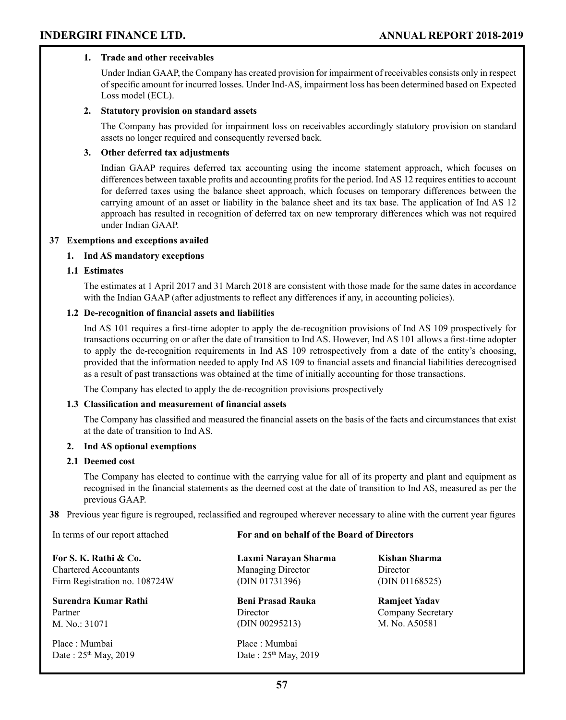### **1. Trade and other receivables**

Under Indian GAAP, the Company has created provision for impairment of receivables consists only in respect of specific amount for incurred losses. Under Ind-AS, impairment loss has been determined based on Expected Loss model (ECL).

### **2. Statutory provision on standard assets**

The Company has provided for impairment loss on receivables accordingly statutory provision on standard assets no longer required and consequently reversed back.

### **3. Other deferred tax adjustments**

Indian GAAP requires deferred tax accounting using the income statement approach, which focuses on differences between taxable profits and accounting profits for the period. Ind AS 12 requires entities to account for deferred taxes using the balance sheet approach, which focuses on temporary differences between the carrying amount of an asset or liability in the balance sheet and its tax base. The application of Ind AS 12 approach has resulted in recognition of deferred tax on new temprorary differences which was not required under Indian GAAP.

### **37 Exemptions and exceptions availed**

### **1. Ind AS mandatory exceptions**

### **1.1 Estimates**

The estimates at 1 April 2017 and 31 March 2018 are consistent with those made for the same dates in accordance with the Indian GAAP (after adjustments to reflect any differences if any, in accounting policies).

### **1.2 De-recognition of financial assets and liabilities**

 Ind AS 101 requires a first-time adopter to apply the de-recognition provisions of Ind AS 109 prospectively for transactions occurring on or after the date of transition to Ind AS. However, Ind AS 101 allows a first-time adopter to apply the de-recognition requirements in Ind AS 109 retrospectively from a date of the entity's choosing, provided that the information needed to apply Ind AS 109 to financial assets and financial liabilities derecognised as a result of past transactions was obtained at the time of initially accounting for those transactions.

The Company has elected to apply the de-recognition provisions prospectively

### **1.3 Classification and measurement of financial assets**

 The Company has classified and measured the financial assets on the basis of the facts and circumstances that exist at the date of transition to Ind AS.

### **2. Ind AS optional exemptions**

### **2.1 Deemed cost**

The Company has elected to continue with the carrying value for all of its property and plant and equipment as recognised in the financial statements as the deemed cost at the date of transition to Ind AS, measured as per the previous GAAP.

**38** Previous year figure is regrouped, reclassified and regrouped wherever necessary to aline with the current year figures

**For S. K. Rathi & Co.**  Chartered Accountants Firm Registration no. 108724W

**Surendra Kumar Rathi** Partner M. No.: 31071

Place : Mumbai Date: 25<sup>th</sup> May, 2019

### In terms of our report attached **For and on behalf of the Board of Directors**

**Laxmi Narayan Sharma** Managing Director (DIN 01731396)

**Beni Prasad Rauka** Director (DIN 00295213)

Place : Mumbai Date: 25<sup>th</sup> May, 2019 **Kishan Sharma Director** (DIN 01168525)

**Ramjeet Yadav** Company Secretary M. No. A50581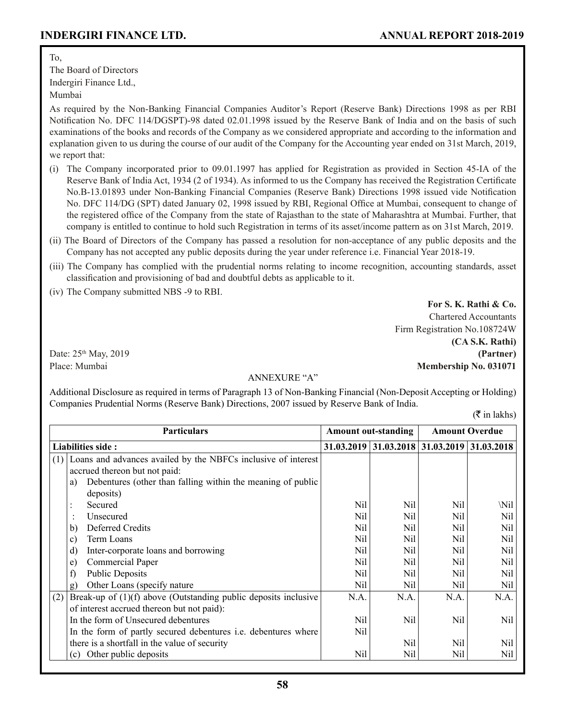To,

The Board of Directors Indergiri Finance Ltd., Mumbai

As required by the Non-Banking Financial Companies Auditor's Report (Reserve Bank) Directions 1998 as per RBI Notification No. DFC 114/DGSPT)-98 dated 02.01.1998 issued by the Reserve Bank of India and on the basis of such examinations of the books and records of the Company as we considered appropriate and according to the information and explanation given to us during the course of our audit of the Company for the Accounting year ended on 31st March, 2019, we report that:

- (i) The Company incorporated prior to 09.01.1997 has applied for Registration as provided in Section 45-IA of the Reserve Bank of India Act, 1934 (2 of 1934). As informed to us the Company has received the Registration Certificate No.B-13.01893 under Non-Banking Financial Companies (Reserve Bank) Directions 1998 issued vide Notification No. DFC 114/DG (SPT) dated January 02, 1998 issued by RBI, Regional Office at Mumbai, consequent to change of the registered office of the Company from the state of Rajasthan to the state of Maharashtra at Mumbai. Further, that company is entitled to continue to hold such Registration in terms of its asset/income pattern as on 31st March, 2019.
- (ii) The Board of Directors of the Company has passed a resolution for non-acceptance of any public deposits and the Company has not accepted any public deposits during the year under reference i.e. Financial Year 2018-19.
- (iii) The Company has complied with the prudential norms relating to income recognition, accounting standards, asset classification and provisioning of bad and doubtful debts as applicable to it.
- (iv) The Company submitted NBS -9 to RBI.

**For S. K. Rathi & Co.** Chartered Accountants Firm Registration No.108724W **(CA S.K. Rathi)** Date:  $25<sup>th</sup>$  May, 2019 **(Partner) (Partner) (Partner)** Place: Mumbai **Membership No. 031071**

 $(\bar{\bar{\mathbf{\tau}}}$  in lakhs)

### ANNEXURE "A"

Additional Disclosure as required in terms of Paragraph 13 of Non-Banking Financial (Non-Deposit Accepting or Holding) Companies Prudential Norms (Reserve Bank) Directions, 2007 issued by Reserve Bank of India.

| <b>Particulars</b>                                                       |      | <b>Amount out-standing</b>                  |      | <b>Amount Overdue</b> |
|--------------------------------------------------------------------------|------|---------------------------------------------|------|-----------------------|
| Liabilities side:                                                        |      | 31.03.2019 31.03.2018 31.03.2019 31.03.2018 |      |                       |
| Loans and advances availed by the NBFCs inclusive of interest<br>(1)     |      |                                             |      |                       |
| accrued thereon but not paid:                                            |      |                                             |      |                       |
| Debentures (other than falling within the meaning of public<br>a)        |      |                                             |      |                       |
| deposits)                                                                |      |                                             |      |                       |
| Secured                                                                  | Nil  | Nil.                                        | Nil  | \Nil                  |
| Unsecured                                                                | Nil  | Nil                                         | Nil  | Nil                   |
| Deferred Credits<br>b)                                                   | Nil  | Nil                                         | Nil  | Nil                   |
| Term Loans<br>$\mathbf{c}$                                               | Nil  | Nil                                         | Nil  | Nil                   |
| Inter-corporate loans and borrowing<br>d)                                | Nil  | Nil                                         | Nil  | Nil                   |
| Commercial Paper<br>e)                                                   | Nil  | Nil                                         | Nil  | Nil                   |
| <b>Public Deposits</b><br>f                                              | Nil  | Nil                                         | Nil  | Nil                   |
| Other Loans (specify nature)<br>g)                                       | Nil  | Nil                                         | Nil  | Nil                   |
| Break-up of $(1)(f)$ above (Outstanding public deposits inclusive<br>(2) | N.A. | N.A.                                        | N.A. | N.A.                  |
| of interest accrued thereon but not paid):                               |      |                                             |      |                       |
| In the form of Unsecured debentures                                      | Nil  | Nil                                         | Nil  | Nil                   |
| In the form of partly secured debentures i.e. debentures where           | Nil  |                                             |      |                       |
| there is a shortfall in the value of security                            |      | Nil                                         | Nil  | Nil                   |
| Other public deposits<br>(c)                                             | Nil  | Nil                                         | Nil  | Nil                   |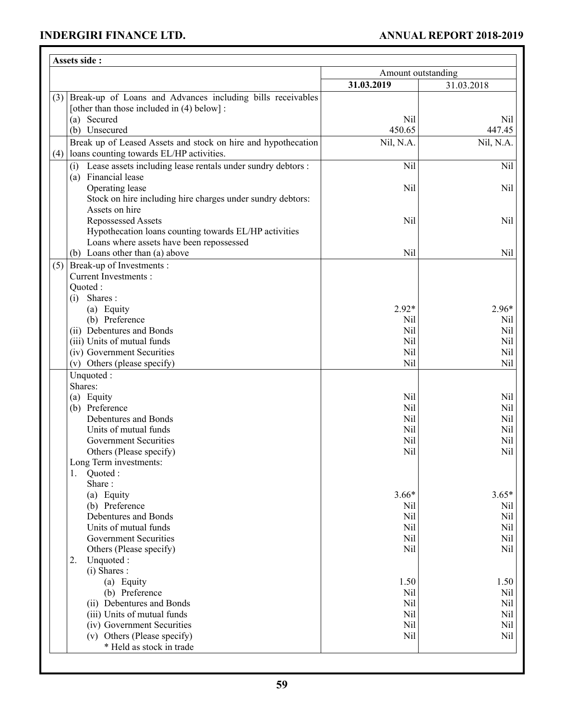|     | Assets side:                                                                                             |                                  |            |
|-----|----------------------------------------------------------------------------------------------------------|----------------------------------|------------|
|     |                                                                                                          | Amount outstanding<br>31.03.2019 |            |
|     |                                                                                                          |                                  | 31.03.2018 |
| (3) | Break-up of Loans and Advances including bills receivables<br>[other than those included in (4) below] : |                                  |            |
|     | (a) Secured                                                                                              | Nil                              | Nil        |
|     | (b) Unsecured                                                                                            | 450.65                           | 447.45     |
|     | Break up of Leased Assets and stock on hire and hypothecation                                            | Nil, N.A.                        | Nil, N.A.  |
| (4) | loans counting towards EL/HP activities.                                                                 |                                  |            |
|     | (i) Lease assets including lease rentals under sundry debtors :                                          | Nil                              | Nil        |
|     | (a) Financial lease                                                                                      |                                  |            |
|     | Operating lease                                                                                          | Nil                              | Nil        |
|     | Stock on hire including hire charges under sundry debtors:                                               |                                  |            |
|     | Assets on hire                                                                                           |                                  |            |
|     | Repossessed Assets                                                                                       | Nil                              | Nil        |
|     | Hypothecation loans counting towards EL/HP activities                                                    |                                  |            |
|     | Loans where assets have been repossessed                                                                 |                                  |            |
|     | (b) Loans other than (a) above                                                                           | Nil                              | Nil        |
| (5) | Break-up of Investments:<br><b>Current Investments:</b>                                                  |                                  |            |
|     | Quoted:                                                                                                  |                                  |            |
|     | Shares:<br>(i)                                                                                           |                                  |            |
|     | (a) Equity                                                                                               | $2.92*$                          | $2.96*$    |
|     | (b) Preference                                                                                           | Nil                              | Nil        |
|     | (ii) Debentures and Bonds                                                                                | Nil                              | Nil        |
|     | (iii) Units of mutual funds                                                                              | Nil                              | Nil        |
|     | (iv) Government Securities                                                                               | Nil                              | Nil        |
|     | (v) Others (please specify)                                                                              | Nil                              | Nil        |
|     | Unquoted:                                                                                                |                                  |            |
|     | Shares:                                                                                                  |                                  |            |
|     | (a) Equity                                                                                               | Nil                              | Nil        |
|     | (b) Preference                                                                                           | Nil                              | Nil        |
|     | Debentures and Bonds                                                                                     | Nil                              | Nil        |
|     | Units of mutual funds                                                                                    | Nil                              | Nil        |
|     | <b>Government Securities</b>                                                                             | Nil                              | Nil        |
|     | Others (Please specify)                                                                                  | Nil                              | Nil        |
|     | Long Term investments:                                                                                   |                                  |            |
|     | 1.<br>Quoted:                                                                                            |                                  |            |
|     | Share:                                                                                                   |                                  |            |
|     | (a) Equity                                                                                               | $3.66*$                          | $3.65*$    |
|     | (b) Preference<br>Debentures and Bonds                                                                   | Nil<br>Nil                       | Nil<br>Nil |
|     | Units of mutual funds                                                                                    | Nil                              | Nil        |
|     | <b>Government Securities</b>                                                                             | Nil                              | Nil        |
|     | Others (Please specify)                                                                                  | Nil                              | Nil        |
|     | 2.<br>Unquoted:                                                                                          |                                  |            |
|     | (i) Shares:                                                                                              |                                  |            |
|     | (a) Equity                                                                                               | 1.50                             | 1.50       |
|     | (b) Preference                                                                                           | Nil                              | Nil        |
|     | (ii) Debentures and Bonds                                                                                | Nil                              | Nil        |
|     | (iii) Units of mutual funds                                                                              | Nil                              | Nil        |
|     | (iv) Government Securities                                                                               | Nil                              | Nil        |
|     | (v) Others (Please specify)                                                                              | Nil                              | Nil        |
|     | * Held as stock in trade                                                                                 |                                  |            |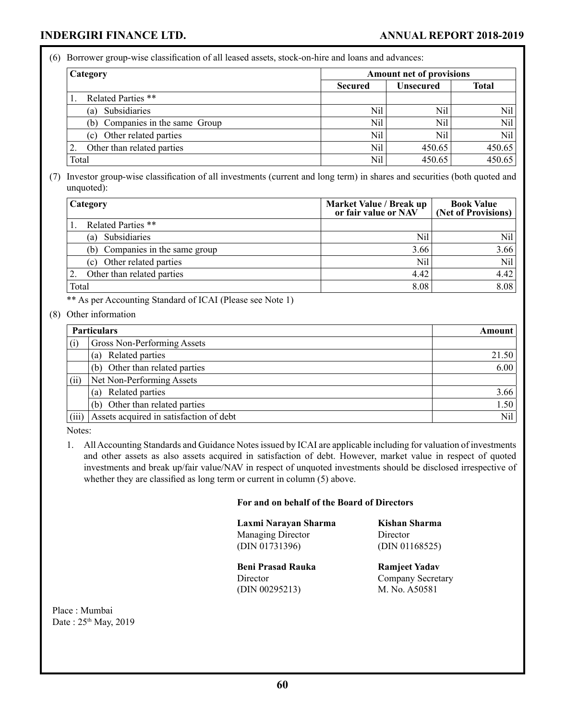(6) Borrower group-wise classification of all leased assets, stock-on-hire and loans and advances:

| Category                        | <b>Amount net of provisions</b> |                  |              |  |
|---------------------------------|---------------------------------|------------------|--------------|--|
|                                 | <b>Secured</b>                  | <b>Unsecured</b> | <b>Total</b> |  |
| <b>Related Parties **</b>       |                                 |                  |              |  |
| Subsidiaries<br>(a)             | Nil                             | Nil              | Nil          |  |
| (b) Companies in the same Group | Nil                             | Nil              | Nil          |  |
| (c) Other related parties       | Nil                             | Nil              | Nil          |  |
| Other than related parties      | Nil                             | 450.65           | 450.65       |  |
| Total                           | Nil                             | 450.65           | 450.65       |  |

(7) Investor group-wise classification of all investments (current and long term) in shares and securities (both quoted and unquoted):

| <b>Category</b> |                                 | Market Value / Break up<br>or fair value or NAV | <b>Book Value</b><br>(Net of Provisions) |
|-----------------|---------------------------------|-------------------------------------------------|------------------------------------------|
|                 | Related Parties **              |                                                 |                                          |
|                 | Subsidiaries<br>a)              | Nil                                             | Nil                                      |
|                 | (b) Companies in the same group | 3.66                                            | 3.66                                     |
|                 | Other related parties<br>(c)    | Nil                                             | Nil                                      |
|                 | Other than related parties      | 4.42                                            | 4.42                                     |
| Total           |                                 | 8.08                                            | 8.08                                     |

\*\* As per Accounting Standard of ICAI (Please see Note 1)

(8) Other information

| <b>Particulars</b> | Amount                                  |       |
|--------------------|-----------------------------------------|-------|
| (i)                | Gross Non-Performing Assets             |       |
|                    | Related parties<br>(a)                  | 21.50 |
|                    | Other than related parties<br>(b)       | 6.00  |
| (ii)               | Net Non-Performing Assets               |       |
|                    | Related parties<br>(a)                  | 3.66  |
|                    | Other than related parties<br>(b)       | 1.50  |
| (iii)              | Assets acquired in satisfaction of debt | Nil   |

Notes:

1. All Accounting Standards and Guidance Notes issued by ICAI are applicable including for valuation of investments and other assets as also assets acquired in satisfaction of debt. However, market value in respect of quoted investments and break up/fair value/NAV in respect of unquoted investments should be disclosed irrespective of whether they are classified as long term or current in column (5) above.

### **For and on behalf of the Board of Directors**

**Laxmi Narayan Sharma** Managing Director (DIN 01731396)

**Beni Prasad Rauka Director** (DIN 00295213)

**Kishan Sharma** Director (DIN 01168525)

**Ramjeet Yadav** Company Secretary M. No. A50581

Place : Mumbai Date: 25<sup>th</sup> May, 2019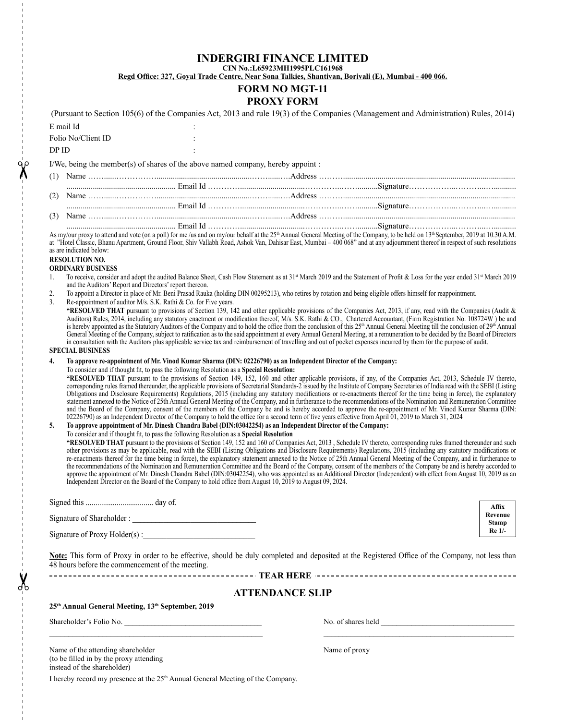### **INDERGIRI FINANCE LIMITED**

**CIN No.:L65923MH1995PLC161968**

**Regd Office: 327, Goyal Trade Centre, Near Sona Talkies, Shantivan, Borivali (E), Mumbai - 400 066.**

#### **FORM NO MGT-11 PROXY FORM**

|                                                                                                                                                                                                                                                                                                                                                                                                                                                                                                                                                                                                                                                                                                                                                                                                                                                                                                                                                                                                                                                                                                                                                                                                                                                                                                                                                                                                                                                                                                                                                                                                                                                                                                                                                                                                                                                                                                                                                                                                                                                                                                                                                                                                                                                                                                                                                                                                                                                           | (Pursuant to Section 105(6) of the Companies Act, 2013 and rule 19(3) of the Companies (Management and Administration) Rules, 2014)                                                                                                                                                                                                                                                                                                                                                                                                                                                                                                                                                                                                                                                                                                                                                                                                |                         |  |  |  |  |  |
|-----------------------------------------------------------------------------------------------------------------------------------------------------------------------------------------------------------------------------------------------------------------------------------------------------------------------------------------------------------------------------------------------------------------------------------------------------------------------------------------------------------------------------------------------------------------------------------------------------------------------------------------------------------------------------------------------------------------------------------------------------------------------------------------------------------------------------------------------------------------------------------------------------------------------------------------------------------------------------------------------------------------------------------------------------------------------------------------------------------------------------------------------------------------------------------------------------------------------------------------------------------------------------------------------------------------------------------------------------------------------------------------------------------------------------------------------------------------------------------------------------------------------------------------------------------------------------------------------------------------------------------------------------------------------------------------------------------------------------------------------------------------------------------------------------------------------------------------------------------------------------------------------------------------------------------------------------------------------------------------------------------------------------------------------------------------------------------------------------------------------------------------------------------------------------------------------------------------------------------------------------------------------------------------------------------------------------------------------------------------------------------------------------------------------------------------------------------|------------------------------------------------------------------------------------------------------------------------------------------------------------------------------------------------------------------------------------------------------------------------------------------------------------------------------------------------------------------------------------------------------------------------------------------------------------------------------------------------------------------------------------------------------------------------------------------------------------------------------------------------------------------------------------------------------------------------------------------------------------------------------------------------------------------------------------------------------------------------------------------------------------------------------------|-------------------------|--|--|--|--|--|
|                                                                                                                                                                                                                                                                                                                                                                                                                                                                                                                                                                                                                                                                                                                                                                                                                                                                                                                                                                                                                                                                                                                                                                                                                                                                                                                                                                                                                                                                                                                                                                                                                                                                                                                                                                                                                                                                                                                                                                                                                                                                                                                                                                                                                                                                                                                                                                                                                                                           | E mail Id                                                                                                                                                                                                                                                                                                                                                                                                                                                                                                                                                                                                                                                                                                                                                                                                                                                                                                                          |                         |  |  |  |  |  |
| Folio No/Client ID                                                                                                                                                                                                                                                                                                                                                                                                                                                                                                                                                                                                                                                                                                                                                                                                                                                                                                                                                                                                                                                                                                                                                                                                                                                                                                                                                                                                                                                                                                                                                                                                                                                                                                                                                                                                                                                                                                                                                                                                                                                                                                                                                                                                                                                                                                                                                                                                                                        |                                                                                                                                                                                                                                                                                                                                                                                                                                                                                                                                                                                                                                                                                                                                                                                                                                                                                                                                    |                         |  |  |  |  |  |
|                                                                                                                                                                                                                                                                                                                                                                                                                                                                                                                                                                                                                                                                                                                                                                                                                                                                                                                                                                                                                                                                                                                                                                                                                                                                                                                                                                                                                                                                                                                                                                                                                                                                                                                                                                                                                                                                                                                                                                                                                                                                                                                                                                                                                                                                                                                                                                                                                                                           | DP ID                                                                                                                                                                                                                                                                                                                                                                                                                                                                                                                                                                                                                                                                                                                                                                                                                                                                                                                              |                         |  |  |  |  |  |
|                                                                                                                                                                                                                                                                                                                                                                                                                                                                                                                                                                                                                                                                                                                                                                                                                                                                                                                                                                                                                                                                                                                                                                                                                                                                                                                                                                                                                                                                                                                                                                                                                                                                                                                                                                                                                                                                                                                                                                                                                                                                                                                                                                                                                                                                                                                                                                                                                                                           | I/We, being the member(s) of shares of the above named company, hereby appoint :                                                                                                                                                                                                                                                                                                                                                                                                                                                                                                                                                                                                                                                                                                                                                                                                                                                   |                         |  |  |  |  |  |
| (1)                                                                                                                                                                                                                                                                                                                                                                                                                                                                                                                                                                                                                                                                                                                                                                                                                                                                                                                                                                                                                                                                                                                                                                                                                                                                                                                                                                                                                                                                                                                                                                                                                                                                                                                                                                                                                                                                                                                                                                                                                                                                                                                                                                                                                                                                                                                                                                                                                                                       |                                                                                                                                                                                                                                                                                                                                                                                                                                                                                                                                                                                                                                                                                                                                                                                                                                                                                                                                    |                         |  |  |  |  |  |
|                                                                                                                                                                                                                                                                                                                                                                                                                                                                                                                                                                                                                                                                                                                                                                                                                                                                                                                                                                                                                                                                                                                                                                                                                                                                                                                                                                                                                                                                                                                                                                                                                                                                                                                                                                                                                                                                                                                                                                                                                                                                                                                                                                                                                                                                                                                                                                                                                                                           |                                                                                                                                                                                                                                                                                                                                                                                                                                                                                                                                                                                                                                                                                                                                                                                                                                                                                                                                    |                         |  |  |  |  |  |
|                                                                                                                                                                                                                                                                                                                                                                                                                                                                                                                                                                                                                                                                                                                                                                                                                                                                                                                                                                                                                                                                                                                                                                                                                                                                                                                                                                                                                                                                                                                                                                                                                                                                                                                                                                                                                                                                                                                                                                                                                                                                                                                                                                                                                                                                                                                                                                                                                                                           |                                                                                                                                                                                                                                                                                                                                                                                                                                                                                                                                                                                                                                                                                                                                                                                                                                                                                                                                    |                         |  |  |  |  |  |
| (3)                                                                                                                                                                                                                                                                                                                                                                                                                                                                                                                                                                                                                                                                                                                                                                                                                                                                                                                                                                                                                                                                                                                                                                                                                                                                                                                                                                                                                                                                                                                                                                                                                                                                                                                                                                                                                                                                                                                                                                                                                                                                                                                                                                                                                                                                                                                                                                                                                                                       |                                                                                                                                                                                                                                                                                                                                                                                                                                                                                                                                                                                                                                                                                                                                                                                                                                                                                                                                    |                         |  |  |  |  |  |
|                                                                                                                                                                                                                                                                                                                                                                                                                                                                                                                                                                                                                                                                                                                                                                                                                                                                                                                                                                                                                                                                                                                                                                                                                                                                                                                                                                                                                                                                                                                                                                                                                                                                                                                                                                                                                                                                                                                                                                                                                                                                                                                                                                                                                                                                                                                                                                                                                                                           | As my/our proxy to attend and vote (on a poll) for me /us and on my/our behalf at the 25 <sup>th</sup> Annual General Meeting of the Company, to be held on 13 <sup>th</sup> September, 2019 at 10.30 A.M.                                                                                                                                                                                                                                                                                                                                                                                                                                                                                                                                                                                                                                                                                                                         |                         |  |  |  |  |  |
| 1.<br>2.<br>3.                                                                                                                                                                                                                                                                                                                                                                                                                                                                                                                                                                                                                                                                                                                                                                                                                                                                                                                                                                                                                                                                                                                                                                                                                                                                                                                                                                                                                                                                                                                                                                                                                                                                                                                                                                                                                                                                                                                                                                                                                                                                                                                                                                                                                                                                                                                                                                                                                                            | at "Hotel Classic, Bhanu Apartment, Ground Floor, Shiv Vallabh Road, Ashok Van, Dahisar East, Mumbai - 400 068" and at any adjournment thereof in respect of such resolutions<br>as are indicated below:<br><b>RESOLUTION NO.</b><br><b>ORDINARY BUSINESS</b><br>To receive, consider and adopt the audited Balance Sheet, Cash Flow Statement as at 31 <sup>st</sup> March 2019 and the Statement of Profit & Loss for the year ended 31 <sup>st</sup> March 2019<br>and the Auditors' Report and Directors' report thereon.<br>To appoint a Director in place of Mr. Beni Prasad Rauka (holding DIN 00295213), who retires by rotation and being eligible offers himself for reappointment.<br>Re-appointment of auditor M/s. S.K. Rathi & Co. for Five years.<br>"RESOLVED THAT pursuant to provisions of Section 139, 142 and other applicable provisions of the Companies Act, 2013, if any, read with the Companies (Audit & |                         |  |  |  |  |  |
|                                                                                                                                                                                                                                                                                                                                                                                                                                                                                                                                                                                                                                                                                                                                                                                                                                                                                                                                                                                                                                                                                                                                                                                                                                                                                                                                                                                                                                                                                                                                                                                                                                                                                                                                                                                                                                                                                                                                                                                                                                                                                                                                                                                                                                                                                                                                                                                                                                                           | Auditors) Rules, 2014, including any statutory enactment or modification thereof, M/s. S.K. Rathi & CO., Chartered Accountant, (Firm Registration No. 108724W) be and<br>is hereby appointed as the Statutory Auditors of the Company and to hold the office from the conclusion of this 25 <sup>th</sup> Annual General Meeting till the conclusion of 29 <sup>th</sup> Annual<br>General Meeting of the Company, subject to ratification as to the said appointment at every Annual General Meeting, at a remuneration to be decided by the Board of Directors<br>in consultation with the Auditors plus applicable service tax and reimbursement of travelling and out of pocket expenses incurred by them for the purpose of audit.<br><b>SPECIAL BUSINESS</b>                                                                                                                                                                 |                         |  |  |  |  |  |
| To approve re-appointment of Mr. Vinod Kumar Sharma (DIN: 02226790) as an Independent Director of the Company:<br>4.<br>To consider and if thought fit, to pass the following Resolution as a Special Resolution:<br>"RESOLVED THAT pursuant to the provisions of Section 149, 152, 160 and other applicable provisions, if any, of the Companies Act, 2013, Schedule IV thereto,<br>corresponding rules framed thereunder, the applicable provisions of Secretarial Standards-2 issued by the Institute of Company Secretaries of India read with the SEBI (Listing<br>Obligations and Disclosure Requirements) Regulations, 2015 (including any statutory modifications or re-enactments thereof for the time being in force), the explanatory<br>statement annexed to the Notice of 25th Annual General Meeting of the Company, and in furtherance to the recommendations of the Nomination and Remuneration Committee<br>and the Board of the Company, consent of the members of the Company be and is hereby accorded to approve the re-appointment of Mr. Vinod Kumar Sharma (DIN:<br>02226790) as an Independent Director of the Company to hold the office for a second term of five years effective from April 01, 2019 to March 31, 2024<br>To approve appointment of Mr. Dinesh Chandra Babel (DIN:03042254) as an Independent Director of the Company:<br>5.<br>To consider and if thought fit, to pass the following Resolution as a Special Resolution<br>"RESOLVED THAT pursuant to the provisions of Section 149, 152 and 160 of Companies Act, 2013, Schedule IV thereto, corresponding rules framed thereunder and such<br>other provisions as may be applicable, read with the SEBI (Listing Obligations and Disclosure Requirements) Regulations, 2015 (including any statutory modifications or<br>re-enactments thereof for the time being in force), the explanatory statement annexed to the Notice of 25th Annual General Meeting of the Company, and in furtherance to<br>the recommendations of the Nomination and Remuneration Committee and the Board of the Company, consent of the members of the Company be and is hereby accorded to<br>approve the appointment of Mr. Dinesh Chandra Babel (DIN:03042254), who was appointed as an Additional Director (Independent) with effect from August 10, 2019 as an<br>Independent Director on the Board of the Company to hold office from August 10, 2019 to August 09, 2024. |                                                                                                                                                                                                                                                                                                                                                                                                                                                                                                                                                                                                                                                                                                                                                                                                                                                                                                                                    |                         |  |  |  |  |  |
|                                                                                                                                                                                                                                                                                                                                                                                                                                                                                                                                                                                                                                                                                                                                                                                                                                                                                                                                                                                                                                                                                                                                                                                                                                                                                                                                                                                                                                                                                                                                                                                                                                                                                                                                                                                                                                                                                                                                                                                                                                                                                                                                                                                                                                                                                                                                                                                                                                                           |                                                                                                                                                                                                                                                                                                                                                                                                                                                                                                                                                                                                                                                                                                                                                                                                                                                                                                                                    | Affix                   |  |  |  |  |  |
|                                                                                                                                                                                                                                                                                                                                                                                                                                                                                                                                                                                                                                                                                                                                                                                                                                                                                                                                                                                                                                                                                                                                                                                                                                                                                                                                                                                                                                                                                                                                                                                                                                                                                                                                                                                                                                                                                                                                                                                                                                                                                                                                                                                                                                                                                                                                                                                                                                                           |                                                                                                                                                                                                                                                                                                                                                                                                                                                                                                                                                                                                                                                                                                                                                                                                                                                                                                                                    | Revenue<br><b>Stamp</b> |  |  |  |  |  |
|                                                                                                                                                                                                                                                                                                                                                                                                                                                                                                                                                                                                                                                                                                                                                                                                                                                                                                                                                                                                                                                                                                                                                                                                                                                                                                                                                                                                                                                                                                                                                                                                                                                                                                                                                                                                                                                                                                                                                                                                                                                                                                                                                                                                                                                                                                                                                                                                                                                           | Signature of Proxy Holder(s):                                                                                                                                                                                                                                                                                                                                                                                                                                                                                                                                                                                                                                                                                                                                                                                                                                                                                                      | Re 1/-                  |  |  |  |  |  |
| Note: This form of Proxy in order to be effective, should be duly completed and deposited at the Registered Office of the Company, not less than<br>48 hours before the commencement of the meeting.                                                                                                                                                                                                                                                                                                                                                                                                                                                                                                                                                                                                                                                                                                                                                                                                                                                                                                                                                                                                                                                                                                                                                                                                                                                                                                                                                                                                                                                                                                                                                                                                                                                                                                                                                                                                                                                                                                                                                                                                                                                                                                                                                                                                                                                      |                                                                                                                                                                                                                                                                                                                                                                                                                                                                                                                                                                                                                                                                                                                                                                                                                                                                                                                                    |                         |  |  |  |  |  |
|                                                                                                                                                                                                                                                                                                                                                                                                                                                                                                                                                                                                                                                                                                                                                                                                                                                                                                                                                                                                                                                                                                                                                                                                                                                                                                                                                                                                                                                                                                                                                                                                                                                                                                                                                                                                                                                                                                                                                                                                                                                                                                                                                                                                                                                                                                                                                                                                                                                           |                                                                                                                                                                                                                                                                                                                                                                                                                                                                                                                                                                                                                                                                                                                                                                                                                                                                                                                                    |                         |  |  |  |  |  |
|                                                                                                                                                                                                                                                                                                                                                                                                                                                                                                                                                                                                                                                                                                                                                                                                                                                                                                                                                                                                                                                                                                                                                                                                                                                                                                                                                                                                                                                                                                                                                                                                                                                                                                                                                                                                                                                                                                                                                                                                                                                                                                                                                                                                                                                                                                                                                                                                                                                           | <b>ATTENDANCE SLIP</b>                                                                                                                                                                                                                                                                                                                                                                                                                                                                                                                                                                                                                                                                                                                                                                                                                                                                                                             |                         |  |  |  |  |  |
|                                                                                                                                                                                                                                                                                                                                                                                                                                                                                                                                                                                                                                                                                                                                                                                                                                                                                                                                                                                                                                                                                                                                                                                                                                                                                                                                                                                                                                                                                                                                                                                                                                                                                                                                                                                                                                                                                                                                                                                                                                                                                                                                                                                                                                                                                                                                                                                                                                                           | 25 <sup>th</sup> Annual General Meeting, 13 <sup>th</sup> September, 2019                                                                                                                                                                                                                                                                                                                                                                                                                                                                                                                                                                                                                                                                                                                                                                                                                                                          |                         |  |  |  |  |  |
|                                                                                                                                                                                                                                                                                                                                                                                                                                                                                                                                                                                                                                                                                                                                                                                                                                                                                                                                                                                                                                                                                                                                                                                                                                                                                                                                                                                                                                                                                                                                                                                                                                                                                                                                                                                                                                                                                                                                                                                                                                                                                                                                                                                                                                                                                                                                                                                                                                                           | Shareholder's Folio No.                                                                                                                                                                                                                                                                                                                                                                                                                                                                                                                                                                                                                                                                                                                                                                                                                                                                                                            |                         |  |  |  |  |  |
|                                                                                                                                                                                                                                                                                                                                                                                                                                                                                                                                                                                                                                                                                                                                                                                                                                                                                                                                                                                                                                                                                                                                                                                                                                                                                                                                                                                                                                                                                                                                                                                                                                                                                                                                                                                                                                                                                                                                                                                                                                                                                                                                                                                                                                                                                                                                                                                                                                                           | Name of the attending shareholder<br>(to be filled in by the proxy attending<br>instead of the shareholder)                                                                                                                                                                                                                                                                                                                                                                                                                                                                                                                                                                                                                                                                                                                                                                                                                        | Name of proxy           |  |  |  |  |  |

I hereby record my presence at the 25<sup>th</sup> Annual General Meeting of the Company.

 $\frac{1}{2}$ 

qρ